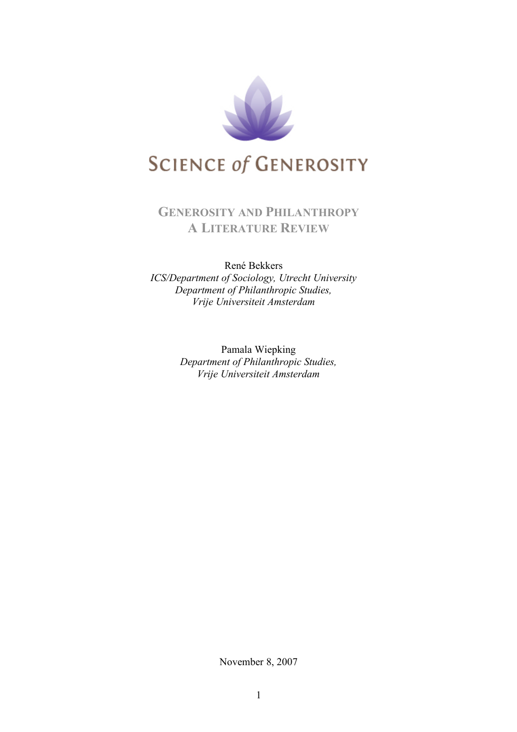

# **GENEROSITY AND PHILANTHROPY A LITERATURE REVIEW**

# René Bekkers *ICS/Department of Sociology, Utrecht University*

*Department of Philanthropic Studies, Vrije Universiteit Amsterdam*

Pamala Wiepking *Department of Philanthropic Studies, Vrije Universiteit Amsterdam*

November 8, 2007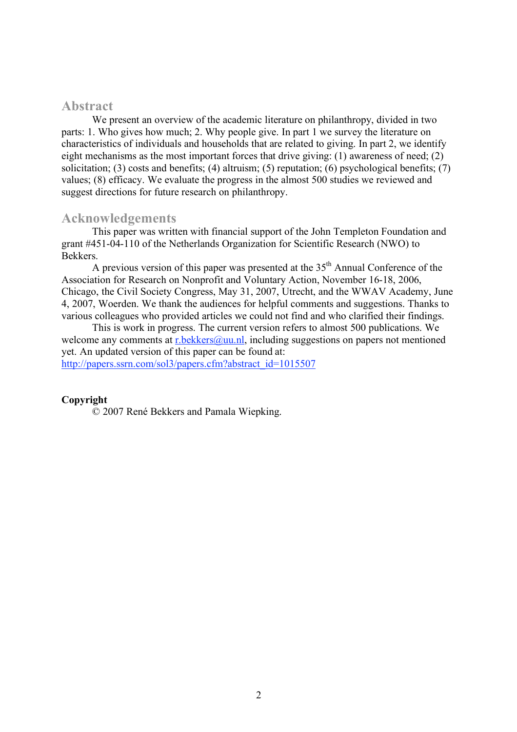# **Abstract**

We present an overview of the academic literature on philanthropy, divided in two parts: 1. Who gives how much; 2. Why people give. In part 1 we survey the literature on characteristics of individuals and households that are related to giving. In part 2, we identify eight mechanisms as the most important forces that drive giving: (1) awareness of need; (2) solicitation; (3) costs and benefits; (4) altruism; (5) reputation; (6) psychological benefits; (7) values; (8) efficacy. We evaluate the progress in the almost 500 studies we reviewed and suggest directions for future research on philanthropy.

# **Acknowledgements**

This paper was written with financial support of the John Templeton Foundation and grant #451-04-110 of the Netherlands Organization for Scientific Research (NWO) to Bekkers.

A previous version of this paper was presented at the  $35<sup>th</sup>$  Annual Conference of the Association for Research on Nonprofit and Voluntary Action, November 16-18, 2006, Chicago, the Civil Society Congress, May 31, 2007, Utrecht, and the WWAV Academy, June 4, 2007, Woerden. We thank the audiences for helpful comments and suggestions. Thanks to various colleagues who provided articles we could not find and who clarified their findings.

This is work in progress. The current version refers to almost 500 publications. We welcome any comments at r.bekkers@uu.nl, including suggestions on papers not mentioned yet. An updated version of this paper can be found at: http://papers.ssrn.com/sol3/papers.cfm?abstract\_id=1015507

#### **Copyright**

© 2007 René Bekkers and Pamala Wiepking.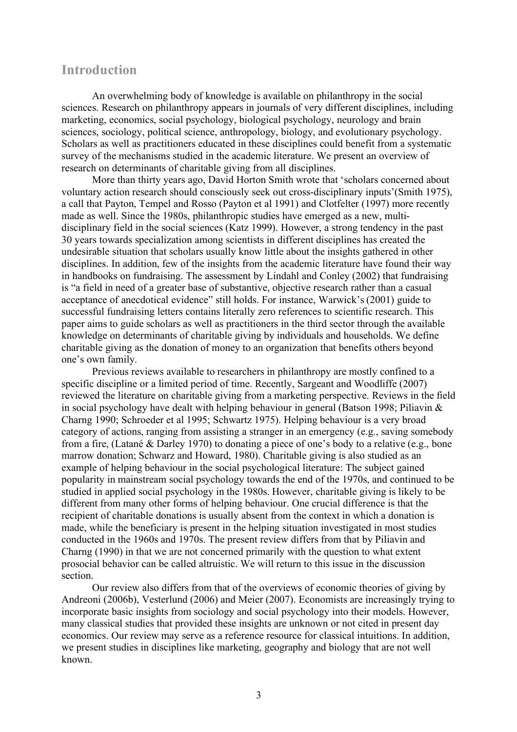# **Introduction**

An overwhelming body of knowledge is available on philanthropy in the social sciences. Research on philanthropy appears in journals of very different disciplines, including marketing, economics, social psychology, biological psychology, neurology and brain sciences, sociology, political science, anthropology, biology, and evolutionary psychology. Scholars as well as practitioners educated in these disciplines could benefit from a systematic survey of the mechanisms studied in the academic literature. We present an overview of research on determinants of charitable giving from all disciplines.

More than thirty years ago, David Horton Smith wrote that 'scholars concerned about voluntary action research should consciously seek out cross-disciplinary inputs'(Smith 1975), a call that Payton, Tempel and Rosso (Payton et al 1991) and Clotfelter (1997) more recently made as well. Since the 1980s, philanthropic studies have emerged as a new, multidisciplinary field in the social sciences (Katz 1999). However, a strong tendency in the past 30 years towards specialization among scientists in different disciplines has created the undesirable situation that scholars usually know little about the insights gathered in other disciplines. In addition, few of the insights from the academic literature have found their way in handbooks on fundraising. The assessment by Lindahl and Conley (2002) that fundraising is "a field in need of a greater base of substantive, objective research rather than a casual acceptance of anecdotical evidence" still holds. For instance, Warwick's (2001) guide to successful fundraising letters contains literally zero references to scientific research. This paper aims to guide scholars as well as practitioners in the third sector through the available knowledge on determinants of charitable giving by individuals and households. We define charitable giving as the donation of money to an organization that benefits others beyond one's own family.

Previous reviews available to researchers in philanthropy are mostly confined to a specific discipline or a limited period of time. Recently, Sargeant and Woodliffe (2007) reviewed the literature on charitable giving from a marketing perspective. Reviews in the field in social psychology have dealt with helping behaviour in general (Batson 1998; Piliavin & Charng 1990; Schroeder et al 1995; Schwartz 1975). Helping behaviour is a very broad category of actions, ranging from assisting a stranger in an emergency (e.g., saving somebody from a fire, (Latané & Darley 1970) to donating a piece of one's body to a relative (e.g., bone marrow donation; Schwarz and Howard, 1980). Charitable giving is also studied as an example of helping behaviour in the social psychological literature: The subject gained popularity in mainstream social psychology towards the end of the 1970s, and continued to be studied in applied social psychology in the 1980s. However, charitable giving is likely to be different from many other forms of helping behaviour. One crucial difference is that the recipient of charitable donations is usually absent from the context in which a donation is made, while the beneficiary is present in the helping situation investigated in most studies conducted in the 1960s and 1970s. The present review differs from that by Piliavin and Charng (1990) in that we are not concerned primarily with the question to what extent prosocial behavior can be called altruistic. We will return to this issue in the discussion section.

Our review also differs from that of the overviews of economic theories of giving by Andreoni (2006b), Vesterlund (2006) and Meier (2007). Economists are increasingly trying to incorporate basic insights from sociology and social psychology into their models. However, many classical studies that provided these insights are unknown or not cited in present day economics. Our review may serve as a reference resource for classical intuitions. In addition, we present studies in disciplines like marketing, geography and biology that are not well known.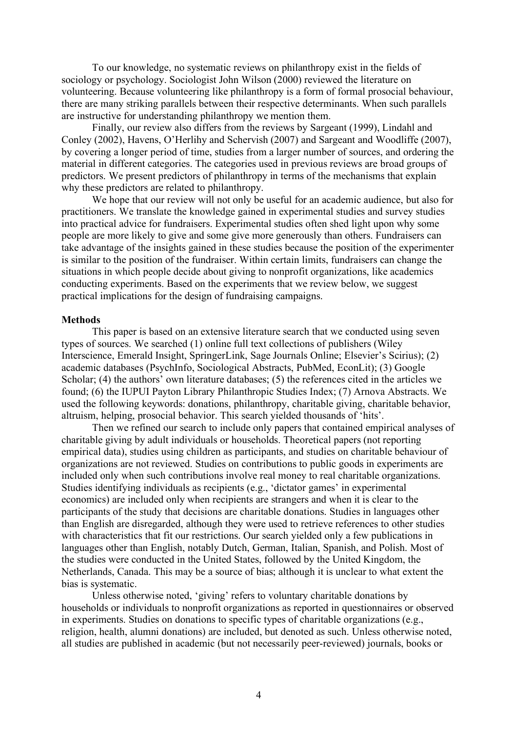To our knowledge, no systematic reviews on philanthropy exist in the fields of sociology or psychology. Sociologist John Wilson (2000) reviewed the literature on volunteering. Because volunteering like philanthropy is a form of formal prosocial behaviour, there are many striking parallels between their respective determinants. When such parallels are instructive for understanding philanthropy we mention them.

Finally, our review also differs from the reviews by Sargeant (1999), Lindahl and Conley (2002), Havens, O'Herlihy and Schervish (2007) and Sargeant and Woodliffe (2007), by covering a longer period of time, studies from a larger number of sources, and ordering the material in different categories. The categories used in previous reviews are broad groups of predictors. We present predictors of philanthropy in terms of the mechanisms that explain why these predictors are related to philanthropy.

We hope that our review will not only be useful for an academic audience, but also for practitioners. We translate the knowledge gained in experimental studies and survey studies into practical advice for fundraisers. Experimental studies often shed light upon why some people are more likely to give and some give more generously than others. Fundraisers can take advantage of the insights gained in these studies because the position of the experimenter is similar to the position of the fundraiser. Within certain limits, fundraisers can change the situations in which people decide about giving to nonprofit organizations, like academics conducting experiments. Based on the experiments that we review below, we suggest practical implications for the design of fundraising campaigns.

#### **Methods**

This paper is based on an extensive literature search that we conducted using seven types of sources. We searched (1) online full text collections of publishers (Wiley Interscience, Emerald Insight, SpringerLink, Sage Journals Online; Elsevier's Scirius); (2) academic databases (PsychInfo, Sociological Abstracts, PubMed, EconLit); (3) Google Scholar; (4) the authors' own literature databases; (5) the references cited in the articles we found; (6) the IUPUI Payton Library Philanthropic Studies Index; (7) Arnova Abstracts. We used the following keywords: donations, philanthropy, charitable giving, charitable behavior, altruism, helping, prosocial behavior. This search yielded thousands of 'hits'.

Then we refined our search to include only papers that contained empirical analyses of charitable giving by adult individuals or households. Theoretical papers (not reporting empirical data), studies using children as participants, and studies on charitable behaviour of organizations are not reviewed. Studies on contributions to public goods in experiments are included only when such contributions involve real money to real charitable organizations. Studies identifying individuals as recipients (e.g., 'dictator games' in experimental economics) are included only when recipients are strangers and when it is clear to the participants of the study that decisions are charitable donations. Studies in languages other than English are disregarded, although they were used to retrieve references to other studies with characteristics that fit our restrictions. Our search yielded only a few publications in languages other than English, notably Dutch, German, Italian, Spanish, and Polish. Most of the studies were conducted in the United States, followed by the United Kingdom, the Netherlands, Canada. This may be a source of bias; although it is unclear to what extent the bias is systematic.

Unless otherwise noted, 'giving' refers to voluntary charitable donations by households or individuals to nonprofit organizations as reported in questionnaires or observed in experiments. Studies on donations to specific types of charitable organizations (e.g., religion, health, alumni donations) are included, but denoted as such. Unless otherwise noted, all studies are published in academic (but not necessarily peer-reviewed) journals, books or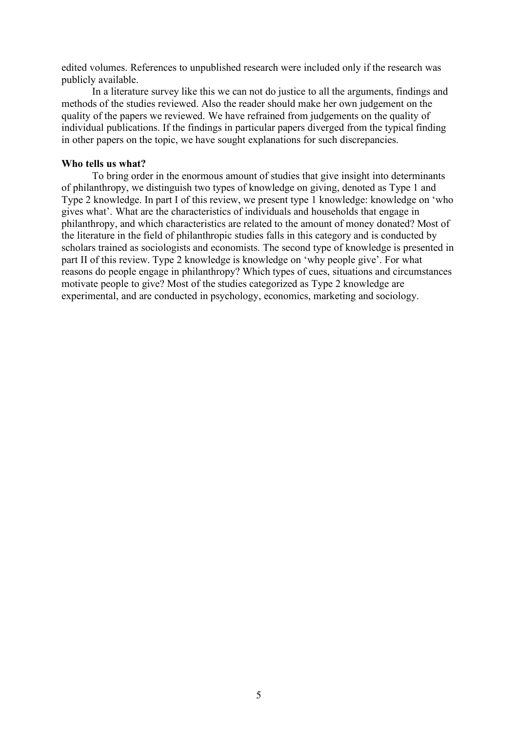edited volumes. References to unpublished research were included only if the research was publicly available.

In a literature survey like this we can not do justice to all the arguments, findings and methods of the studies reviewed. Also the reader should make her own judgement on the quality of the papers we reviewed. We have refrained from judgements on the quality of individual publications. If the findings in particular papers diverged from the typical finding in other papers on the topic, we have sought explanations for such discrepancies.

### **Who tells us what?**

To bring order in the enormous amount of studies that give insight into determinants of philanthropy, we distinguish two types of knowledge on giving, denoted as Type 1 and Type 2 knowledge. In part I of this review, we present type 1 knowledge: knowledge on 'who gives what'. What are the characteristics of individuals and households that engage in philanthropy, and which characteristics are related to the amount of money donated? Most of the literature in the field of philanthropic studies falls in this category and is conducted by scholars trained as sociologists and economists. The second type of knowledge is presented in part II of this review. Type 2 knowledge is knowledge on 'why people give'. For what reasons do people engage in philanthropy? Which types of cues, situations and circumstances motivate people to give? Most of the studies categorized as Type 2 knowledge are experimental, and are conducted in psychology, economics, marketing and sociology.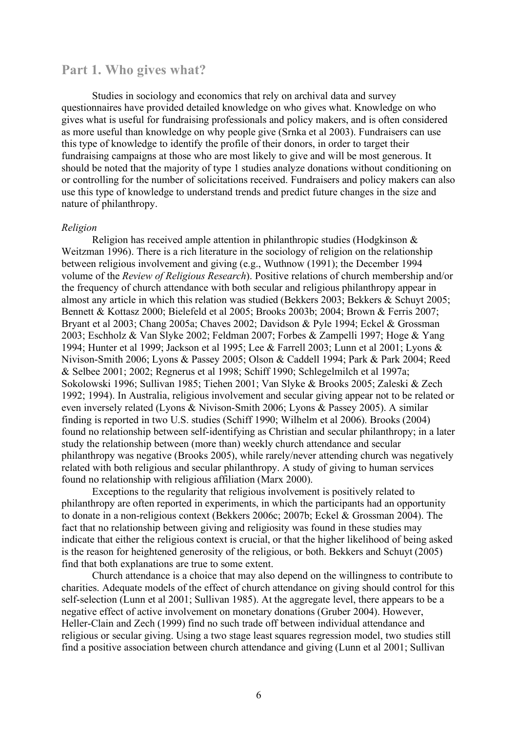# **Part 1. Who gives what?**

Studies in sociology and economics that rely on archival data and survey questionnaires have provided detailed knowledge on who gives what. Knowledge on who gives what is useful for fundraising professionals and policy makers, and is often considered as more useful than knowledge on why people give (Srnka et al 2003). Fundraisers can use this type of knowledge to identify the profile of their donors, in order to target their fundraising campaigns at those who are most likely to give and will be most generous. It should be noted that the majority of type 1 studies analyze donations without conditioning on or controlling for the number of solicitations received. Fundraisers and policy makers can also use this type of knowledge to understand trends and predict future changes in the size and nature of philanthropy.

#### *Religion*

Religion has received ample attention in philanthropic studies (Hodgkinson & Weitzman 1996). There is a rich literature in the sociology of religion on the relationship between religious involvement and giving (e.g., Wuthnow (1991); the December 1994 volume of the *Review of Religious Research*). Positive relations of church membership and/or the frequency of church attendance with both secular and religious philanthropy appear in almost any article in which this relation was studied (Bekkers 2003; Bekkers & Schuyt 2005; Bennett & Kottasz 2000; Bielefeld et al 2005; Brooks 2003b; 2004; Brown & Ferris 2007; Bryant et al 2003; Chang 2005a; Chaves 2002; Davidson & Pyle 1994; Eckel & Grossman 2003; Eschholz & Van Slyke 2002; Feldman 2007; Forbes & Zampelli 1997; Hoge & Yang 1994; Hunter et al 1999; Jackson et al 1995; Lee & Farrell 2003; Lunn et al 2001; Lyons & Nivison-Smith 2006; Lyons & Passey 2005; Olson & Caddell 1994; Park & Park 2004; Reed & Selbee 2001; 2002; Regnerus et al 1998; Schiff 1990; Schlegelmilch et al 1997a; Sokolowski 1996; Sullivan 1985; Tiehen 2001; Van Slyke & Brooks 2005; Zaleski & Zech 1992; 1994). In Australia, religious involvement and secular giving appear not to be related or even inversely related (Lyons & Nivison-Smith 2006; Lyons & Passey 2005). A similar finding is reported in two U.S. studies (Schiff 1990; Wilhelm et al 2006). Brooks (2004) found no relationship between self-identifying as Christian and secular philanthropy; in a later study the relationship between (more than) weekly church attendance and secular philanthropy was negative (Brooks 2005), while rarely/never attending church was negatively related with both religious and secular philanthropy. A study of giving to human services found no relationship with religious affiliation (Marx 2000).

Exceptions to the regularity that religious involvement is positively related to philanthropy are often reported in experiments, in which the participants had an opportunity to donate in a non-religious context (Bekkers 2006c; 2007b; Eckel & Grossman 2004). The fact that no relationship between giving and religiosity was found in these studies may indicate that either the religious context is crucial, or that the higher likelihood of being asked is the reason for heightened generosity of the religious, or both. Bekkers and Schuyt (2005) find that both explanations are true to some extent.

Church attendance is a choice that may also depend on the willingness to contribute to charities. Adequate models of the effect of church attendance on giving should control for this self-selection (Lunn et al 2001; Sullivan 1985). At the aggregate level, there appears to be a negative effect of active involvement on monetary donations (Gruber 2004). However, Heller-Clain and Zech (1999) find no such trade off between individual attendance and religious or secular giving. Using a two stage least squares regression model, two studies still find a positive association between church attendance and giving (Lunn et al 2001; Sullivan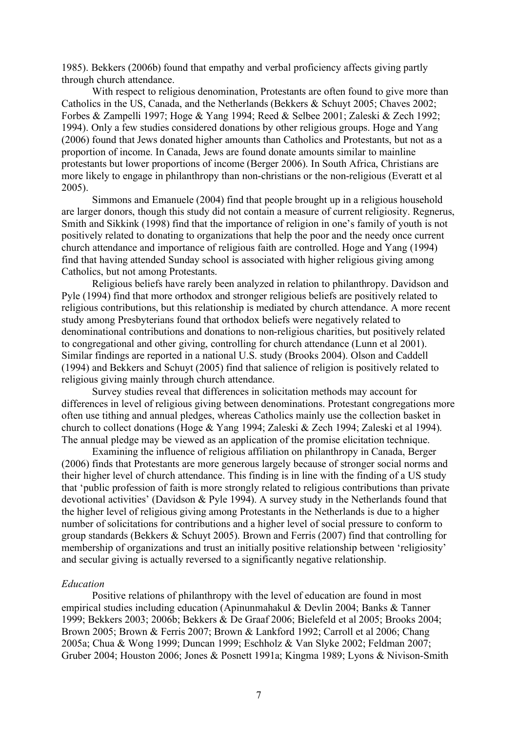1985). Bekkers (2006b) found that empathy and verbal proficiency affects giving partly through church attendance.

With respect to religious denomination, Protestants are often found to give more than Catholics in the US, Canada, and the Netherlands (Bekkers & Schuyt 2005; Chaves 2002; Forbes & Zampelli 1997; Hoge & Yang 1994; Reed & Selbee 2001; Zaleski & Zech 1992; 1994). Only a few studies considered donations by other religious groups. Hoge and Yang (2006) found that Jews donated higher amounts than Catholics and Protestants, but not as a proportion of income. In Canada, Jews are found donate amounts similar to mainline protestants but lower proportions of income (Berger 2006). In South Africa, Christians are more likely to engage in philanthropy than non-christians or the non-religious (Everatt et al 2005).

Simmons and Emanuele (2004) find that people brought up in a religious household are larger donors, though this study did not contain a measure of current religiosity. Regnerus, Smith and Sikkink (1998) find that the importance of religion in one's family of youth is not positively related to donating to organizations that help the poor and the needy once current church attendance and importance of religious faith are controlled. Hoge and Yang (1994) find that having attended Sunday school is associated with higher religious giving among Catholics, but not among Protestants.

Religious beliefs have rarely been analyzed in relation to philanthropy. Davidson and Pyle (1994) find that more orthodox and stronger religious beliefs are positively related to religious contributions, but this relationship is mediated by church attendance. A more recent study among Presbyterians found that orthodox beliefs were negatively related to denominational contributions and donations to non-religious charities, but positively related to congregational and other giving, controlling for church attendance (Lunn et al 2001). Similar findings are reported in a national U.S. study (Brooks 2004). Olson and Caddell (1994) and Bekkers and Schuyt (2005) find that salience of religion is positively related to religious giving mainly through church attendance.

Survey studies reveal that differences in solicitation methods may account for differences in level of religious giving between denominations. Protestant congregations more often use tithing and annual pledges, whereas Catholics mainly use the collection basket in church to collect donations (Hoge & Yang 1994; Zaleski & Zech 1994; Zaleski et al 1994). The annual pledge may be viewed as an application of the promise elicitation technique.

Examining the influence of religious affiliation on philanthropy in Canada, Berger (2006) finds that Protestants are more generous largely because of stronger social norms and their higher level of church attendance. This finding is in line with the finding of a US study that 'public profession of faith is more strongly related to religious contributions than private devotional activities' (Davidson & Pyle 1994). A survey study in the Netherlands found that the higher level of religious giving among Protestants in the Netherlands is due to a higher number of solicitations for contributions and a higher level of social pressure to conform to group standards (Bekkers & Schuyt 2005). Brown and Ferris (2007) find that controlling for membership of organizations and trust an initially positive relationship between 'religiosity' and secular giving is actually reversed to a significantly negative relationship.

#### *Education*

Positive relations of philanthropy with the level of education are found in most empirical studies including education (Apinunmahakul & Devlin 2004; Banks & Tanner 1999; Bekkers 2003; 2006b; Bekkers & De Graaf 2006; Bielefeld et al 2005; Brooks 2004; Brown 2005; Brown & Ferris 2007; Brown & Lankford 1992; Carroll et al 2006; Chang 2005a; Chua & Wong 1999; Duncan 1999; Eschholz & Van Slyke 2002; Feldman 2007; Gruber 2004; Houston 2006; Jones & Posnett 1991a; Kingma 1989; Lyons & Nivison-Smith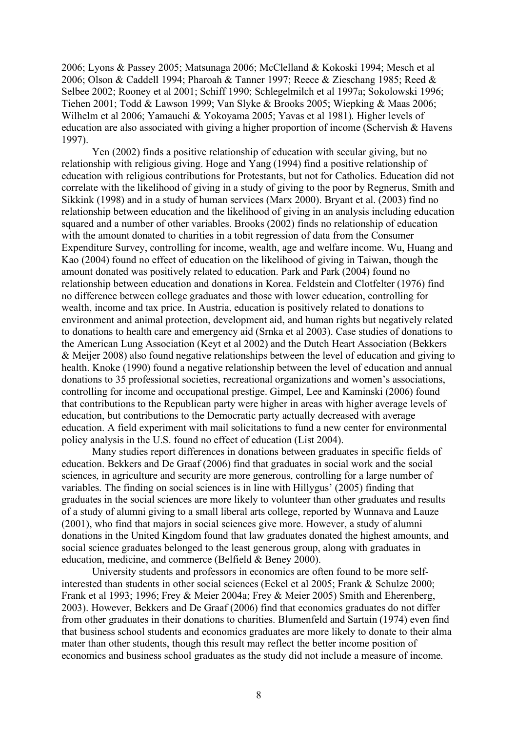2006; Lyons & Passey 2005; Matsunaga 2006; McClelland & Kokoski 1994; Mesch et al 2006; Olson & Caddell 1994; Pharoah & Tanner 1997; Reece & Zieschang 1985; Reed & Selbee 2002; Rooney et al 2001; Schiff 1990; Schlegelmilch et al 1997a; Sokolowski 1996; Tiehen 2001; Todd & Lawson 1999; Van Slyke & Brooks 2005; Wiepking & Maas 2006; Wilhelm et al 2006; Yamauchi & Yokoyama 2005; Yavas et al 1981). Higher levels of education are also associated with giving a higher proportion of income (Schervish & Havens 1997).

Yen (2002) finds a positive relationship of education with secular giving, but no relationship with religious giving. Hoge and Yang (1994) find a positive relationship of education with religious contributions for Protestants, but not for Catholics. Education did not correlate with the likelihood of giving in a study of giving to the poor by Regnerus, Smith and Sikkink (1998) and in a study of human services (Marx 2000). Bryant et al. (2003) find no relationship between education and the likelihood of giving in an analysis including education squared and a number of other variables. Brooks (2002) finds no relationship of education with the amount donated to charities in a tobit regression of data from the Consumer Expenditure Survey, controlling for income, wealth, age and welfare income. Wu, Huang and Kao (2004) found no effect of education on the likelihood of giving in Taiwan, though the amount donated was positively related to education. Park and Park (2004) found no relationship between education and donations in Korea. Feldstein and Clotfelter (1976) find no difference between college graduates and those with lower education, controlling for wealth, income and tax price. In Austria, education is positively related to donations to environment and animal protection, development aid, and human rights but negatively related to donations to health care and emergency aid (Srnka et al 2003). Case studies of donations to the American Lung Association (Keyt et al 2002) and the Dutch Heart Association (Bekkers & Meijer 2008) also found negative relationships between the level of education and giving to health. Knoke (1990) found a negative relationship between the level of education and annual donations to 35 professional societies, recreational organizations and women's associations, controlling for income and occupational prestige. Gimpel, Lee and Kaminski (2006) found that contributions to the Republican party were higher in areas with higher average levels of education, but contributions to the Democratic party actually decreased with average education. A field experiment with mail solicitations to fund a new center for environmental policy analysis in the U.S. found no effect of education (List 2004).

Many studies report differences in donations between graduates in specific fields of education. Bekkers and De Graaf (2006) find that graduates in social work and the social sciences, in agriculture and security are more generous, controlling for a large number of variables. The finding on social sciences is in line with Hillygus' (2005) finding that graduates in the social sciences are more likely to volunteer than other graduates and results of a study of alumni giving to a small liberal arts college, reported by Wunnava and Lauze (2001), who find that majors in social sciences give more. However, a study of alumni donations in the United Kingdom found that law graduates donated the highest amounts, and social science graduates belonged to the least generous group, along with graduates in education, medicine, and commerce (Belfield & Beney 2000).

University students and professors in economics are often found to be more selfinterested than students in other social sciences (Eckel et al 2005; Frank & Schulze 2000; Frank et al 1993; 1996; Frey & Meier 2004a; Frey & Meier 2005) Smith and Eherenberg, 2003). However, Bekkers and De Graaf (2006) find that economics graduates do not differ from other graduates in their donations to charities. Blumenfeld and Sartain (1974) even find that business school students and economics graduates are more likely to donate to their alma mater than other students, though this result may reflect the better income position of economics and business school graduates as the study did not include a measure of income.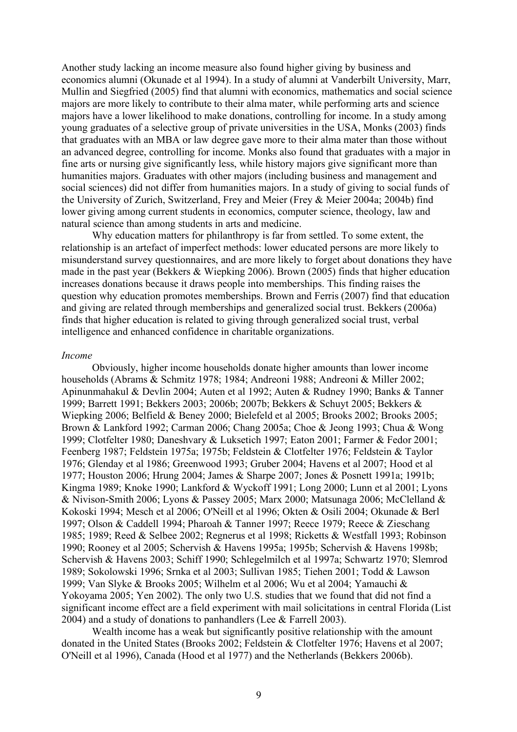Another study lacking an income measure also found higher giving by business and economics alumni (Okunade et al 1994). In a study of alumni at Vanderbilt University, Marr, Mullin and Siegfried (2005) find that alumni with economics, mathematics and social science majors are more likely to contribute to their alma mater, while performing arts and science majors have a lower likelihood to make donations, controlling for income. In a study among young graduates of a selective group of private universities in the USA, Monks (2003) finds that graduates with an MBA or law degree gave more to their alma mater than those without an advanced degree, controlling for income. Monks also found that graduates with a major in fine arts or nursing give significantly less, while history majors give significant more than humanities majors. Graduates with other majors (including business and management and social sciences) did not differ from humanities majors. In a study of giving to social funds of the University of Zurich, Switzerland, Frey and Meier (Frey & Meier 2004a; 2004b) find lower giving among current students in economics, computer science, theology, law and natural science than among students in arts and medicine.

Why education matters for philanthropy is far from settled. To some extent, the relationship is an artefact of imperfect methods: lower educated persons are more likely to misunderstand survey questionnaires, and are more likely to forget about donations they have made in the past year (Bekkers & Wiepking 2006). Brown (2005) finds that higher education increases donations because it draws people into memberships. This finding raises the question why education promotes memberships. Brown and Ferris (2007) find that education and giving are related through memberships and generalized social trust. Bekkers (2006a) finds that higher education is related to giving through generalized social trust, verbal intelligence and enhanced confidence in charitable organizations.

#### *Income*

Obviously, higher income households donate higher amounts than lower income households (Abrams & Schmitz 1978; 1984; Andreoni 1988; Andreoni & Miller 2002; Apinunmahakul & Devlin 2004; Auten et al 1992; Auten & Rudney 1990; Banks & Tanner 1999; Barrett 1991; Bekkers 2003; 2006b; 2007b; Bekkers & Schuyt 2005; Bekkers & Wiepking 2006; Belfield & Beney 2000; Bielefeld et al 2005; Brooks 2002; Brooks 2005; Brown & Lankford 1992; Carman 2006; Chang 2005a; Choe & Jeong 1993; Chua & Wong 1999; Clotfelter 1980; Daneshvary & Luksetich 1997; Eaton 2001; Farmer & Fedor 2001; Feenberg 1987; Feldstein 1975a; 1975b; Feldstein & Clotfelter 1976; Feldstein & Taylor 1976; Glenday et al 1986; Greenwood 1993; Gruber 2004; Havens et al 2007; Hood et al 1977; Houston 2006; Hrung 2004; James & Sharpe 2007; Jones & Posnett 1991a; 1991b; Kingma 1989; Knoke 1990; Lankford & Wyckoff 1991; Long 2000; Lunn et al 2001; Lyons & Nivison-Smith 2006; Lyons & Passey 2005; Marx 2000; Matsunaga 2006; McClelland & Kokoski 1994; Mesch et al 2006; O'Neill et al 1996; Okten & Osili 2004; Okunade & Berl 1997; Olson & Caddell 1994; Pharoah & Tanner 1997; Reece 1979; Reece & Zieschang 1985; 1989; Reed & Selbee 2002; Regnerus et al 1998; Ricketts & Westfall 1993; Robinson 1990; Rooney et al 2005; Schervish & Havens 1995a; 1995b; Schervish & Havens 1998b; Schervish & Havens 2003; Schiff 1990; Schlegelmilch et al 1997a; Schwartz 1970; Slemrod 1989; Sokolowski 1996; Srnka et al 2003; Sullivan 1985; Tiehen 2001; Todd & Lawson 1999; Van Slyke & Brooks 2005; Wilhelm et al 2006; Wu et al 2004; Yamauchi & Yokoyama 2005; Yen 2002). The only two U.S. studies that we found that did not find a significant income effect are a field experiment with mail solicitations in central Florida (List 2004) and a study of donations to panhandlers (Lee & Farrell 2003).

Wealth income has a weak but significantly positive relationship with the amount donated in the United States (Brooks 2002; Feldstein & Clotfelter 1976; Havens et al 2007; O'Neill et al 1996), Canada (Hood et al 1977) and the Netherlands (Bekkers 2006b).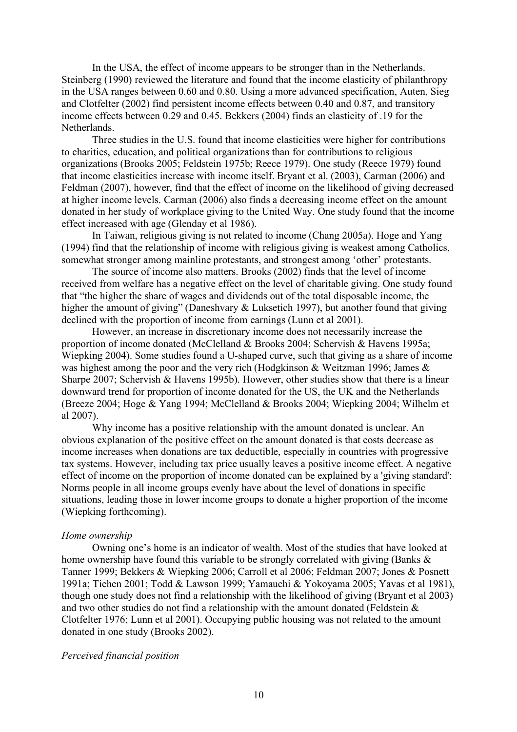In the USA, the effect of income appears to be stronger than in the Netherlands. Steinberg (1990) reviewed the literature and found that the income elasticity of philanthropy in the USA ranges between 0.60 and 0.80. Using a more advanced specification, Auten, Sieg and Clotfelter (2002) find persistent income effects between 0.40 and 0.87, and transitory income effects between 0.29 and 0.45. Bekkers (2004) finds an elasticity of .19 for the **Netherlands** 

Three studies in the U.S. found that income elasticities were higher for contributions to charities, education, and political organizations than for contributions to religious organizations (Brooks 2005; Feldstein 1975b; Reece 1979). One study (Reece 1979) found that income elasticities increase with income itself. Bryant et al. (2003), Carman (2006) and Feldman (2007), however, find that the effect of income on the likelihood of giving decreased at higher income levels. Carman (2006) also finds a decreasing income effect on the amount donated in her study of workplace giving to the United Way. One study found that the income effect increased with age (Glenday et al 1986).

In Taiwan, religious giving is not related to income (Chang 2005a). Hoge and Yang (1994) find that the relationship of income with religious giving is weakest among Catholics, somewhat stronger among mainline protestants, and strongest among 'other' protestants.

The source of income also matters. Brooks (2002) finds that the level of income received from welfare has a negative effect on the level of charitable giving. One study found that "the higher the share of wages and dividends out of the total disposable income, the higher the amount of giving" (Daneshvary & Luksetich 1997), but another found that giving declined with the proportion of income from earnings (Lunn et al 2001).

However, an increase in discretionary income does not necessarily increase the proportion of income donated (McClelland & Brooks 2004; Schervish & Havens 1995a; Wiepking 2004). Some studies found a U-shaped curve, such that giving as a share of income was highest among the poor and the very rich (Hodgkinson & Weitzman 1996; James & Sharpe 2007; Schervish & Havens 1995b). However, other studies show that there is a linear downward trend for proportion of income donated for the US, the UK and the Netherlands (Breeze 2004; Hoge & Yang 1994; McClelland & Brooks 2004; Wiepking 2004; Wilhelm et al 2007).

Why income has a positive relationship with the amount donated is unclear. An obvious explanation of the positive effect on the amount donated is that costs decrease as income increases when donations are tax deductible, especially in countries with progressive tax systems. However, including tax price usually leaves a positive income effect. A negative effect of income on the proportion of income donated can be explained by a 'giving standard': Norms people in all income groups evenly have about the level of donations in specific situations, leading those in lower income groups to donate a higher proportion of the income (Wiepking forthcoming).

#### *Home ownership*

Owning one's home is an indicator of wealth. Most of the studies that have looked at home ownership have found this variable to be strongly correlated with giving (Banks  $\&$ Tanner 1999; Bekkers & Wiepking 2006; Carroll et al 2006; Feldman 2007; Jones & Posnett 1991a; Tiehen 2001; Todd & Lawson 1999; Yamauchi & Yokoyama 2005; Yavas et al 1981), though one study does not find a relationship with the likelihood of giving (Bryant et al 2003) and two other studies do not find a relationship with the amount donated (Feldstein & Clotfelter 1976; Lunn et al 2001). Occupying public housing was not related to the amount donated in one study (Brooks 2002).

#### *Perceived financial position*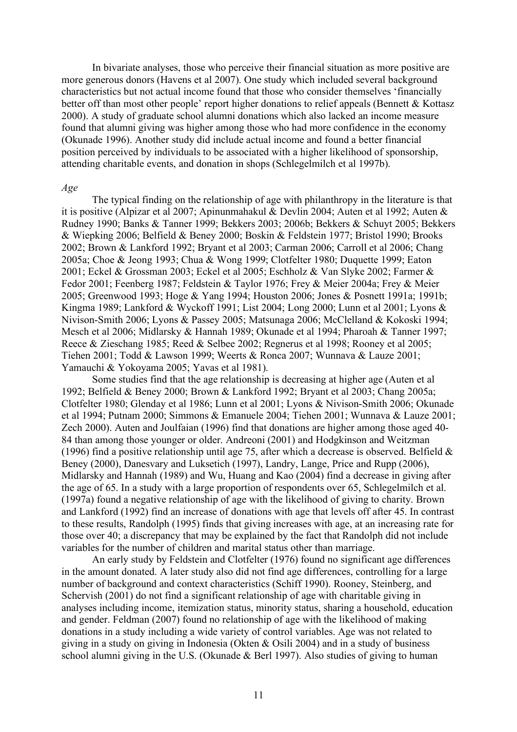In bivariate analyses, those who perceive their financial situation as more positive are more generous donors (Havens et al 2007). One study which included several background characteristics but not actual income found that those who consider themselves 'financially better off than most other people' report higher donations to relief appeals (Bennett & Kottasz 2000). A study of graduate school alumni donations which also lacked an income measure found that alumni giving was higher among those who had more confidence in the economy (Okunade 1996). Another study did include actual income and found a better financial position perceived by individuals to be associated with a higher likelihood of sponsorship, attending charitable events, and donation in shops (Schlegelmilch et al 1997b).

#### *Age*

The typical finding on the relationship of age with philanthropy in the literature is that it is positive (Alpizar et al 2007; Apinunmahakul & Devlin 2004; Auten et al 1992; Auten & Rudney 1990; Banks & Tanner 1999; Bekkers 2003; 2006b; Bekkers & Schuyt 2005; Bekkers & Wiepking 2006; Belfield & Beney 2000; Boskin & Feldstein 1977; Bristol 1990; Brooks 2002; Brown & Lankford 1992; Bryant et al 2003; Carman 2006; Carroll et al 2006; Chang 2005a; Choe & Jeong 1993; Chua & Wong 1999; Clotfelter 1980; Duquette 1999; Eaton 2001; Eckel & Grossman 2003; Eckel et al 2005; Eschholz & Van Slyke 2002; Farmer & Fedor 2001; Feenberg 1987; Feldstein & Taylor 1976; Frey & Meier 2004a; Frey & Meier 2005; Greenwood 1993; Hoge & Yang 1994; Houston 2006; Jones & Posnett 1991a; 1991b; Kingma 1989; Lankford & Wyckoff 1991; List 2004; Long 2000; Lunn et al 2001; Lyons & Nivison-Smith 2006; Lyons & Passey 2005; Matsunaga 2006; McClelland & Kokoski 1994; Mesch et al 2006; Midlarsky & Hannah 1989; Okunade et al 1994; Pharoah & Tanner 1997; Reece & Zieschang 1985; Reed & Selbee 2002; Regnerus et al 1998; Rooney et al 2005; Tiehen 2001; Todd & Lawson 1999; Weerts & Ronca 2007; Wunnava & Lauze 2001; Yamauchi & Yokoyama 2005; Yavas et al 1981).

Some studies find that the age relationship is decreasing at higher age (Auten et al 1992; Belfield & Beney 2000; Brown & Lankford 1992; Bryant et al 2003; Chang 2005a; Clotfelter 1980; Glenday et al 1986; Lunn et al 2001; Lyons & Nivison-Smith 2006; Okunade et al 1994; Putnam 2000; Simmons & Emanuele 2004; Tiehen 2001; Wunnava & Lauze 2001; Zech 2000). Auten and Joulfaian (1996) find that donations are higher among those aged 40- 84 than among those younger or older. Andreoni (2001) and Hodgkinson and Weitzman (1996) find a positive relationship until age 75, after which a decrease is observed. Belfield  $\&$ Beney (2000), Danesvary and Luksetich (1997), Landry, Lange, Price and Rupp (2006), Midlarsky and Hannah (1989) and Wu, Huang and Kao (2004) find a decrease in giving after the age of 65. In a study with a large proportion of respondents over 65, Schlegelmilch et al. (1997a) found a negative relationship of age with the likelihood of giving to charity. Brown and Lankford (1992) find an increase of donations with age that levels off after 45. In contrast to these results, Randolph (1995) finds that giving increases with age, at an increasing rate for those over 40; a discrepancy that may be explained by the fact that Randolph did not include variables for the number of children and marital status other than marriage.

An early study by Feldstein and Clotfelter (1976) found no significant age differences in the amount donated. A later study also did not find age differences, controlling for a large number of background and context characteristics (Schiff 1990). Rooney, Steinberg, and Schervish (2001) do not find a significant relationship of age with charitable giving in analyses including income, itemization status, minority status, sharing a household, education and gender. Feldman (2007) found no relationship of age with the likelihood of making donations in a study including a wide variety of control variables. Age was not related to giving in a study on giving in Indonesia (Okten & Osili 2004) and in a study of business school alumni giving in the U.S. (Okunade & Berl 1997). Also studies of giving to human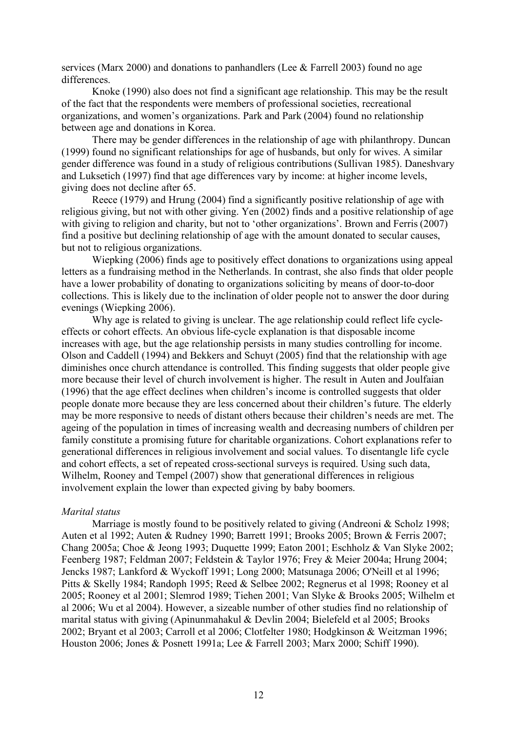services (Marx 2000) and donations to panhandlers (Lee & Farrell 2003) found no age differences.

Knoke (1990) also does not find a significant age relationship. This may be the result of the fact that the respondents were members of professional societies, recreational organizations, and women's organizations. Park and Park (2004) found no relationship between age and donations in Korea.

There may be gender differences in the relationship of age with philanthropy. Duncan (1999) found no significant relationships for age of husbands, but only for wives. A similar gender difference was found in a study of religious contributions (Sullivan 1985). Daneshvary and Luksetich (1997) find that age differences vary by income: at higher income levels, giving does not decline after 65.

Reece (1979) and Hrung (2004) find a significantly positive relationship of age with religious giving, but not with other giving. Yen (2002) finds and a positive relationship of age with giving to religion and charity, but not to 'other organizations'. Brown and Ferris (2007) find a positive but declining relationship of age with the amount donated to secular causes, but not to religious organizations.

Wiepking (2006) finds age to positively effect donations to organizations using appeal letters as a fundraising method in the Netherlands. In contrast, she also finds that older people have a lower probability of donating to organizations soliciting by means of door-to-door collections. This is likely due to the inclination of older people not to answer the door during evenings (Wiepking 2006).

Why age is related to giving is unclear. The age relationship could reflect life cycleeffects or cohort effects. An obvious life-cycle explanation is that disposable income increases with age, but the age relationship persists in many studies controlling for income. Olson and Caddell (1994) and Bekkers and Schuyt (2005) find that the relationship with age diminishes once church attendance is controlled. This finding suggests that older people give more because their level of church involvement is higher. The result in Auten and Joulfaian (1996) that the age effect declines when children's income is controlled suggests that older people donate more because they are less concerned about their children's future. The elderly may be more responsive to needs of distant others because their children's needs are met. The ageing of the population in times of increasing wealth and decreasing numbers of children per family constitute a promising future for charitable organizations. Cohort explanations refer to generational differences in religious involvement and social values. To disentangle life cycle and cohort effects, a set of repeated cross-sectional surveys is required. Using such data, Wilhelm, Rooney and Tempel (2007) show that generational differences in religious involvement explain the lower than expected giving by baby boomers.

#### *Marital status*

Marriage is mostly found to be positively related to giving (Andreoni & Scholz 1998; Auten et al 1992; Auten & Rudney 1990; Barrett 1991; Brooks 2005; Brown & Ferris 2007; Chang 2005a; Choe & Jeong 1993; Duquette 1999; Eaton 2001; Eschholz & Van Slyke 2002; Feenberg 1987; Feldman 2007; Feldstein & Taylor 1976; Frey & Meier 2004a; Hrung 2004; Jencks 1987; Lankford & Wyckoff 1991; Long 2000; Matsunaga 2006; O'Neill et al 1996; Pitts & Skelly 1984; Randoph 1995; Reed & Selbee 2002; Regnerus et al 1998; Rooney et al 2005; Rooney et al 2001; Slemrod 1989; Tiehen 2001; Van Slyke & Brooks 2005; Wilhelm et al 2006; Wu et al 2004). However, a sizeable number of other studies find no relationship of marital status with giving (Apinunmahakul & Devlin 2004; Bielefeld et al 2005; Brooks 2002; Bryant et al 2003; Carroll et al 2006; Clotfelter 1980; Hodgkinson & Weitzman 1996; Houston 2006; Jones & Posnett 1991a; Lee & Farrell 2003; Marx 2000; Schiff 1990).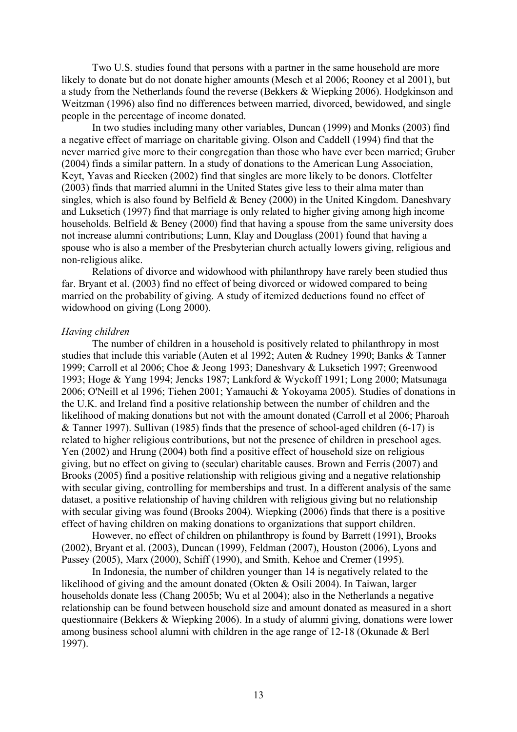Two U.S. studies found that persons with a partner in the same household are more likely to donate but do not donate higher amounts (Mesch et al 2006; Rooney et al 2001), but a study from the Netherlands found the reverse (Bekkers & Wiepking 2006). Hodgkinson and Weitzman (1996) also find no differences between married, divorced, bewidowed, and single people in the percentage of income donated.

In two studies including many other variables, Duncan (1999) and Monks (2003) find a negative effect of marriage on charitable giving. Olson and Caddell (1994) find that the never married give more to their congregation than those who have ever been married; Gruber (2004) finds a similar pattern. In a study of donations to the American Lung Association, Keyt, Yavas and Riecken (2002) find that singles are more likely to be donors. Clotfelter (2003) finds that married alumni in the United States give less to their alma mater than singles, which is also found by Belfield  $\&$  Beney (2000) in the United Kingdom. Daneshvary and Luksetich (1997) find that marriage is only related to higher giving among high income households. Belfield & Beney (2000) find that having a spouse from the same university does not increase alumni contributions; Lunn, Klay and Douglass (2001) found that having a spouse who is also a member of the Presbyterian church actually lowers giving, religious and non-religious alike.

Relations of divorce and widowhood with philanthropy have rarely been studied thus far. Bryant et al. (2003) find no effect of being divorced or widowed compared to being married on the probability of giving. A study of itemized deductions found no effect of widowhood on giving (Long 2000).

#### *Having children*

The number of children in a household is positively related to philanthropy in most studies that include this variable (Auten et al 1992; Auten & Rudney 1990; Banks & Tanner 1999; Carroll et al 2006; Choe & Jeong 1993; Daneshvary & Luksetich 1997; Greenwood 1993; Hoge & Yang 1994; Jencks 1987; Lankford & Wyckoff 1991; Long 2000; Matsunaga 2006; O'Neill et al 1996; Tiehen 2001; Yamauchi & Yokoyama 2005). Studies of donations in the U.K. and Ireland find a positive relationship between the number of children and the likelihood of making donations but not with the amount donated (Carroll et al 2006; Pharoah & Tanner 1997). Sullivan (1985) finds that the presence of school-aged children (6-17) is related to higher religious contributions, but not the presence of children in preschool ages. Yen (2002) and Hrung (2004) both find a positive effect of household size on religious giving, but no effect on giving to (secular) charitable causes. Brown and Ferris (2007) and Brooks (2005) find a positive relationship with religious giving and a negative relationship with secular giving, controlling for memberships and trust. In a different analysis of the same dataset, a positive relationship of having children with religious giving but no relationship with secular giving was found (Brooks 2004). Wiepking (2006) finds that there is a positive effect of having children on making donations to organizations that support children.

However, no effect of children on philanthropy is found by Barrett (1991), Brooks (2002), Bryant et al. (2003), Duncan (1999), Feldman (2007), Houston (2006), Lyons and Passey (2005), Marx (2000), Schiff (1990), and Smith, Kehoe and Cremer (1995).

In Indonesia, the number of children younger than 14 is negatively related to the likelihood of giving and the amount donated (Okten & Osili 2004). In Taiwan, larger households donate less (Chang 2005b; Wu et al 2004); also in the Netherlands a negative relationship can be found between household size and amount donated as measured in a short questionnaire (Bekkers & Wiepking 2006). In a study of alumni giving, donations were lower among business school alumni with children in the age range of 12-18 (Okunade & Berl 1997).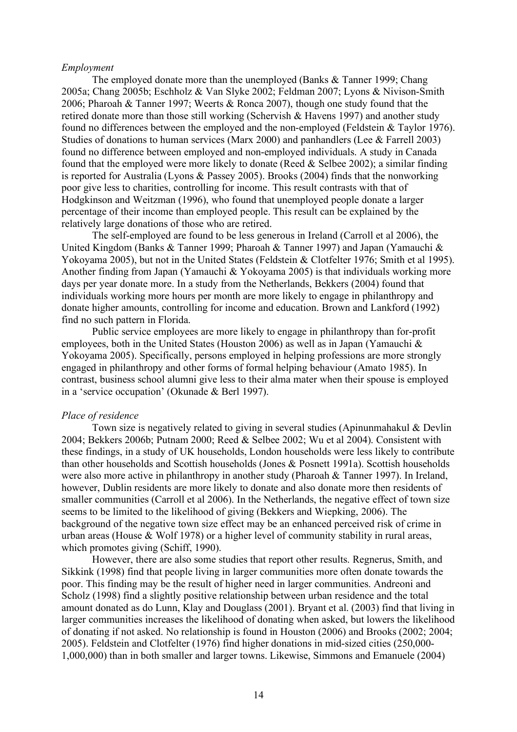#### *Employment*

The employed donate more than the unemployed (Banks & Tanner 1999; Chang 2005a; Chang 2005b; Eschholz & Van Slyke 2002; Feldman 2007; Lyons & Nivison-Smith 2006; Pharoah & Tanner 1997; Weerts & Ronca 2007), though one study found that the retired donate more than those still working (Schervish & Havens 1997) and another study found no differences between the employed and the non-employed (Feldstein & Taylor 1976). Studies of donations to human services (Marx 2000) and panhandlers (Lee & Farrell 2003) found no difference between employed and non-employed individuals. A study in Canada found that the employed were more likely to donate (Reed  $&$  Selbee 2002); a similar finding is reported for Australia (Lyons & Passey 2005). Brooks (2004) finds that the nonworking poor give less to charities, controlling for income. This result contrasts with that of Hodgkinson and Weitzman (1996), who found that unemployed people donate a larger percentage of their income than employed people. This result can be explained by the relatively large donations of those who are retired.

The self-employed are found to be less generous in Ireland (Carroll et al 2006), the United Kingdom (Banks & Tanner 1999; Pharoah & Tanner 1997) and Japan (Yamauchi & Yokoyama 2005), but not in the United States (Feldstein & Clotfelter 1976; Smith et al 1995). Another finding from Japan (Yamauchi & Yokoyama 2005) is that individuals working more days per year donate more. In a study from the Netherlands, Bekkers (2004) found that individuals working more hours per month are more likely to engage in philanthropy and donate higher amounts, controlling for income and education. Brown and Lankford (1992) find no such pattern in Florida.

Public service employees are more likely to engage in philanthropy than for-profit employees, both in the United States (Houston 2006) as well as in Japan (Yamauchi & Yokoyama 2005). Specifically, persons employed in helping professions are more strongly engaged in philanthropy and other forms of formal helping behaviour (Amato 1985). In contrast, business school alumni give less to their alma mater when their spouse is employed in a 'service occupation' (Okunade & Berl 1997).

# *Place of residence*

Town size is negatively related to giving in several studies (Apinunmahakul  $\&$  Devlin 2004; Bekkers 2006b; Putnam 2000; Reed & Selbee 2002; Wu et al 2004). Consistent with these findings, in a study of UK households, London households were less likely to contribute than other households and Scottish households (Jones & Posnett 1991a). Scottish households were also more active in philanthropy in another study (Pharoah & Tanner 1997). In Ireland, however, Dublin residents are more likely to donate and also donate more then residents of smaller communities (Carroll et al 2006). In the Netherlands, the negative effect of town size seems to be limited to the likelihood of giving (Bekkers and Wiepking, 2006). The background of the negative town size effect may be an enhanced perceived risk of crime in urban areas (House & Wolf 1978) or a higher level of community stability in rural areas, which promotes giving (Schiff, 1990).

However, there are also some studies that report other results. Regnerus, Smith, and Sikkink (1998) find that people living in larger communities more often donate towards the poor. This finding may be the result of higher need in larger communities. Andreoni and Scholz (1998) find a slightly positive relationship between urban residence and the total amount donated as do Lunn, Klay and Douglass (2001). Bryant et al. (2003) find that living in larger communities increases the likelihood of donating when asked, but lowers the likelihood of donating if not asked. No relationship is found in Houston (2006) and Brooks (2002; 2004; 2005). Feldstein and Clotfelter (1976) find higher donations in mid-sized cities (250,000- 1,000,000) than in both smaller and larger towns. Likewise, Simmons and Emanuele (2004)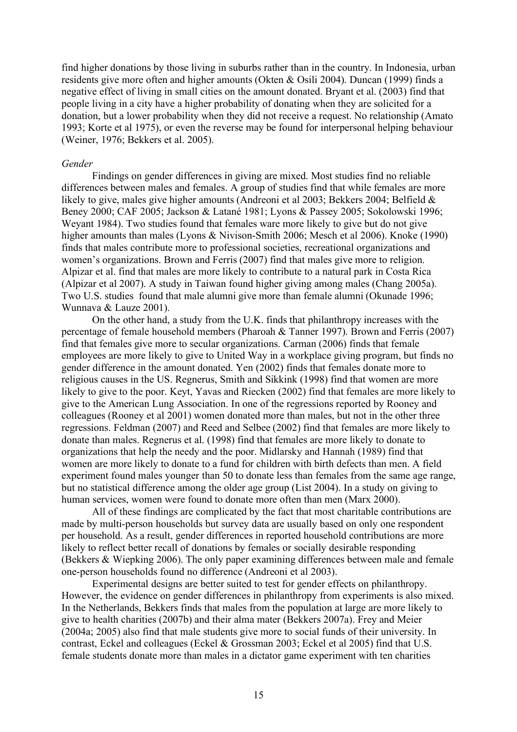find higher donations by those living in suburbs rather than in the country. In Indonesia, urban residents give more often and higher amounts (Okten & Osili 2004). Duncan (1999) finds a negative effect of living in small cities on the amount donated. Bryant et al. (2003) find that people living in a city have a higher probability of donating when they are solicited for a donation, but a lower probability when they did not receive a request. No relationship (Amato 1993; Korte et al 1975), or even the reverse may be found for interpersonal helping behaviour (Weiner, 1976; Bekkers et al. 2005).

### *Gender*

Findings on gender differences in giving are mixed. Most studies find no reliable differences between males and females. A group of studies find that while females are more likely to give, males give higher amounts (Andreoni et al 2003; Bekkers 2004; Belfield & Beney 2000; CAF 2005; Jackson & Latané 1981; Lyons & Passey 2005; Sokolowski 1996; Weyant 1984). Two studies found that females ware more likely to give but do not give higher amounts than males (Lyons & Nivison-Smith 2006; Mesch et al 2006). Knoke (1990) finds that males contribute more to professional societies, recreational organizations and women's organizations. Brown and Ferris (2007) find that males give more to religion. Alpizar et al. find that males are more likely to contribute to a natural park in Costa Rica (Alpizar et al 2007). A study in Taiwan found higher giving among males (Chang 2005a). Two U.S. studies found that male alumni give more than female alumni (Okunade 1996; Wunnava & Lauze 2001).

On the other hand, a study from the U.K. finds that philanthropy increases with the percentage of female household members (Pharoah & Tanner 1997). Brown and Ferris (2007) find that females give more to secular organizations. Carman (2006) finds that female employees are more likely to give to United Way in a workplace giving program, but finds no gender difference in the amount donated. Yen (2002) finds that females donate more to religious causes in the US. Regnerus, Smith and Sikkink (1998) find that women are more likely to give to the poor. Keyt, Yavas and Riecken (2002) find that females are more likely to give to the American Lung Association. In one of the regressions reported by Rooney and colleagues (Rooney et al 2001) women donated more than males, but not in the other three regressions. Feldman (2007) and Reed and Selbee (2002) find that females are more likely to donate than males. Regnerus et al. (1998) find that females are more likely to donate to organizations that help the needy and the poor. Midlarsky and Hannah (1989) find that women are more likely to donate to a fund for children with birth defects than men. A field experiment found males younger than 50 to donate less than females from the same age range, but no statistical difference among the older age group (List 2004). In a study on giving to human services, women were found to donate more often than men (Marx 2000).

All of these findings are complicated by the fact that most charitable contributions are made by multi-person households but survey data are usually based on only one respondent per household. As a result, gender differences in reported household contributions are more likely to reflect better recall of donations by females or socially desirable responding (Bekkers & Wiepking 2006). The only paper examining differences between male and female one-person households found no difference (Andreoni et al 2003).

Experimental designs are better suited to test for gender effects on philanthropy. However, the evidence on gender differences in philanthropy from experiments is also mixed. In the Netherlands, Bekkers finds that males from the population at large are more likely to give to health charities (2007b) and their alma mater (Bekkers 2007a). Frey and Meier (2004a; 2005) also find that male students give more to social funds of their university. In contrast, Eckel and colleagues (Eckel & Grossman 2003; Eckel et al 2005) find that U.S. female students donate more than males in a dictator game experiment with ten charities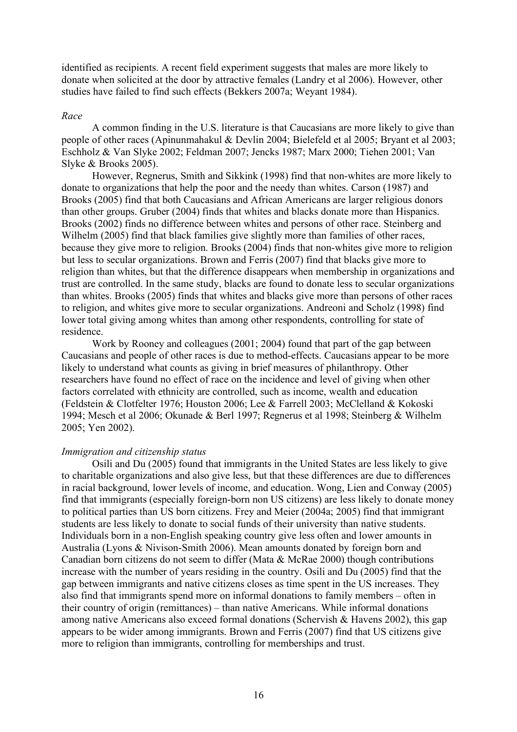identified as recipients. A recent field experiment suggests that males are more likely to donate when solicited at the door by attractive females (Landry et al 2006). However, other studies have failed to find such effects (Bekkers 2007a; Weyant 1984).

#### *Race*

A common finding in the U.S. literature is that Caucasians are more likely to give than people of other races (Apinunmahakul & Devlin 2004; Bielefeld et al 2005; Bryant et al 2003; Eschholz & Van Slyke 2002; Feldman 2007; Jencks 1987; Marx 2000; Tiehen 2001; Van Slyke & Brooks 2005).

However, Regnerus, Smith and Sikkink (1998) find that non-whites are more likely to donate to organizations that help the poor and the needy than whites. Carson (1987) and Brooks (2005) find that both Caucasians and African Americans are larger religious donors than other groups. Gruber (2004) finds that whites and blacks donate more than Hispanics. Brooks (2002) finds no difference between whites and persons of other race. Steinberg and Wilhelm (2005) find that black families give slightly more than families of other races, because they give more to religion. Brooks (2004) finds that non-whites give more to religion but less to secular organizations. Brown and Ferris (2007) find that blacks give more to religion than whites, but that the difference disappears when membership in organizations and trust are controlled. In the same study, blacks are found to donate less to secular organizations than whites. Brooks (2005) finds that whites and blacks give more than persons of other races to religion, and whites give more to secular organizations. Andreoni and Scholz (1998) find lower total giving among whites than among other respondents, controlling for state of residence.

Work by Rooney and colleagues (2001; 2004) found that part of the gap between Caucasians and people of other races is due to method-effects. Caucasians appear to be more likely to understand what counts as giving in brief measures of philanthropy. Other researchers have found no effect of race on the incidence and level of giving when other factors correlated with ethnicity are controlled, such as income, wealth and education (Feldstein & Clotfelter 1976; Houston 2006; Lee & Farrell 2003; McClelland & Kokoski 1994; Mesch et al 2006; Okunade & Berl 1997; Regnerus et al 1998; Steinberg & Wilhelm 2005; Yen 2002).

#### *Immigration and citizenship status*

Osili and Du (2005) found that immigrants in the United States are less likely to give to charitable organizations and also give less, but that these differences are due to differences in racial background, lower levels of income, and education. Wong, Lien and Conway (2005) find that immigrants (especially foreign-born non US citizens) are less likely to donate money to political parties than US born citizens. Frey and Meier (2004a; 2005) find that immigrant students are less likely to donate to social funds of their university than native students. Individuals born in a non-English speaking country give less often and lower amounts in Australia (Lyons & Nivison-Smith 2006). Mean amounts donated by foreign born and Canadian born citizens do not seem to differ (Mata & McRae 2000) though contributions increase with the number of years residing in the country. Osili and Du (2005) find that the gap between immigrants and native citizens closes as time spent in the US increases. They also find that immigrants spend more on informal donations to family members – often in their country of origin (remittances) – than native Americans. While informal donations among native Americans also exceed formal donations (Schervish & Havens 2002), this gap appears to be wider among immigrants. Brown and Ferris (2007) find that US citizens give more to religion than immigrants, controlling for memberships and trust.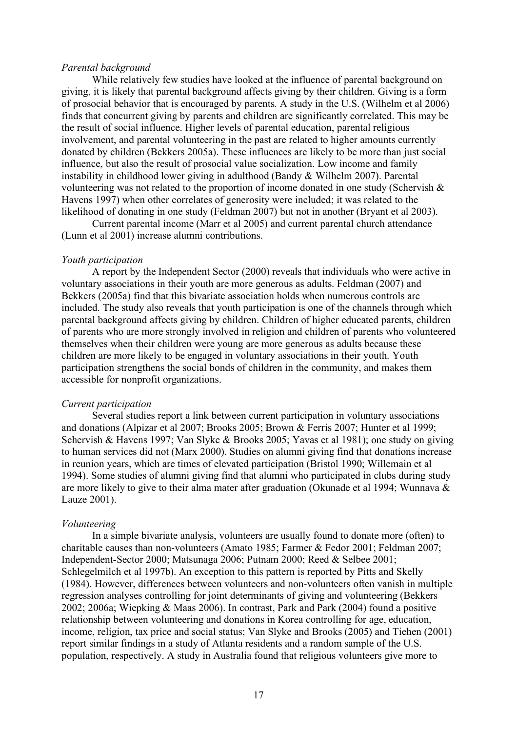#### *Parental background*

While relatively few studies have looked at the influence of parental background on giving, it is likely that parental background affects giving by their children. Giving is a form of prosocial behavior that is encouraged by parents. A study in the U.S. (Wilhelm et al 2006) finds that concurrent giving by parents and children are significantly correlated. This may be the result of social influence. Higher levels of parental education, parental religious involvement, and parental volunteering in the past are related to higher amounts currently donated by children (Bekkers 2005a). These influences are likely to be more than just social influence, but also the result of prosocial value socialization. Low income and family instability in childhood lower giving in adulthood (Bandy & Wilhelm 2007). Parental volunteering was not related to the proportion of income donated in one study (Schervish & Havens 1997) when other correlates of generosity were included; it was related to the likelihood of donating in one study (Feldman 2007) but not in another (Bryant et al 2003).

Current parental income (Marr et al 2005) and current parental church attendance (Lunn et al 2001) increase alumni contributions.

#### *Youth participation*

A report by the Independent Sector (2000) reveals that individuals who were active in voluntary associations in their youth are more generous as adults. Feldman (2007) and Bekkers (2005a) find that this bivariate association holds when numerous controls are included. The study also reveals that youth participation is one of the channels through which parental background affects giving by children. Children of higher educated parents, children of parents who are more strongly involved in religion and children of parents who volunteered themselves when their children were young are more generous as adults because these children are more likely to be engaged in voluntary associations in their youth. Youth participation strengthens the social bonds of children in the community, and makes them accessible for nonprofit organizations.

# *Current participation*

Several studies report a link between current participation in voluntary associations and donations (Alpizar et al 2007; Brooks 2005; Brown & Ferris 2007; Hunter et al 1999; Schervish & Havens 1997; Van Slyke & Brooks 2005; Yavas et al 1981); one study on giving to human services did not (Marx 2000). Studies on alumni giving find that donations increase in reunion years, which are times of elevated participation (Bristol 1990; Willemain et al 1994). Some studies of alumni giving find that alumni who participated in clubs during study are more likely to give to their alma mater after graduation (Okunade et al 1994; Wunnava & Lauze 2001).

#### *Volunteering*

In a simple bivariate analysis, volunteers are usually found to donate more (often) to charitable causes than non-volunteers (Amato 1985; Farmer & Fedor 2001; Feldman 2007; Independent-Sector 2000; Matsunaga 2006; Putnam 2000; Reed & Selbee 2001; Schlegelmilch et al 1997b). An exception to this pattern is reported by Pitts and Skelly (1984). However, differences between volunteers and non-volunteers often vanish in multiple regression analyses controlling for joint determinants of giving and volunteering (Bekkers 2002; 2006a; Wiepking & Maas 2006). In contrast, Park and Park (2004) found a positive relationship between volunteering and donations in Korea controlling for age, education, income, religion, tax price and social status; Van Slyke and Brooks (2005) and Tiehen (2001) report similar findings in a study of Atlanta residents and a random sample of the U.S. population, respectively. A study in Australia found that religious volunteers give more to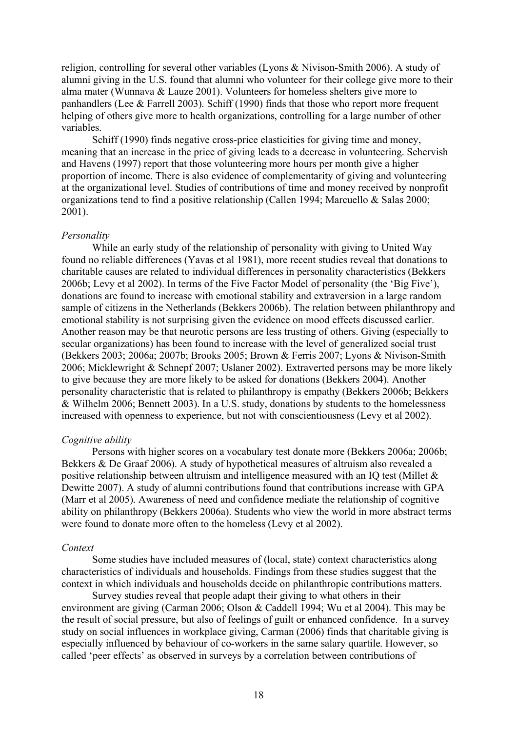religion, controlling for several other variables (Lyons & Nivison-Smith 2006). A study of alumni giving in the U.S. found that alumni who volunteer for their college give more to their alma mater (Wunnava & Lauze 2001). Volunteers for homeless shelters give more to panhandlers (Lee & Farrell 2003). Schiff (1990) finds that those who report more frequent helping of others give more to health organizations, controlling for a large number of other variables.

Schiff (1990) finds negative cross-price elasticities for giving time and money, meaning that an increase in the price of giving leads to a decrease in volunteering. Schervish and Havens (1997) report that those volunteering more hours per month give a higher proportion of income. There is also evidence of complementarity of giving and volunteering at the organizational level. Studies of contributions of time and money received by nonprofit organizations tend to find a positive relationship (Callen 1994; Marcuello & Salas 2000; 2001).

# *Personality*

While an early study of the relationship of personality with giving to United Way found no reliable differences (Yavas et al 1981), more recent studies reveal that donations to charitable causes are related to individual differences in personality characteristics (Bekkers 2006b; Levy et al 2002). In terms of the Five Factor Model of personality (the 'Big Five'), donations are found to increase with emotional stability and extraversion in a large random sample of citizens in the Netherlands (Bekkers 2006b). The relation between philanthropy and emotional stability is not surprising given the evidence on mood effects discussed earlier. Another reason may be that neurotic persons are less trusting of others. Giving (especially to secular organizations) has been found to increase with the level of generalized social trust (Bekkers 2003; 2006a; 2007b; Brooks 2005; Brown & Ferris 2007; Lyons & Nivison-Smith 2006; Micklewright & Schnepf 2007; Uslaner 2002). Extraverted persons may be more likely to give because they are more likely to be asked for donations (Bekkers 2004). Another personality characteristic that is related to philanthropy is empathy (Bekkers 2006b; Bekkers & Wilhelm 2006; Bennett 2003). In a U.S. study, donations by students to the homelessness increased with openness to experience, but not with conscientiousness (Levy et al 2002).

# *Cognitive ability*

Persons with higher scores on a vocabulary test donate more (Bekkers 2006a; 2006b; Bekkers & De Graaf 2006). A study of hypothetical measures of altruism also revealed a positive relationship between altruism and intelligence measured with an IQ test (Millet & Dewitte 2007). A study of alumni contributions found that contributions increase with GPA (Marr et al 2005). Awareness of need and confidence mediate the relationship of cognitive ability on philanthropy (Bekkers 2006a). Students who view the world in more abstract terms were found to donate more often to the homeless (Levy et al 2002).

#### *Context*

Some studies have included measures of (local, state) context characteristics along characteristics of individuals and households. Findings from these studies suggest that the context in which individuals and households decide on philanthropic contributions matters.

Survey studies reveal that people adapt their giving to what others in their environment are giving (Carman 2006; Olson & Caddell 1994; Wu et al 2004). This may be the result of social pressure, but also of feelings of guilt or enhanced confidence. In a survey study on social influences in workplace giving, Carman (2006) finds that charitable giving is especially influenced by behaviour of co-workers in the same salary quartile. However, so called 'peer effects' as observed in surveys by a correlation between contributions of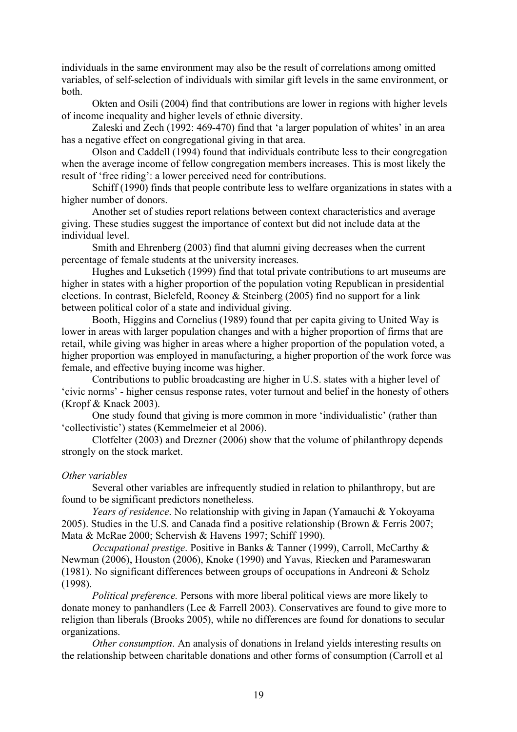individuals in the same environment may also be the result of correlations among omitted variables, of self-selection of individuals with similar gift levels in the same environment, or both.

Okten and Osili (2004) find that contributions are lower in regions with higher levels of income inequality and higher levels of ethnic diversity.

Zaleski and Zech (1992: 469-470) find that 'a larger population of whites' in an area has a negative effect on congregational giving in that area.

Olson and Caddell (1994) found that individuals contribute less to their congregation when the average income of fellow congregation members increases. This is most likely the result of 'free riding': a lower perceived need for contributions.

Schiff (1990) finds that people contribute less to welfare organizations in states with a higher number of donors.

Another set of studies report relations between context characteristics and average giving. These studies suggest the importance of context but did not include data at the individual level.

Smith and Ehrenberg (2003) find that alumni giving decreases when the current percentage of female students at the university increases.

Hughes and Luksetich (1999) find that total private contributions to art museums are higher in states with a higher proportion of the population voting Republican in presidential elections. In contrast, Bielefeld, Rooney & Steinberg (2005) find no support for a link between political color of a state and individual giving.

Booth, Higgins and Cornelius (1989) found that per capita giving to United Way is lower in areas with larger population changes and with a higher proportion of firms that are retail, while giving was higher in areas where a higher proportion of the population voted, a higher proportion was employed in manufacturing, a higher proportion of the work force was female, and effective buying income was higher.

Contributions to public broadcasting are higher in U.S. states with a higher level of 'civic norms' - higher census response rates, voter turnout and belief in the honesty of others (Kropf & Knack 2003).

One study found that giving is more common in more 'individualistic' (rather than 'collectivistic') states (Kemmelmeier et al 2006).

Clotfelter (2003) and Drezner (2006) show that the volume of philanthropy depends strongly on the stock market.

#### *Other variables*

Several other variables are infrequently studied in relation to philanthropy, but are found to be significant predictors nonetheless.

*Years of residence*. No relationship with giving in Japan (Yamauchi & Yokoyama 2005). Studies in the U.S. and Canada find a positive relationship (Brown & Ferris 2007; Mata & McRae 2000; Schervish & Havens 1997; Schiff 1990).

*Occupational prestige*. Positive in Banks & Tanner (1999), Carroll, McCarthy & Newman (2006), Houston (2006), Knoke (1990) and Yavas, Riecken and Parameswaran (1981). No significant differences between groups of occupations in Andreoni  $&$  Scholz (1998).

*Political preference.* Persons with more liberal political views are more likely to donate money to panhandlers (Lee & Farrell 2003). Conservatives are found to give more to religion than liberals (Brooks 2005), while no differences are found for donations to secular organizations.

*Other consumption*. An analysis of donations in Ireland yields interesting results on the relationship between charitable donations and other forms of consumption (Carroll et al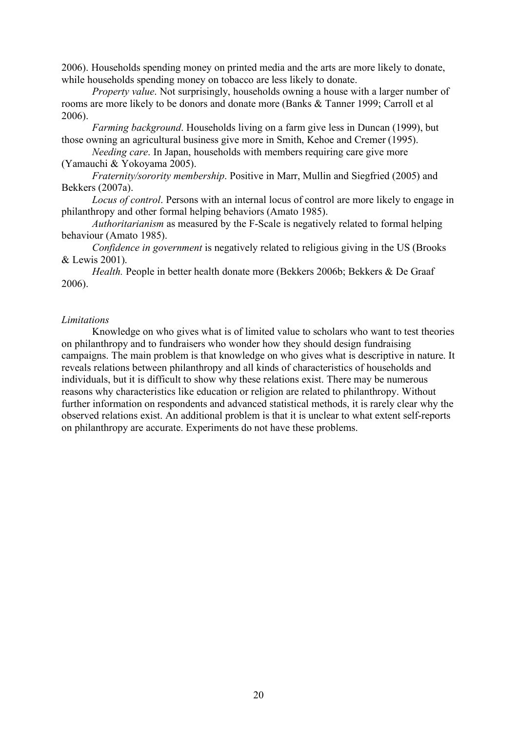2006). Households spending money on printed media and the arts are more likely to donate, while households spending money on tobacco are less likely to donate.

*Property value*. Not surprisingly, households owning a house with a larger number of rooms are more likely to be donors and donate more (Banks & Tanner 1999; Carroll et al 2006).

*Farming background*. Households living on a farm give less in Duncan (1999), but those owning an agricultural business give more in Smith, Kehoe and Cremer (1995).

*Needing care*. In Japan, households with members requiring care give more (Yamauchi & Yokoyama 2005).

*Fraternity/sorority membership*. Positive in Marr, Mullin and Siegfried (2005) and Bekkers (2007a).

*Locus of control*. Persons with an internal locus of control are more likely to engage in philanthropy and other formal helping behaviors (Amato 1985).

*Authoritarianism* as measured by the F-Scale is negatively related to formal helping behaviour (Amato 1985).

*Confidence in government* is negatively related to religious giving in the US (Brooks & Lewis 2001).

*Health.* People in better health donate more (Bekkers 2006b; Bekkers & De Graaf 2006).

#### *Limitations*

Knowledge on who gives what is of limited value to scholars who want to test theories on philanthropy and to fundraisers who wonder how they should design fundraising campaigns. The main problem is that knowledge on who gives what is descriptive in nature. It reveals relations between philanthropy and all kinds of characteristics of households and individuals, but it is difficult to show why these relations exist. There may be numerous reasons why characteristics like education or religion are related to philanthropy. Without further information on respondents and advanced statistical methods, it is rarely clear why the observed relations exist. An additional problem is that it is unclear to what extent self-reports on philanthropy are accurate. Experiments do not have these problems.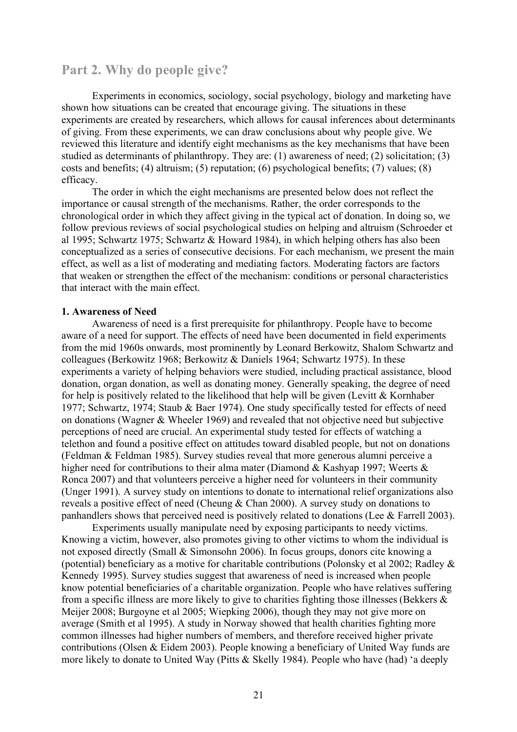# **Part 2. Why do people give?**

Experiments in economics, sociology, social psychology, biology and marketing have shown how situations can be created that encourage giving. The situations in these experiments are created by researchers, which allows for causal inferences about determinants of giving. From these experiments, we can draw conclusions about why people give. We reviewed this literature and identify eight mechanisms as the key mechanisms that have been studied as determinants of philanthropy. They are: (1) awareness of need; (2) solicitation; (3) costs and benefits; (4) altruism; (5) reputation; (6) psychological benefits; (7) values; (8) efficacy.

The order in which the eight mechanisms are presented below does not reflect the importance or causal strength of the mechanisms. Rather, the order corresponds to the chronological order in which they affect giving in the typical act of donation. In doing so, we follow previous reviews of social psychological studies on helping and altruism (Schroeder et al 1995; Schwartz 1975; Schwartz & Howard 1984), in which helping others has also been conceptualized as a series of consecutive decisions. For each mechanism, we present the main effect, as well as a list of moderating and mediating factors. Moderating factors are factors that weaken or strengthen the effect of the mechanism: conditions or personal characteristics that interact with the main effect.

# **1. Awareness of Need**

Awareness of need is a first prerequisite for philanthropy. People have to become aware of a need for support. The effects of need have been documented in field experiments from the mid 1960s onwards, most prominently by Leonard Berkowitz, Shalom Schwartz and colleagues (Berkowitz 1968; Berkowitz & Daniels 1964; Schwartz 1975). In these experiments a variety of helping behaviors were studied, including practical assistance, blood donation, organ donation, as well as donating money. Generally speaking, the degree of need for help is positively related to the likelihood that help will be given (Levitt & Kornhaber 1977; Schwartz, 1974; Staub & Baer 1974). One study specifically tested for effects of need on donations (Wagner & Wheeler 1969) and revealed that not objective need but subjective perceptions of need are crucial. An experimental study tested for effects of watching a telethon and found a positive effect on attitudes toward disabled people, but not on donations (Feldman & Feldman 1985). Survey studies reveal that more generous alumni perceive a higher need for contributions to their alma mater (Diamond & Kashyap 1997; Weerts & Ronca 2007) and that volunteers perceive a higher need for volunteers in their community (Unger 1991). A survey study on intentions to donate to international relief organizations also reveals a positive effect of need (Cheung & Chan 2000). A survey study on donations to panhandlers shows that perceived need is positively related to donations (Lee & Farrell 2003).

Experiments usually manipulate need by exposing participants to needy victims. Knowing a victim, however, also promotes giving to other victims to whom the individual is not exposed directly (Small & Simonsohn 2006). In focus groups, donors cite knowing a (potential) beneficiary as a motive for charitable contributions (Polonsky et al 2002; Radley & Kennedy 1995). Survey studies suggest that awareness of need is increased when people know potential beneficiaries of a charitable organization. People who have relatives suffering from a specific illness are more likely to give to charities fighting those illnesses (Bekkers & Meijer 2008; Burgoyne et al 2005; Wiepking 2006), though they may not give more on average (Smith et al 1995). A study in Norway showed that health charities fighting more common illnesses had higher numbers of members, and therefore received higher private contributions (Olsen & Eidem 2003). People knowing a beneficiary of United Way funds are more likely to donate to United Way (Pitts & Skelly 1984). People who have (had) 'a deeply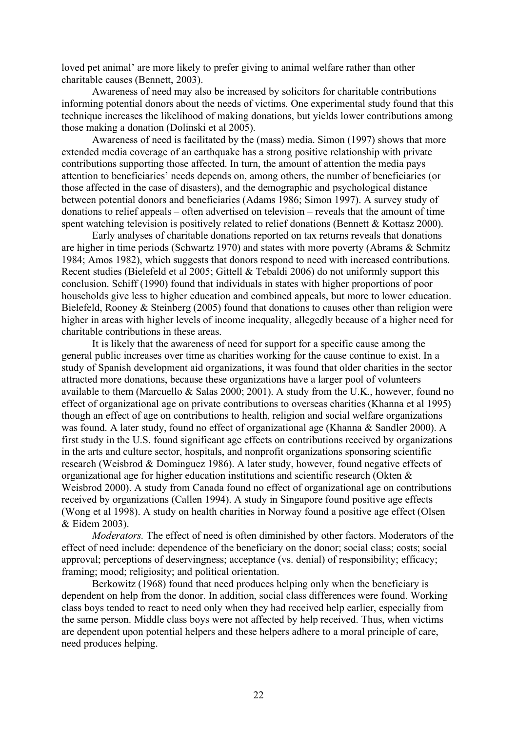loved pet animal' are more likely to prefer giving to animal welfare rather than other charitable causes (Bennett, 2003).

Awareness of need may also be increased by solicitors for charitable contributions informing potential donors about the needs of victims. One experimental study found that this technique increases the likelihood of making donations, but yields lower contributions among those making a donation (Dolinski et al 2005).

Awareness of need is facilitated by the (mass) media. Simon (1997) shows that more extended media coverage of an earthquake has a strong positive relationship with private contributions supporting those affected. In turn, the amount of attention the media pays attention to beneficiaries' needs depends on, among others, the number of beneficiaries (or those affected in the case of disasters), and the demographic and psychological distance between potential donors and beneficiaries (Adams 1986; Simon 1997). A survey study of donations to relief appeals – often advertised on television – reveals that the amount of time spent watching television is positively related to relief donations (Bennett & Kottasz 2000).

Early analyses of charitable donations reported on tax returns reveals that donations are higher in time periods (Schwartz 1970) and states with more poverty (Abrams & Schmitz 1984; Amos 1982), which suggests that donors respond to need with increased contributions. Recent studies (Bielefeld et al 2005; Gittell & Tebaldi 2006) do not uniformly support this conclusion. Schiff (1990) found that individuals in states with higher proportions of poor households give less to higher education and combined appeals, but more to lower education. Bielefeld, Rooney & Steinberg (2005) found that donations to causes other than religion were higher in areas with higher levels of income inequality, allegedly because of a higher need for charitable contributions in these areas.

It is likely that the awareness of need for support for a specific cause among the general public increases over time as charities working for the cause continue to exist. In a study of Spanish development aid organizations, it was found that older charities in the sector attracted more donations, because these organizations have a larger pool of volunteers available to them (Marcuello & Salas 2000; 2001). A study from the U.K., however, found no effect of organizational age on private contributions to overseas charities (Khanna et al 1995) though an effect of age on contributions to health, religion and social welfare organizations was found. A later study, found no effect of organizational age (Khanna & Sandler 2000). A first study in the U.S. found significant age effects on contributions received by organizations in the arts and culture sector, hospitals, and nonprofit organizations sponsoring scientific research (Weisbrod & Dominguez 1986). A later study, however, found negative effects of organizational age for higher education institutions and scientific research (Okten & Weisbrod 2000). A study from Canada found no effect of organizational age on contributions received by organizations (Callen 1994). A study in Singapore found positive age effects (Wong et al 1998). A study on health charities in Norway found a positive age effect (Olsen & Eidem 2003).

*Moderators.* The effect of need is often diminished by other factors. Moderators of the effect of need include: dependence of the beneficiary on the donor; social class; costs; social approval; perceptions of deservingness; acceptance (vs. denial) of responsibility; efficacy; framing; mood; religiosity; and political orientation.

Berkowitz (1968) found that need produces helping only when the beneficiary is dependent on help from the donor. In addition, social class differences were found. Working class boys tended to react to need only when they had received help earlier, especially from the same person. Middle class boys were not affected by help received. Thus, when victims are dependent upon potential helpers and these helpers adhere to a moral principle of care, need produces helping.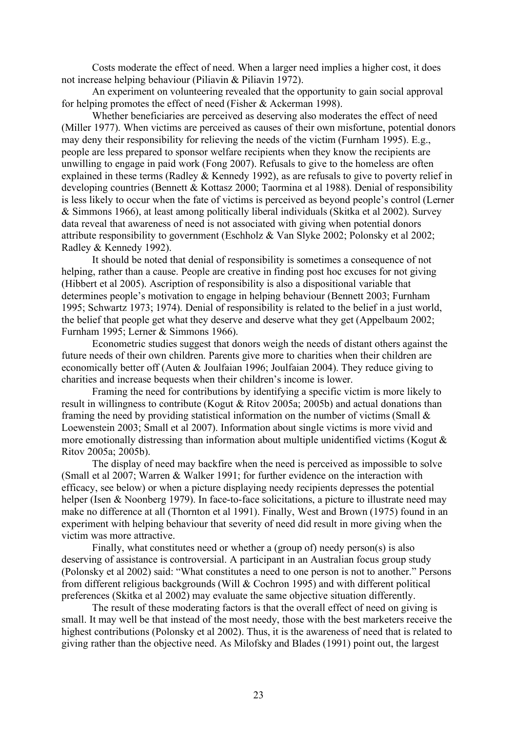Costs moderate the effect of need. When a larger need implies a higher cost, it does not increase helping behaviour (Piliavin & Piliavin 1972).

An experiment on volunteering revealed that the opportunity to gain social approval for helping promotes the effect of need (Fisher & Ackerman 1998).

Whether beneficiaries are perceived as deserving also moderates the effect of need (Miller 1977). When victims are perceived as causes of their own misfortune, potential donors may deny their responsibility for relieving the needs of the victim (Furnham 1995). E.g., people are less prepared to sponsor welfare recipients when they know the recipients are unwilling to engage in paid work (Fong 2007). Refusals to give to the homeless are often explained in these terms (Radley & Kennedy 1992), as are refusals to give to poverty relief in developing countries (Bennett & Kottasz 2000; Taormina et al 1988). Denial of responsibility is less likely to occur when the fate of victims is perceived as beyond people's control (Lerner & Simmons 1966), at least among politically liberal individuals (Skitka et al 2002). Survey data reveal that awareness of need is not associated with giving when potential donors attribute responsibility to government (Eschholz & Van Slyke 2002; Polonsky et al 2002; Radley & Kennedy 1992).

It should be noted that denial of responsibility is sometimes a consequence of not helping, rather than a cause. People are creative in finding post hoc excuses for not giving (Hibbert et al 2005). Ascription of responsibility is also a dispositional variable that determines people's motivation to engage in helping behaviour (Bennett 2003; Furnham 1995; Schwartz 1973; 1974). Denial of responsibility is related to the belief in a just world, the belief that people get what they deserve and deserve what they get (Appelbaum 2002; Furnham 1995; Lerner & Simmons 1966).

Econometric studies suggest that donors weigh the needs of distant others against the future needs of their own children. Parents give more to charities when their children are economically better off (Auten & Joulfaian 1996; Joulfaian 2004). They reduce giving to charities and increase bequests when their children's income is lower.

Framing the need for contributions by identifying a specific victim is more likely to result in willingness to contribute (Kogut & Ritov 2005a; 2005b) and actual donations than framing the need by providing statistical information on the number of victims (Small & Loewenstein 2003; Small et al 2007). Information about single victims is more vivid and more emotionally distressing than information about multiple unidentified victims (Kogut & Ritov 2005a; 2005b).

The display of need may backfire when the need is perceived as impossible to solve (Small et al 2007; Warren & Walker 1991; for further evidence on the interaction with efficacy, see below) or when a picture displaying needy recipients depresses the potential helper (Isen & Noonberg 1979). In face-to-face solicitations, a picture to illustrate need may make no difference at all (Thornton et al 1991). Finally, West and Brown (1975) found in an experiment with helping behaviour that severity of need did result in more giving when the victim was more attractive.

Finally, what constitutes need or whether a (group of) needy person(s) is also deserving of assistance is controversial. A participant in an Australian focus group study (Polonsky et al 2002) said: "What constitutes a need to one person is not to another." Persons from different religious backgrounds (Will & Cochron 1995) and with different political preferences (Skitka et al 2002) may evaluate the same objective situation differently.

The result of these moderating factors is that the overall effect of need on giving is small. It may well be that instead of the most needy, those with the best marketers receive the highest contributions (Polonsky et al 2002). Thus, it is the awareness of need that is related to giving rather than the objective need. As Milofsky and Blades (1991) point out, the largest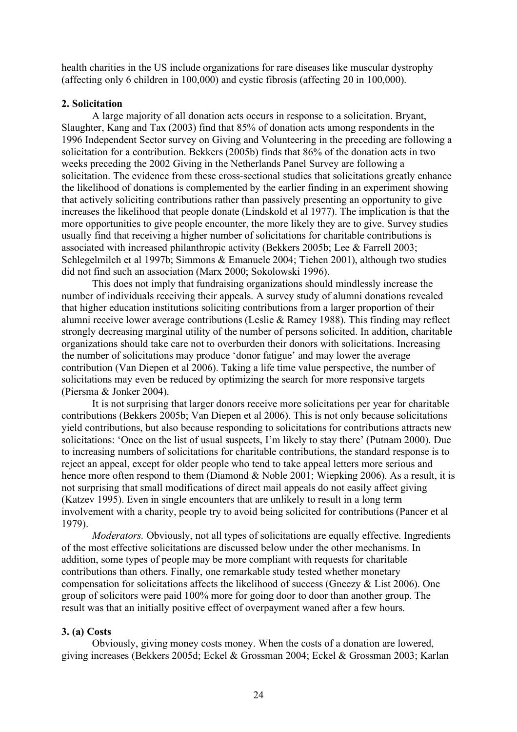health charities in the US include organizations for rare diseases like muscular dystrophy (affecting only 6 children in 100,000) and cystic fibrosis (affecting 20 in 100,000).

# **2. Solicitation**

A large majority of all donation acts occurs in response to a solicitation. Bryant, Slaughter, Kang and Tax (2003) find that 85% of donation acts among respondents in the 1996 Independent Sector survey on Giving and Volunteering in the preceding are following a solicitation for a contribution. Bekkers (2005b) finds that 86% of the donation acts in two weeks preceding the 2002 Giving in the Netherlands Panel Survey are following a solicitation. The evidence from these cross-sectional studies that solicitations greatly enhance the likelihood of donations is complemented by the earlier finding in an experiment showing that actively soliciting contributions rather than passively presenting an opportunity to give increases the likelihood that people donate (Lindskold et al 1977). The implication is that the more opportunities to give people encounter, the more likely they are to give. Survey studies usually find that receiving a higher number of solicitations for charitable contributions is associated with increased philanthropic activity (Bekkers 2005b; Lee & Farrell 2003; Schlegelmilch et al 1997b; Simmons & Emanuele 2004; Tiehen 2001), although two studies did not find such an association (Marx 2000; Sokolowski 1996).

This does not imply that fundraising organizations should mindlessly increase the number of individuals receiving their appeals. A survey study of alumni donations revealed that higher education institutions soliciting contributions from a larger proportion of their alumni receive lower average contributions (Leslie & Ramey 1988). This finding may reflect strongly decreasing marginal utility of the number of persons solicited. In addition, charitable organizations should take care not to overburden their donors with solicitations. Increasing the number of solicitations may produce 'donor fatigue' and may lower the average contribution (Van Diepen et al 2006). Taking a life time value perspective, the number of solicitations may even be reduced by optimizing the search for more responsive targets (Piersma & Jonker 2004).

It is not surprising that larger donors receive more solicitations per year for charitable contributions (Bekkers 2005b; Van Diepen et al 2006). This is not only because solicitations yield contributions, but also because responding to solicitations for contributions attracts new solicitations: 'Once on the list of usual suspects, I'm likely to stay there' (Putnam 2000). Due to increasing numbers of solicitations for charitable contributions, the standard response is to reject an appeal, except for older people who tend to take appeal letters more serious and hence more often respond to them (Diamond & Noble 2001; Wiepking 2006). As a result, it is not surprising that small modifications of direct mail appeals do not easily affect giving (Katzev 1995). Even in single encounters that are unlikely to result in a long term involvement with a charity, people try to avoid being solicited for contributions (Pancer et al 1979).

*Moderators.* Obviously, not all types of solicitations are equally effective. Ingredients of the most effective solicitations are discussed below under the other mechanisms. In addition, some types of people may be more compliant with requests for charitable contributions than others. Finally, one remarkable study tested whether monetary compensation for solicitations affects the likelihood of success (Gneezy & List 2006). One group of solicitors were paid 100% more for going door to door than another group. The result was that an initially positive effect of overpayment waned after a few hours.

# **3. (a) Costs**

Obviously, giving money costs money. When the costs of a donation are lowered, giving increases (Bekkers 2005d; Eckel & Grossman 2004; Eckel & Grossman 2003; Karlan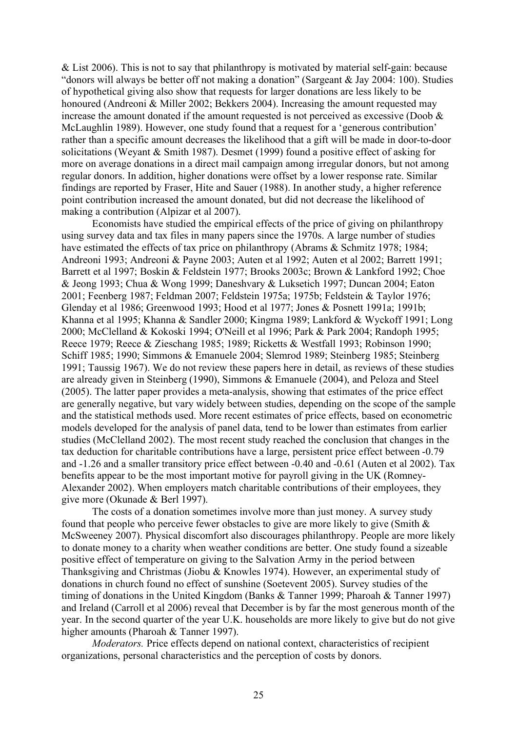& List 2006). This is not to say that philanthropy is motivated by material self-gain: because "donors will always be better off not making a donation" (Sargeant & Jay 2004: 100). Studies of hypothetical giving also show that requests for larger donations are less likely to be honoured (Andreoni & Miller 2002; Bekkers 2004). Increasing the amount requested may increase the amount donated if the amount requested is not perceived as excessive (Doob  $\&$ McLaughlin 1989). However, one study found that a request for a 'generous contribution' rather than a specific amount decreases the likelihood that a gift will be made in door-to-door solicitations (Weyant & Smith 1987). Desmet (1999) found a positive effect of asking for more on average donations in a direct mail campaign among irregular donors, but not among regular donors. In addition, higher donations were offset by a lower response rate. Similar findings are reported by Fraser, Hite and Sauer (1988). In another study, a higher reference point contribution increased the amount donated, but did not decrease the likelihood of making a contribution (Alpizar et al 2007).

Economists have studied the empirical effects of the price of giving on philanthropy using survey data and tax files in many papers since the 1970s. A large number of studies have estimated the effects of tax price on philanthropy (Abrams & Schmitz 1978; 1984; Andreoni 1993; Andreoni & Payne 2003; Auten et al 1992; Auten et al 2002; Barrett 1991; Barrett et al 1997; Boskin & Feldstein 1977; Brooks 2003c; Brown & Lankford 1992; Choe & Jeong 1993; Chua & Wong 1999; Daneshvary & Luksetich 1997; Duncan 2004; Eaton 2001; Feenberg 1987; Feldman 2007; Feldstein 1975a; 1975b; Feldstein & Taylor 1976; Glenday et al 1986; Greenwood 1993; Hood et al 1977; Jones & Posnett 1991a; 1991b; Khanna et al 1995; Khanna & Sandler 2000; Kingma 1989; Lankford & Wyckoff 1991; Long 2000; McClelland & Kokoski 1994; O'Neill et al 1996; Park & Park 2004; Randoph 1995; Reece 1979; Reece & Zieschang 1985; 1989; Ricketts & Westfall 1993; Robinson 1990; Schiff 1985; 1990; Simmons & Emanuele 2004; Slemrod 1989; Steinberg 1985; Steinberg 1991; Taussig 1967). We do not review these papers here in detail, as reviews of these studies are already given in Steinberg (1990), Simmons & Emanuele (2004), and Peloza and Steel (2005). The latter paper provides a meta-analysis, showing that estimates of the price effect are generally negative, but vary widely between studies, depending on the scope of the sample and the statistical methods used. More recent estimates of price effects, based on econometric models developed for the analysis of panel data, tend to be lower than estimates from earlier studies (McClelland 2002). The most recent study reached the conclusion that changes in the tax deduction for charitable contributions have a large, persistent price effect between -0.79 and -1.26 and a smaller transitory price effect between -0.40 and -0.61 (Auten et al 2002). Tax benefits appear to be the most important motive for payroll giving in the UK (Romney-Alexander 2002). When employers match charitable contributions of their employees, they give more (Okunade & Berl 1997).

The costs of a donation sometimes involve more than just money. A survey study found that people who perceive fewer obstacles to give are more likely to give (Smith  $\&$ McSweeney 2007). Physical discomfort also discourages philanthropy. People are more likely to donate money to a charity when weather conditions are better. One study found a sizeable positive effect of temperature on giving to the Salvation Army in the period between Thanksgiving and Christmas (Jiobu & Knowles 1974). However, an experimental study of donations in church found no effect of sunshine (Soetevent 2005). Survey studies of the timing of donations in the United Kingdom (Banks & Tanner 1999; Pharoah & Tanner 1997) and Ireland (Carroll et al 2006) reveal that December is by far the most generous month of the year. In the second quarter of the year U.K. households are more likely to give but do not give higher amounts (Pharoah & Tanner 1997).

*Moderators.* Price effects depend on national context, characteristics of recipient organizations, personal characteristics and the perception of costs by donors.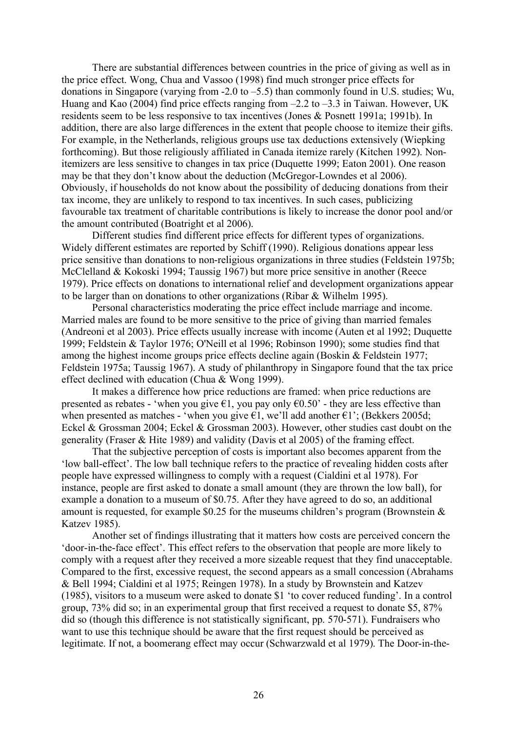There are substantial differences between countries in the price of giving as well as in the price effect. Wong, Chua and Vassoo (1998) find much stronger price effects for donations in Singapore (varying from -2.0 to –5.5) than commonly found in U.S. studies; Wu, Huang and Kao (2004) find price effects ranging from  $-2.2$  to  $-3.3$  in Taiwan. However, UK residents seem to be less responsive to tax incentives (Jones & Posnett 1991a; 1991b). In addition, there are also large differences in the extent that people choose to itemize their gifts. For example, in the Netherlands, religious groups use tax deductions extensively (Wiepking forthcoming). But those religiously affiliated in Canada itemize rarely (Kitchen 1992). Nonitemizers are less sensitive to changes in tax price (Duquette 1999; Eaton 2001). One reason may be that they don't know about the deduction (McGregor-Lowndes et al 2006). Obviously, if households do not know about the possibility of deducing donations from their tax income, they are unlikely to respond to tax incentives. In such cases, publicizing favourable tax treatment of charitable contributions is likely to increase the donor pool and/or the amount contributed (Boatright et al 2006).

Different studies find different price effects for different types of organizations. Widely different estimates are reported by Schiff (1990). Religious donations appear less price sensitive than donations to non-religious organizations in three studies (Feldstein 1975b; McClelland & Kokoski 1994; Taussig 1967) but more price sensitive in another (Reece 1979). Price effects on donations to international relief and development organizations appear to be larger than on donations to other organizations (Ribar & Wilhelm 1995).

Personal characteristics moderating the price effect include marriage and income. Married males are found to be more sensitive to the price of giving than married females (Andreoni et al 2003). Price effects usually increase with income (Auten et al 1992; Duquette 1999; Feldstein & Taylor 1976; O'Neill et al 1996; Robinson 1990); some studies find that among the highest income groups price effects decline again (Boskin & Feldstein 1977; Feldstein 1975a; Taussig 1967). A study of philanthropy in Singapore found that the tax price effect declined with education (Chua & Wong 1999).

It makes a difference how price reductions are framed: when price reductions are presented as rebates - 'when you give  $\epsilon$ 1, you pay only  $\epsilon$ 0.50' - they are less effective than when presented as matches - 'when you give  $\epsilon$ 1, we'll add another  $\epsilon$ 1'; (Bekkers 2005d; Eckel & Grossman 2004; Eckel & Grossman 2003). However, other studies cast doubt on the generality (Fraser & Hite 1989) and validity (Davis et al 2005) of the framing effect.

That the subjective perception of costs is important also becomes apparent from the 'low ball-effect'. The low ball technique refers to the practice of revealing hidden costs after people have expressed willingness to comply with a request (Cialdini et al 1978). For instance, people are first asked to donate a small amount (they are thrown the low ball), for example a donation to a museum of \$0.75. After they have agreed to do so, an additional amount is requested, for example \$0.25 for the museums children's program (Brownstein  $\&$ Katzev 1985).

Another set of findings illustrating that it matters how costs are perceived concern the 'door-in-the-face effect'. This effect refers to the observation that people are more likely to comply with a request after they received a more sizeable request that they find unacceptable. Compared to the first, excessive request, the second appears as a small concession (Abrahams & Bell 1994; Cialdini et al 1975; Reingen 1978). In a study by Brownstein and Katzev (1985), visitors to a museum were asked to donate \$1 'to cover reduced funding'. In a control group, 73% did so; in an experimental group that first received a request to donate \$5, 87% did so (though this difference is not statistically significant, pp. 570-571). Fundraisers who want to use this technique should be aware that the first request should be perceived as legitimate. If not, a boomerang effect may occur (Schwarzwald et al 1979). The Door-in-the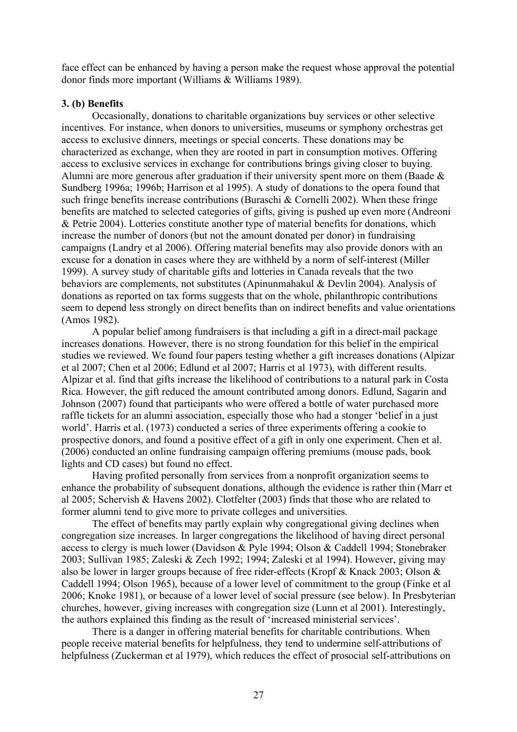face effect can be enhanced by having a person make the request whose approval the potential donor finds more important (Williams & Williams 1989).

# **3. (b) Benefits**

Occasionally, donations to charitable organizations buy services or other selective incentives. For instance, when donors to universities, museums or symphony orchestras get access to exclusive dinners, meetings or special concerts. These donations may be characterized as exchange, when they are rooted in part in consumption motives. Offering access to exclusive services in exchange for contributions brings giving closer to buying. Alumni are more generous after graduation if their university spent more on them (Baade & Sundberg 1996a; 1996b; Harrison et al 1995). A study of donations to the opera found that such fringe benefits increase contributions (Buraschi & Cornelli 2002). When these fringe benefits are matched to selected categories of gifts, giving is pushed up even more (Andreoni & Petrie 2004). Lotteries constitute another type of material benefits for donations, which increase the number of donors (but not the amount donated per donor) in fundraising campaigns (Landry et al 2006). Offering material benefits may also provide donors with an excuse for a donation in cases where they are withheld by a norm of self-interest (Miller 1999). A survey study of charitable gifts and lotteries in Canada reveals that the two behaviors are complements, not substitutes (Apinunmahakul & Devlin 2004). Analysis of donations as reported on tax forms suggests that on the whole, philanthropic contributions seem to depend less strongly on direct benefits than on indirect benefits and value orientations (Amos 1982).

A popular belief among fundraisers is that including a gift in a direct-mail package increases donations. However, there is no strong foundation for this belief in the empirical studies we reviewed. We found four papers testing whether a gift increases donations (Alpizar et al 2007; Chen et al 2006; Edlund et al 2007; Harris et al 1973), with different results. Alpizar et al. find that gifts increase the likelihood of contributions to a natural park in Costa Rica. However, the gift reduced the amount contributed among donors. Edlund, Sagarin and Johnson (2007) found that participants who were offered a bottle of water purchased more raffle tickets for an alumni association, especially those who had a stonger 'belief in a just world'. Harris et al. (1973) conducted a series of three experiments offering a cookie to prospective donors, and found a positive effect of a gift in only one experiment. Chen et al. (2006) conducted an online fundraising campaign offering premiums (mouse pads, book lights and CD cases) but found no effect.

Having profited personally from services from a nonprofit organization seems to enhance the probability of subsequent donations, although the evidence is rather thin (Marr et al 2005; Schervish & Havens 2002). Clotfelter (2003) finds that those who are related to former alumni tend to give more to private colleges and universities.

The effect of benefits may partly explain why congregational giving declines when congregation size increases. In larger congregations the likelihood of having direct personal access to clergy is much lower (Davidson & Pyle 1994; Olson & Caddell 1994; Stonebraker 2003; Sullivan 1985; Zaleski & Zech 1992; 1994; Zaleski et al 1994). However, giving may also be lower in larger groups because of free rider-effects (Kropf & Knack 2003; Olson & Caddell 1994; Olson 1965), because of a lower level of commitment to the group (Finke et al 2006; Knoke 1981), or because of a lower level of social pressure (see below). In Presbyterian churches, however, giving increases with congregation size (Lunn et al 2001). Interestingly, the authors explained this finding as the result of 'increased ministerial services'.

There is a danger in offering material benefits for charitable contributions. When people receive material benefits for helpfulness, they tend to undermine self-attributions of helpfulness (Zuckerman et al 1979), which reduces the effect of prosocial self-attributions on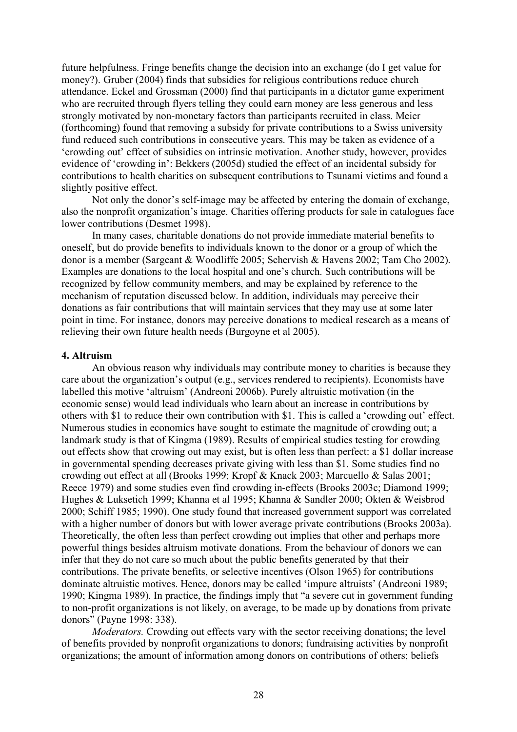future helpfulness. Fringe benefits change the decision into an exchange (do I get value for money?). Gruber (2004) finds that subsidies for religious contributions reduce church attendance. Eckel and Grossman (2000) find that participants in a dictator game experiment who are recruited through flyers telling they could earn money are less generous and less strongly motivated by non-monetary factors than participants recruited in class. Meier (forthcoming) found that removing a subsidy for private contributions to a Swiss university fund reduced such contributions in consecutive years. This may be taken as evidence of a 'crowding out' effect of subsidies on intrinsic motivation. Another study, however, provides evidence of 'crowding in': Bekkers (2005d) studied the effect of an incidental subsidy for contributions to health charities on subsequent contributions to Tsunami victims and found a slightly positive effect.

Not only the donor's self-image may be affected by entering the domain of exchange, also the nonprofit organization's image. Charities offering products for sale in catalogues face lower contributions (Desmet 1998).

In many cases, charitable donations do not provide immediate material benefits to oneself, but do provide benefits to individuals known to the donor or a group of which the donor is a member (Sargeant & Woodliffe 2005; Schervish & Havens 2002; Tam Cho 2002). Examples are donations to the local hospital and one's church. Such contributions will be recognized by fellow community members, and may be explained by reference to the mechanism of reputation discussed below. In addition, individuals may perceive their donations as fair contributions that will maintain services that they may use at some later point in time. For instance, donors may perceive donations to medical research as a means of relieving their own future health needs (Burgoyne et al 2005).

#### **4. Altruism**

An obvious reason why individuals may contribute money to charities is because they care about the organization's output (e.g., services rendered to recipients). Economists have labelled this motive 'altruism' (Andreoni 2006b). Purely altruistic motivation (in the economic sense) would lead individuals who learn about an increase in contributions by others with \$1 to reduce their own contribution with \$1. This is called a 'crowding out' effect. Numerous studies in economics have sought to estimate the magnitude of crowding out; a landmark study is that of Kingma (1989). Results of empirical studies testing for crowding out effects show that crowing out may exist, but is often less than perfect: a \$1 dollar increase in governmental spending decreases private giving with less than \$1. Some studies find no crowding out effect at all (Brooks 1999; Kropf & Knack 2003; Marcuello & Salas 2001; Reece 1979) and some studies even find crowding in-effects (Brooks 2003c; Diamond 1999; Hughes & Luksetich 1999; Khanna et al 1995; Khanna & Sandler 2000; Okten & Weisbrod 2000; Schiff 1985; 1990). One study found that increased government support was correlated with a higher number of donors but with lower average private contributions (Brooks 2003a). Theoretically, the often less than perfect crowding out implies that other and perhaps more powerful things besides altruism motivate donations. From the behaviour of donors we can infer that they do not care so much about the public benefits generated by that their contributions. The private benefits, or selective incentives (Olson 1965) for contributions dominate altruistic motives. Hence, donors may be called 'impure altruists' (Andreoni 1989; 1990; Kingma 1989). In practice, the findings imply that "a severe cut in government funding to non-profit organizations is not likely, on average, to be made up by donations from private donors" (Payne 1998: 338).

*Moderators.* Crowding out effects vary with the sector receiving donations; the level of benefits provided by nonprofit organizations to donors; fundraising activities by nonprofit organizations; the amount of information among donors on contributions of others; beliefs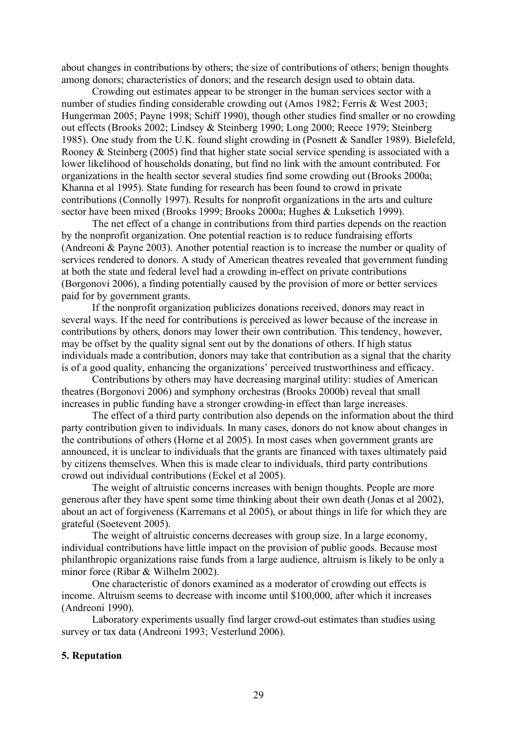about changes in contributions by others; the size of contributions of others; benign thoughts among donors; characteristics of donors; and the research design used to obtain data.

Crowding out estimates appear to be stronger in the human services sector with a number of studies finding considerable crowding out (Amos 1982; Ferris & West 2003; Hungerman 2005; Payne 1998; Schiff 1990), though other studies find smaller or no crowding out effects (Brooks 2002; Lindsey & Steinberg 1990; Long 2000; Reece 1979; Steinberg 1985). One study from the U.K. found slight crowding in (Posnett & Sandler 1989). Bielefeld, Rooney & Steinberg (2005) find that higher state social service spending is associated with a lower likelihood of households donating, but find no link with the amount contributed. For organizations in the health sector several studies find some crowding out (Brooks 2000a; Khanna et al 1995). State funding for research has been found to crowd in private contributions (Connolly 1997). Results for nonprofit organizations in the arts and culture sector have been mixed (Brooks 1999; Brooks 2000a; Hughes & Luksetich 1999).

The net effect of a change in contributions from third parties depends on the reaction by the nonprofit organization. One potential reaction is to reduce fundraising efforts (Andreoni & Payne 2003). Another potential reaction is to increase the number or quality of services rendered to donors. A study of American theatres revealed that government funding at both the state and federal level had a crowding in-effect on private contributions (Borgonovi 2006), a finding potentially caused by the provision of more or better services paid for by government grants.

If the nonprofit organization publicizes donations received, donors may react in several ways. If the need for contributions is perceived as lower because of the increase in contributions by others, donors may lower their own contribution. This tendency, however, may be offset by the quality signal sent out by the donations of others. If high status individuals made a contribution, donors may take that contribution as a signal that the charity is of a good quality, enhancing the organizations' perceived trustworthiness and efficacy.

Contributions by others may have decreasing marginal utility: studies of American theatres (Borgonovi 2006) and symphony orchestras (Brooks 2000b) reveal that small increases in public funding have a stronger crowding-in effect than large increases.

The effect of a third party contribution also depends on the information about the third party contribution given to individuals. In many cases, donors do not know about changes in the contributions of others (Horne et al 2005). In most cases when government grants are announced, it is unclear to individuals that the grants are financed with taxes ultimately paid by citizens themselves. When this is made clear to individuals, third party contributions crowd out individual contributions (Eckel et al 2005).

The weight of altruistic concerns increases with benign thoughts. People are more generous after they have spent some time thinking about their own death (Jonas et al 2002), about an act of forgiveness (Karremans et al 2005), or about things in life for which they are grateful (Soetevent 2005).

The weight of altruistic concerns decreases with group size. In a large economy, individual contributions have little impact on the provision of public goods. Because most philanthropic organizations raise funds from a large audience, altruism is likely to be only a minor force (Ribar & Wilhelm 2002).

One characteristic of donors examined as a moderator of crowding out effects is income. Altruism seems to decrease with income until \$100,000, after which it increases (Andreoni 1990).

Laboratory experiments usually find larger crowd-out estimates than studies using survey or tax data (Andreoni 1993; Vesterlund 2006).

# **5. Reputation**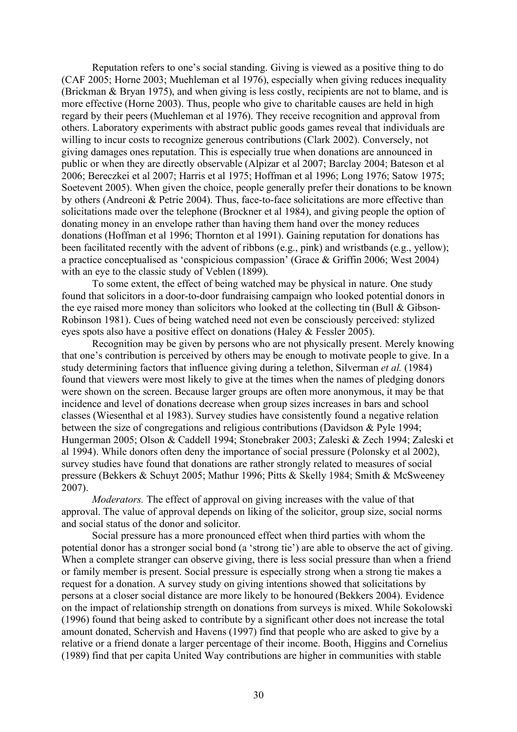Reputation refers to one's social standing. Giving is viewed as a positive thing to do (CAF 2005; Horne 2003; Muehleman et al 1976), especially when giving reduces inequality (Brickman & Bryan 1975), and when giving is less costly, recipients are not to blame, and is more effective (Horne 2003). Thus, people who give to charitable causes are held in high regard by their peers (Muehleman et al 1976). They receive recognition and approval from others. Laboratory experiments with abstract public goods games reveal that individuals are willing to incur costs to recognize generous contributions (Clark 2002). Conversely, not giving damages ones reputation. This is especially true when donations are announced in public or when they are directly observable (Alpizar et al 2007; Barclay 2004; Bateson et al 2006; Bereczkei et al 2007; Harris et al 1975; Hoffman et al 1996; Long 1976; Satow 1975; Soetevent 2005). When given the choice, people generally prefer their donations to be known by others (Andreoni & Petrie 2004). Thus, face-to-face solicitations are more effective than solicitations made over the telephone (Brockner et al 1984), and giving people the option of donating money in an envelope rather than having them hand over the money reduces donations (Hoffman et al 1996; Thornton et al 1991). Gaining reputation for donations has been facilitated recently with the advent of ribbons (e.g., pink) and wristbands (e.g., yellow); a practice conceptualised as 'conspicious compassion' (Grace & Griffin 2006; West 2004) with an eye to the classic study of Veblen (1899).

To some extent, the effect of being watched may be physical in nature. One study found that solicitors in a door-to-door fundraising campaign who looked potential donors in the eye raised more money than solicitors who looked at the collecting tin (Bull & Gibson-Robinson 1981). Cues of being watched need not even be consciously perceived: stylized eyes spots also have a positive effect on donations (Haley & Fessler 2005).

Recognition may be given by persons who are not physically present. Merely knowing that one's contribution is perceived by others may be enough to motivate people to give. In a study determining factors that influence giving during a telethon, Silverman *et al.* (1984) found that viewers were most likely to give at the times when the names of pledging donors were shown on the screen. Because larger groups are often more anonymous, it may be that incidence and level of donations decrease when group sizes increases in bars and school classes (Wiesenthal et al 1983). Survey studies have consistently found a negative relation between the size of congregations and religious contributions (Davidson & Pyle 1994; Hungerman 2005; Olson & Caddell 1994; Stonebraker 2003; Zaleski & Zech 1994; Zaleski et al 1994). While donors often deny the importance of social pressure (Polonsky et al 2002), survey studies have found that donations are rather strongly related to measures of social pressure (Bekkers & Schuyt 2005; Mathur 1996; Pitts & Skelly 1984; Smith & McSweeney 2007).

*Moderators.* The effect of approval on giving increases with the value of that approval. The value of approval depends on liking of the solicitor, group size, social norms and social status of the donor and solicitor.

Social pressure has a more pronounced effect when third parties with whom the potential donor has a stronger social bond (a 'strong tie') are able to observe the act of giving. When a complete stranger can observe giving, there is less social pressure than when a friend or family member is present. Social pressure is especially strong when a strong tie makes a request for a donation. A survey study on giving intentions showed that solicitations by persons at a closer social distance are more likely to be honoured (Bekkers 2004). Evidence on the impact of relationship strength on donations from surveys is mixed. While Sokolowski (1996) found that being asked to contribute by a significant other does not increase the total amount donated, Schervish and Havens (1997) find that people who are asked to give by a relative or a friend donate a larger percentage of their income. Booth, Higgins and Cornelius (1989) find that per capita United Way contributions are higher in communities with stable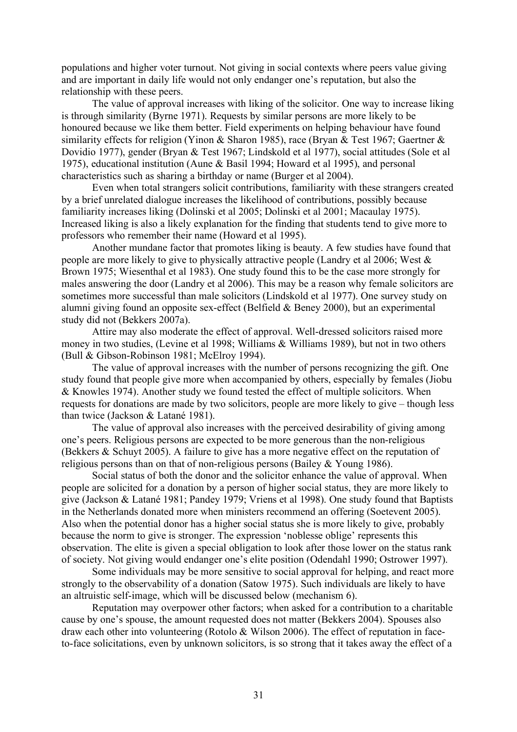populations and higher voter turnout. Not giving in social contexts where peers value giving and are important in daily life would not only endanger one's reputation, but also the relationship with these peers.

The value of approval increases with liking of the solicitor. One way to increase liking is through similarity (Byrne 1971). Requests by similar persons are more likely to be honoured because we like them better. Field experiments on helping behaviour have found similarity effects for religion (Yinon & Sharon 1985), race (Bryan & Test 1967; Gaertner & Dovidio 1977), gender (Bryan & Test 1967; Lindskold et al 1977), social attitudes (Sole et al 1975), educational institution (Aune & Basil 1994; Howard et al 1995), and personal characteristics such as sharing a birthday or name (Burger et al 2004).

Even when total strangers solicit contributions, familiarity with these strangers created by a brief unrelated dialogue increases the likelihood of contributions, possibly because familiarity increases liking (Dolinski et al 2005; Dolinski et al 2001; Macaulay 1975). Increased liking is also a likely explanation for the finding that students tend to give more to professors who remember their name (Howard et al 1995).

Another mundane factor that promotes liking is beauty. A few studies have found that people are more likely to give to physically attractive people (Landry et al 2006; West & Brown 1975; Wiesenthal et al 1983). One study found this to be the case more strongly for males answering the door (Landry et al 2006). This may be a reason why female solicitors are sometimes more successful than male solicitors (Lindskold et al 1977). One survey study on alumni giving found an opposite sex-effect (Belfield & Beney 2000), but an experimental study did not (Bekkers 2007a).

Attire may also moderate the effect of approval. Well-dressed solicitors raised more money in two studies, (Levine et al 1998; Williams & Williams 1989), but not in two others (Bull & Gibson-Robinson 1981; McElroy 1994).

The value of approval increases with the number of persons recognizing the gift. One study found that people give more when accompanied by others, especially by females (Jiobu & Knowles 1974). Another study we found tested the effect of multiple solicitors. When requests for donations are made by two solicitors, people are more likely to give – though less than twice (Jackson & Latané 1981).

The value of approval also increases with the perceived desirability of giving among one's peers. Religious persons are expected to be more generous than the non-religious (Bekkers & Schuyt 2005). A failure to give has a more negative effect on the reputation of religious persons than on that of non-religious persons (Bailey & Young 1986).

Social status of both the donor and the solicitor enhance the value of approval. When people are solicited for a donation by a person of higher social status, they are more likely to give (Jackson & Latané 1981; Pandey 1979; Vriens et al 1998). One study found that Baptists in the Netherlands donated more when ministers recommend an offering (Soetevent 2005). Also when the potential donor has a higher social status she is more likely to give, probably because the norm to give is stronger. The expression 'noblesse oblige' represents this observation. The elite is given a special obligation to look after those lower on the status rank of society. Not giving would endanger one's elite position (Odendahl 1990; Ostrower 1997).

Some individuals may be more sensitive to social approval for helping, and react more strongly to the observability of a donation (Satow 1975). Such individuals are likely to have an altruistic self-image, which will be discussed below (mechanism 6).

Reputation may overpower other factors; when asked for a contribution to a charitable cause by one's spouse, the amount requested does not matter (Bekkers 2004). Spouses also draw each other into volunteering (Rotolo & Wilson 2006). The effect of reputation in faceto-face solicitations, even by unknown solicitors, is so strong that it takes away the effect of a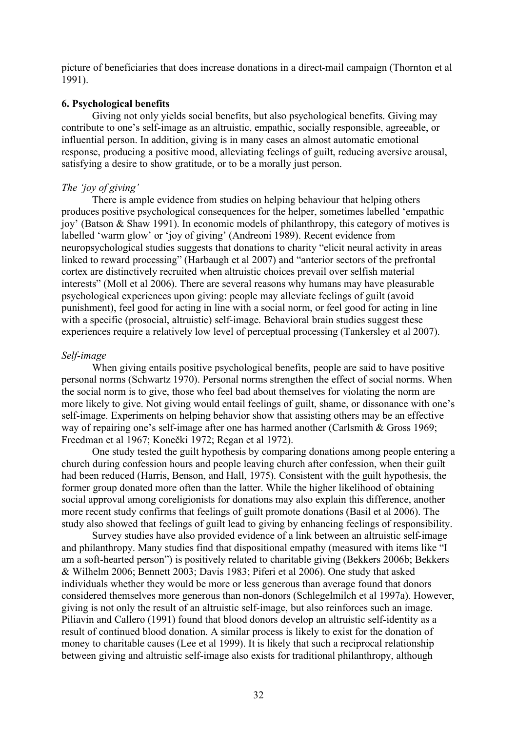picture of beneficiaries that does increase donations in a direct-mail campaign (Thornton et al 1991).

### **6. Psychological benefits**

Giving not only yields social benefits, but also psychological benefits. Giving may contribute to one's self-image as an altruistic, empathic, socially responsible, agreeable, or influential person. In addition, giving is in many cases an almost automatic emotional response, producing a positive mood, alleviating feelings of guilt, reducing aversive arousal, satisfying a desire to show gratitude, or to be a morally just person.

# *The 'joy of giving'*

There is ample evidence from studies on helping behaviour that helping others produces positive psychological consequences for the helper, sometimes labelled 'empathic joy' (Batson & Shaw 1991). In economic models of philanthropy, this category of motives is labelled 'warm glow' or 'joy of giving' (Andreoni 1989). Recent evidence from neuropsychological studies suggests that donations to charity "elicit neural activity in areas linked to reward processing" (Harbaugh et al 2007) and "anterior sectors of the prefrontal cortex are distinctively recruited when altruistic choices prevail over selfish material interests" (Moll et al 2006). There are several reasons why humans may have pleasurable psychological experiences upon giving: people may alleviate feelings of guilt (avoid punishment), feel good for acting in line with a social norm, or feel good for acting in line with a specific (prosocial, altruistic) self-image. Behavioral brain studies suggest these experiences require a relatively low level of perceptual processing (Tankersley et al 2007).

# *Self-image*

When giving entails positive psychological benefits, people are said to have positive personal norms (Schwartz 1970). Personal norms strengthen the effect of social norms. When the social norm is to give, those who feel bad about themselves for violating the norm are more likely to give. Not giving would entail feelings of guilt, shame, or dissonance with one's self-image. Experiments on helping behavior show that assisting others may be an effective way of repairing one's self-image after one has harmed another (Carlsmith & Gross 1969; Freedman et al 1967; Konečki 1972; Regan et al 1972).

One study tested the guilt hypothesis by comparing donations among people entering a church during confession hours and people leaving church after confession, when their guilt had been reduced (Harris, Benson, and Hall, 1975). Consistent with the guilt hypothesis, the former group donated more often than the latter. While the higher likelihood of obtaining social approval among coreligionists for donations may also explain this difference, another more recent study confirms that feelings of guilt promote donations (Basil et al 2006). The study also showed that feelings of guilt lead to giving by enhancing feelings of responsibility.

Survey studies have also provided evidence of a link between an altruistic self-image and philanthropy. Many studies find that dispositional empathy (measured with items like "I am a soft-hearted person") is positively related to charitable giving (Bekkers 2006b; Bekkers & Wilhelm 2006; Bennett 2003; Davis 1983; Piferi et al 2006). One study that asked individuals whether they would be more or less generous than average found that donors considered themselves more generous than non-donors (Schlegelmilch et al 1997a). However, giving is not only the result of an altruistic self-image, but also reinforces such an image. Piliavin and Callero (1991) found that blood donors develop an altruistic self-identity as a result of continued blood donation. A similar process is likely to exist for the donation of money to charitable causes (Lee et al 1999). It is likely that such a reciprocal relationship between giving and altruistic self-image also exists for traditional philanthropy, although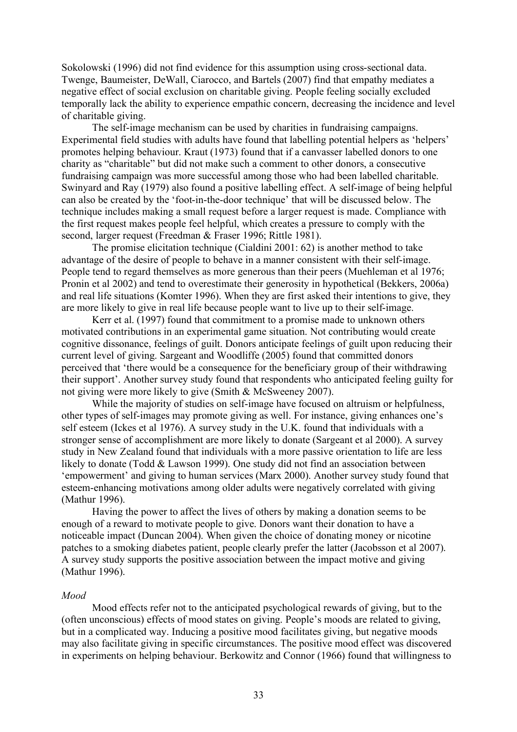Sokolowski (1996) did not find evidence for this assumption using cross-sectional data. Twenge, Baumeister, DeWall, Ciarocco, and Bartels (2007) find that empathy mediates a negative effect of social exclusion on charitable giving. People feeling socially excluded temporally lack the ability to experience empathic concern, decreasing the incidence and level of charitable giving.

The self-image mechanism can be used by charities in fundraising campaigns. Experimental field studies with adults have found that labelling potential helpers as 'helpers' promotes helping behaviour. Kraut (1973) found that if a canvasser labelled donors to one charity as "charitable" but did not make such a comment to other donors, a consecutive fundraising campaign was more successful among those who had been labelled charitable. Swinyard and Ray (1979) also found a positive labelling effect. A self-image of being helpful can also be created by the 'foot-in-the-door technique' that will be discussed below. The technique includes making a small request before a larger request is made. Compliance with the first request makes people feel helpful, which creates a pressure to comply with the second, larger request (Freedman & Fraser 1996; Rittle 1981).

The promise elicitation technique (Cialdini 2001: 62) is another method to take advantage of the desire of people to behave in a manner consistent with their self-image. People tend to regard themselves as more generous than their peers (Muehleman et al 1976; Pronin et al 2002) and tend to overestimate their generosity in hypothetical (Bekkers, 2006a) and real life situations (Komter 1996). When they are first asked their intentions to give, they are more likely to give in real life because people want to live up to their self-image.

Kerr et al. (1997) found that commitment to a promise made to unknown others motivated contributions in an experimental game situation. Not contributing would create cognitive dissonance, feelings of guilt. Donors anticipate feelings of guilt upon reducing their current level of giving. Sargeant and Woodliffe (2005) found that committed donors perceived that 'there would be a consequence for the beneficiary group of their withdrawing their support'. Another survey study found that respondents who anticipated feeling guilty for not giving were more likely to give (Smith & McSweeney 2007).

While the majority of studies on self-image have focused on altruism or helpfulness, other types of self-images may promote giving as well. For instance, giving enhances one's self esteem (Ickes et al 1976). A survey study in the U.K. found that individuals with a stronger sense of accomplishment are more likely to donate (Sargeant et al 2000). A survey study in New Zealand found that individuals with a more passive orientation to life are less likely to donate (Todd & Lawson 1999). One study did not find an association between 'empowerment' and giving to human services (Marx 2000). Another survey study found that esteem-enhancing motivations among older adults were negatively correlated with giving (Mathur 1996).

Having the power to affect the lives of others by making a donation seems to be enough of a reward to motivate people to give. Donors want their donation to have a noticeable impact (Duncan 2004). When given the choice of donating money or nicotine patches to a smoking diabetes patient, people clearly prefer the latter (Jacobsson et al 2007). A survey study supports the positive association between the impact motive and giving (Mathur 1996).

#### *Mood*

Mood effects refer not to the anticipated psychological rewards of giving, but to the (often unconscious) effects of mood states on giving. People's moods are related to giving, but in a complicated way. Inducing a positive mood facilitates giving, but negative moods may also facilitate giving in specific circumstances. The positive mood effect was discovered in experiments on helping behaviour. Berkowitz and Connor (1966) found that willingness to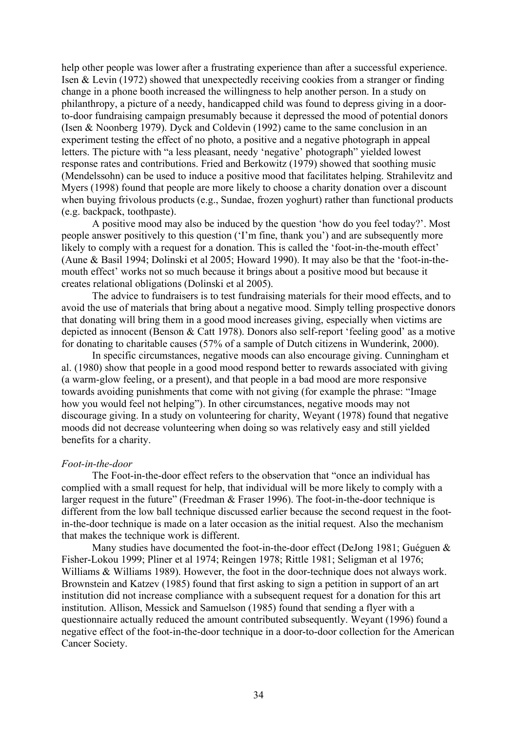help other people was lower after a frustrating experience than after a successful experience. Isen & Levin (1972) showed that unexpectedly receiving cookies from a stranger or finding change in a phone booth increased the willingness to help another person. In a study on philanthropy, a picture of a needy, handicapped child was found to depress giving in a doorto-door fundraising campaign presumably because it depressed the mood of potential donors (Isen & Noonberg 1979). Dyck and Coldevin (1992) came to the same conclusion in an experiment testing the effect of no photo, a positive and a negative photograph in appeal letters. The picture with "a less pleasant, needy 'negative' photograph" yielded lowest response rates and contributions. Fried and Berkowitz (1979) showed that soothing music (Mendelssohn) can be used to induce a positive mood that facilitates helping. Strahilevitz and Myers (1998) found that people are more likely to choose a charity donation over a discount when buying frivolous products (e.g., Sundae, frozen yoghurt) rather than functional products (e.g. backpack, toothpaste).

A positive mood may also be induced by the question 'how do you feel today?'. Most people answer positively to this question ('I'm fine, thank you') and are subsequently more likely to comply with a request for a donation. This is called the 'foot-in-the-mouth effect' (Aune & Basil 1994; Dolinski et al 2005; Howard 1990). It may also be that the 'foot-in-themouth effect' works not so much because it brings about a positive mood but because it creates relational obligations (Dolinski et al 2005).

The advice to fundraisers is to test fundraising materials for their mood effects, and to avoid the use of materials that bring about a negative mood. Simply telling prospective donors that donating will bring them in a good mood increases giving, especially when victims are depicted as innocent (Benson & Catt 1978). Donors also self-report 'feeling good' as a motive for donating to charitable causes (57% of a sample of Dutch citizens in Wunderink, 2000).

In specific circumstances, negative moods can also encourage giving. Cunningham et al. (1980) show that people in a good mood respond better to rewards associated with giving (a warm-glow feeling, or a present), and that people in a bad mood are more responsive towards avoiding punishments that come with not giving (for example the phrase: "Image how you would feel not helping"). In other circumstances, negative moods may not discourage giving. In a study on volunteering for charity, Weyant (1978) found that negative moods did not decrease volunteering when doing so was relatively easy and still yielded benefits for a charity.

#### *Foot-in-the-door*

The Foot-in-the-door effect refers to the observation that "once an individual has complied with a small request for help, that individual will be more likely to comply with a larger request in the future" (Freedman & Fraser 1996). The foot-in-the-door technique is different from the low ball technique discussed earlier because the second request in the footin-the-door technique is made on a later occasion as the initial request. Also the mechanism that makes the technique work is different.

Many studies have documented the foot-in-the-door effect (DeJong 1981; Guéguen & Fisher-Lokou 1999; Pliner et al 1974; Reingen 1978; Rittle 1981; Seligman et al 1976; Williams & Williams 1989). However, the foot in the door-technique does not always work. Brownstein and Katzev (1985) found that first asking to sign a petition in support of an art institution did not increase compliance with a subsequent request for a donation for this art institution. Allison, Messick and Samuelson (1985) found that sending a flyer with a questionnaire actually reduced the amount contributed subsequently. Weyant (1996) found a negative effect of the foot-in-the-door technique in a door-to-door collection for the American Cancer Society.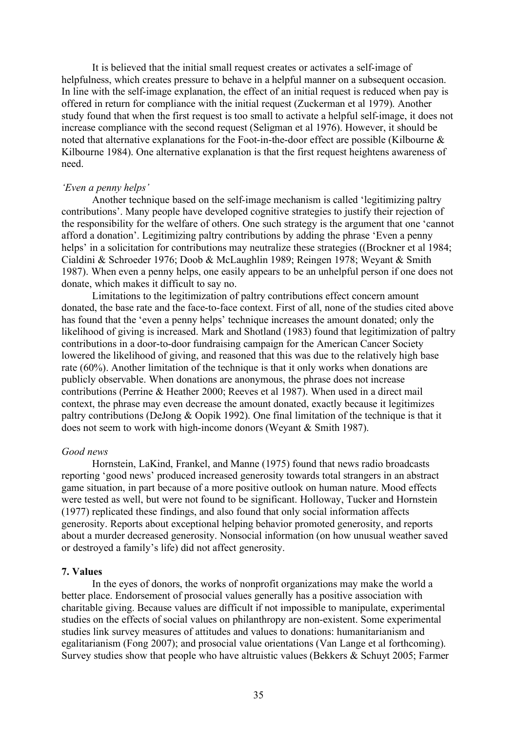It is believed that the initial small request creates or activates a self-image of helpfulness, which creates pressure to behave in a helpful manner on a subsequent occasion. In line with the self-image explanation, the effect of an initial request is reduced when pay is offered in return for compliance with the initial request (Zuckerman et al 1979). Another study found that when the first request is too small to activate a helpful self-image, it does not increase compliance with the second request (Seligman et al 1976). However, it should be noted that alternative explanations for the Foot-in-the-door effect are possible (Kilbourne & Kilbourne 1984). One alternative explanation is that the first request heightens awareness of need.

# *'Even a penny helps'*

Another technique based on the self-image mechanism is called 'legitimizing paltry contributions'. Many people have developed cognitive strategies to justify their rejection of the responsibility for the welfare of others. One such strategy is the argument that one 'cannot afford a donation'. Legitimizing paltry contributions by adding the phrase 'Even a penny helps' in a solicitation for contributions may neutralize these strategies ((Brockner et al 1984; Cialdini & Schroeder 1976; Doob & McLaughlin 1989; Reingen 1978; Weyant & Smith 1987). When even a penny helps, one easily appears to be an unhelpful person if one does not donate, which makes it difficult to say no.

Limitations to the legitimization of paltry contributions effect concern amount donated, the base rate and the face-to-face context. First of all, none of the studies cited above has found that the 'even a penny helps' technique increases the amount donated; only the likelihood of giving is increased. Mark and Shotland (1983) found that legitimization of paltry contributions in a door-to-door fundraising campaign for the American Cancer Society lowered the likelihood of giving, and reasoned that this was due to the relatively high base rate (60%). Another limitation of the technique is that it only works when donations are publicly observable. When donations are anonymous, the phrase does not increase contributions (Perrine & Heather 2000; Reeves et al 1987). When used in a direct mail context, the phrase may even decrease the amount donated, exactly because it legitimizes paltry contributions (DeJong & Oopik 1992). One final limitation of the technique is that it does not seem to work with high-income donors (Weyant & Smith 1987).

#### *Good news*

Hornstein, LaKind, Frankel, and Manne (1975) found that news radio broadcasts reporting 'good news' produced increased generosity towards total strangers in an abstract game situation, in part because of a more positive outlook on human nature. Mood effects were tested as well, but were not found to be significant. Holloway, Tucker and Hornstein (1977) replicated these findings, and also found that only social information affects generosity. Reports about exceptional helping behavior promoted generosity, and reports about a murder decreased generosity. Nonsocial information (on how unusual weather saved or destroyed a family's life) did not affect generosity.

#### **7. Values**

In the eyes of donors, the works of nonprofit organizations may make the world a better place. Endorsement of prosocial values generally has a positive association with charitable giving. Because values are difficult if not impossible to manipulate, experimental studies on the effects of social values on philanthropy are non-existent. Some experimental studies link survey measures of attitudes and values to donations: humanitarianism and egalitarianism (Fong 2007); and prosocial value orientations (Van Lange et al forthcoming). Survey studies show that people who have altruistic values (Bekkers & Schuyt 2005; Farmer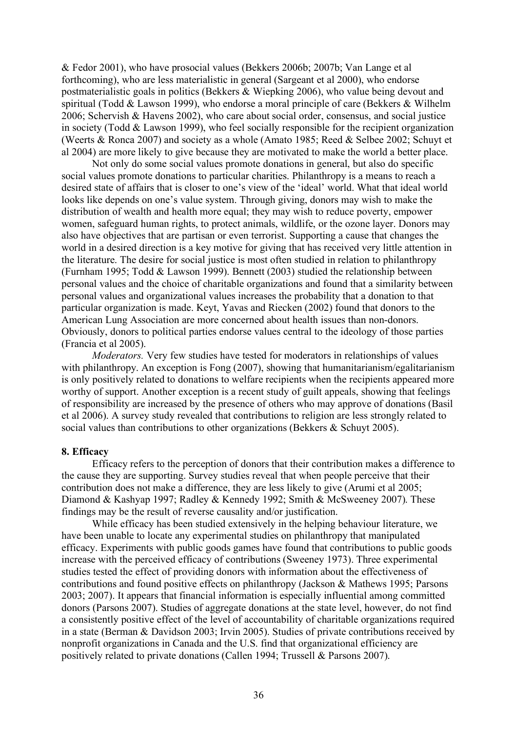& Fedor 2001), who have prosocial values (Bekkers 2006b; 2007b; Van Lange et al forthcoming), who are less materialistic in general (Sargeant et al 2000), who endorse postmaterialistic goals in politics (Bekkers & Wiepking 2006), who value being devout and spiritual (Todd & Lawson 1999), who endorse a moral principle of care (Bekkers & Wilhelm 2006; Schervish & Havens 2002), who care about social order, consensus, and social justice in society (Todd & Lawson 1999), who feel socially responsible for the recipient organization (Weerts & Ronca 2007) and society as a whole (Amato 1985; Reed & Selbee 2002; Schuyt et al 2004) are more likely to give because they are motivated to make the world a better place.

Not only do some social values promote donations in general, but also do specific social values promote donations to particular charities. Philanthropy is a means to reach a desired state of affairs that is closer to one's view of the 'ideal' world. What that ideal world looks like depends on one's value system. Through giving, donors may wish to make the distribution of wealth and health more equal; they may wish to reduce poverty, empower women, safeguard human rights, to protect animals, wildlife, or the ozone layer. Donors may also have objectives that are partisan or even terrorist. Supporting a cause that changes the world in a desired direction is a key motive for giving that has received very little attention in the literature. The desire for social justice is most often studied in relation to philanthropy (Furnham 1995; Todd & Lawson 1999). Bennett (2003) studied the relationship between personal values and the choice of charitable organizations and found that a similarity between personal values and organizational values increases the probability that a donation to that particular organization is made. Keyt, Yavas and Riecken (2002) found that donors to the American Lung Association are more concerned about health issues than non-donors. Obviously, donors to political parties endorse values central to the ideology of those parties (Francia et al 2005).

*Moderators.* Very few studies have tested for moderators in relationships of values with philanthropy. An exception is Fong (2007), showing that humanitarianism/egalitarianism is only positively related to donations to welfare recipients when the recipients appeared more worthy of support. Another exception is a recent study of guilt appeals, showing that feelings of responsibility are increased by the presence of others who may approve of donations (Basil et al 2006). A survey study revealed that contributions to religion are less strongly related to social values than contributions to other organizations (Bekkers & Schuyt 2005).

#### **8. Efficacy**

Efficacy refers to the perception of donors that their contribution makes a difference to the cause they are supporting. Survey studies reveal that when people perceive that their contribution does not make a difference, they are less likely to give (Arumi et al 2005; Diamond & Kashyap 1997; Radley & Kennedy 1992; Smith & McSweeney 2007). These findings may be the result of reverse causality and/or justification.

While efficacy has been studied extensively in the helping behaviour literature, we have been unable to locate any experimental studies on philanthropy that manipulated efficacy. Experiments with public goods games have found that contributions to public goods increase with the perceived efficacy of contributions (Sweeney 1973). Three experimental studies tested the effect of providing donors with information about the effectiveness of contributions and found positive effects on philanthropy (Jackson & Mathews 1995; Parsons 2003; 2007). It appears that financial information is especially influential among committed donors (Parsons 2007). Studies of aggregate donations at the state level, however, do not find a consistently positive effect of the level of accountability of charitable organizations required in a state (Berman & Davidson 2003; Irvin 2005). Studies of private contributions received by nonprofit organizations in Canada and the U.S. find that organizational efficiency are positively related to private donations (Callen 1994; Trussell & Parsons 2007).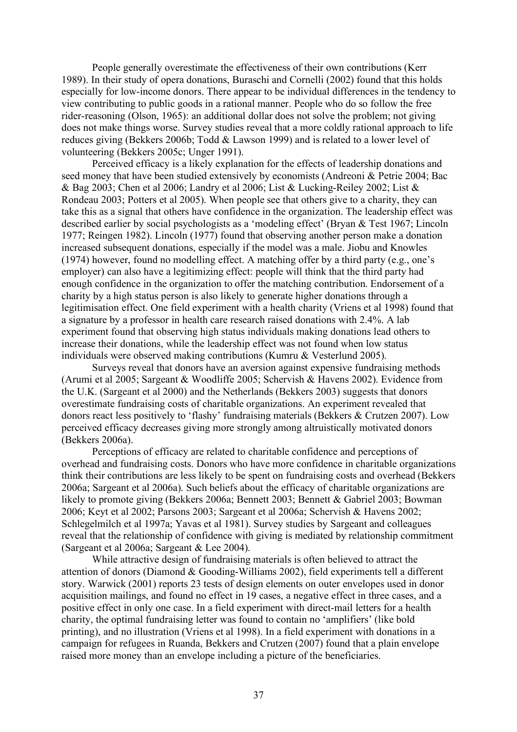People generally overestimate the effectiveness of their own contributions (Kerr 1989). In their study of opera donations, Buraschi and Cornelli (2002) found that this holds especially for low-income donors. There appear to be individual differences in the tendency to view contributing to public goods in a rational manner. People who do so follow the free rider-reasoning (Olson, 1965): an additional dollar does not solve the problem; not giving does not make things worse. Survey studies reveal that a more coldly rational approach to life reduces giving (Bekkers 2006b; Todd & Lawson 1999) and is related to a lower level of volunteering (Bekkers 2005c; Unger 1991).

Perceived efficacy is a likely explanation for the effects of leadership donations and seed money that have been studied extensively by economists (Andreoni & Petrie 2004; Bac & Bag 2003; Chen et al 2006; Landry et al 2006; List & Lucking-Reiley 2002; List & Rondeau 2003; Potters et al 2005). When people see that others give to a charity, they can take this as a signal that others have confidence in the organization. The leadership effect was described earlier by social psychologists as a 'modeling effect' (Bryan & Test 1967; Lincoln 1977; Reingen 1982). Lincoln (1977) found that observing another person make a donation increased subsequent donations, especially if the model was a male. Jiobu and Knowles (1974) however, found no modelling effect. A matching offer by a third party (e.g., one's employer) can also have a legitimizing effect: people will think that the third party had enough confidence in the organization to offer the matching contribution. Endorsement of a charity by a high status person is also likely to generate higher donations through a legitimisation effect. One field experiment with a health charity (Vriens et al 1998) found that a signature by a professor in health care research raised donations with 2.4%. A lab experiment found that observing high status individuals making donations lead others to increase their donations, while the leadership effect was not found when low status individuals were observed making contributions (Kumru & Vesterlund 2005).

Surveys reveal that donors have an aversion against expensive fundraising methods (Arumi et al 2005; Sargeant & Woodliffe 2005; Schervish & Havens 2002). Evidence from the U.K. (Sargeant et al 2000) and the Netherlands (Bekkers 2003) suggests that donors overestimate fundraising costs of charitable organizations. An experiment revealed that donors react less positively to 'flashy' fundraising materials (Bekkers & Crutzen 2007). Low perceived efficacy decreases giving more strongly among altruistically motivated donors (Bekkers 2006a).

Perceptions of efficacy are related to charitable confidence and perceptions of overhead and fundraising costs. Donors who have more confidence in charitable organizations think their contributions are less likely to be spent on fundraising costs and overhead (Bekkers 2006a; Sargeant et al 2006a). Such beliefs about the efficacy of charitable organizations are likely to promote giving (Bekkers 2006a; Bennett 2003; Bennett & Gabriel 2003; Bowman 2006; Keyt et al 2002; Parsons 2003; Sargeant et al 2006a; Schervish & Havens 2002; Schlegelmilch et al 1997a; Yavas et al 1981). Survey studies by Sargeant and colleagues reveal that the relationship of confidence with giving is mediated by relationship commitment (Sargeant et al 2006a; Sargeant & Lee 2004).

While attractive design of fundraising materials is often believed to attract the attention of donors (Diamond & Gooding-Williams 2002), field experiments tell a different story. Warwick (2001) reports 23 tests of design elements on outer envelopes used in donor acquisition mailings, and found no effect in 19 cases, a negative effect in three cases, and a positive effect in only one case. In a field experiment with direct-mail letters for a health charity, the optimal fundraising letter was found to contain no 'amplifiers' (like bold printing), and no illustration (Vriens et al 1998). In a field experiment with donations in a campaign for refugees in Ruanda, Bekkers and Crutzen (2007) found that a plain envelope raised more money than an envelope including a picture of the beneficiaries.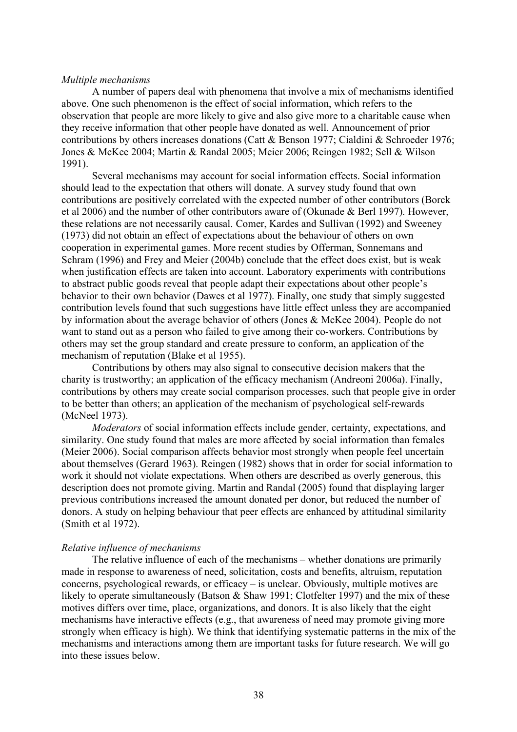#### *Multiple mechanisms*

A number of papers deal with phenomena that involve a mix of mechanisms identified above. One such phenomenon is the effect of social information, which refers to the observation that people are more likely to give and also give more to a charitable cause when they receive information that other people have donated as well. Announcement of prior contributions by others increases donations (Catt & Benson 1977; Cialdini & Schroeder 1976; Jones & McKee 2004; Martin & Randal 2005; Meier 2006; Reingen 1982; Sell & Wilson 1991).

Several mechanisms may account for social information effects. Social information should lead to the expectation that others will donate. A survey study found that own contributions are positively correlated with the expected number of other contributors (Borck et al 2006) and the number of other contributors aware of (Okunade & Berl 1997). However, these relations are not necessarily causal. Comer, Kardes and Sullivan (1992) and Sweeney (1973) did not obtain an effect of expectations about the behaviour of others on own cooperation in experimental games. More recent studies by Offerman, Sonnemans and Schram (1996) and Frey and Meier (2004b) conclude that the effect does exist, but is weak when justification effects are taken into account. Laboratory experiments with contributions to abstract public goods reveal that people adapt their expectations about other people's behavior to their own behavior (Dawes et al 1977). Finally, one study that simply suggested contribution levels found that such suggestions have little effect unless they are accompanied by information about the average behavior of others (Jones & McKee 2004). People do not want to stand out as a person who failed to give among their co-workers. Contributions by others may set the group standard and create pressure to conform, an application of the mechanism of reputation (Blake et al 1955).

Contributions by others may also signal to consecutive decision makers that the charity is trustworthy; an application of the efficacy mechanism (Andreoni 2006a). Finally, contributions by others may create social comparison processes, such that people give in order to be better than others; an application of the mechanism of psychological self-rewards (McNeel 1973).

*Moderators* of social information effects include gender, certainty, expectations, and similarity. One study found that males are more affected by social information than females (Meier 2006). Social comparison affects behavior most strongly when people feel uncertain about themselves (Gerard 1963). Reingen (1982) shows that in order for social information to work it should not violate expectations. When others are described as overly generous, this description does not promote giving. Martin and Randal (2005) found that displaying larger previous contributions increased the amount donated per donor, but reduced the number of donors. A study on helping behaviour that peer effects are enhanced by attitudinal similarity (Smith et al 1972).

#### *Relative influence of mechanisms*

The relative influence of each of the mechanisms – whether donations are primarily made in response to awareness of need, solicitation, costs and benefits, altruism, reputation concerns, psychological rewards, or efficacy – is unclear. Obviously, multiple motives are likely to operate simultaneously (Batson & Shaw 1991; Clotfelter 1997) and the mix of these motives differs over time, place, organizations, and donors. It is also likely that the eight mechanisms have interactive effects (e.g., that awareness of need may promote giving more strongly when efficacy is high). We think that identifying systematic patterns in the mix of the mechanisms and interactions among them are important tasks for future research. We will go into these issues below.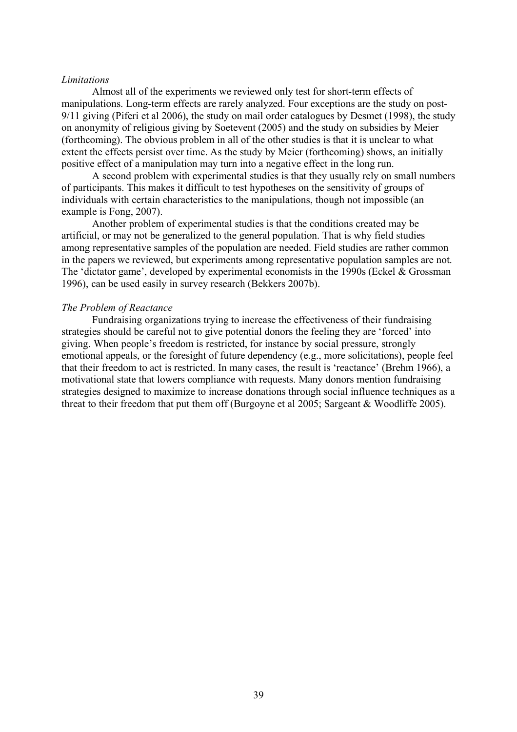#### *Limitations*

Almost all of the experiments we reviewed only test for short-term effects of manipulations. Long-term effects are rarely analyzed. Four exceptions are the study on post-9/11 giving (Piferi et al 2006), the study on mail order catalogues by Desmet (1998), the study on anonymity of religious giving by Soetevent (2005) and the study on subsidies by Meier (forthcoming). The obvious problem in all of the other studies is that it is unclear to what extent the effects persist over time. As the study by Meier (forthcoming) shows, an initially positive effect of a manipulation may turn into a negative effect in the long run.

A second problem with experimental studies is that they usually rely on small numbers of participants. This makes it difficult to test hypotheses on the sensitivity of groups of individuals with certain characteristics to the manipulations, though not impossible (an example is Fong, 2007).

Another problem of experimental studies is that the conditions created may be artificial, or may not be generalized to the general population. That is why field studies among representative samples of the population are needed. Field studies are rather common in the papers we reviewed, but experiments among representative population samples are not. The 'dictator game', developed by experimental economists in the 1990s (Eckel & Grossman 1996), can be used easily in survey research (Bekkers 2007b).

#### *The Problem of Reactance*

Fundraising organizations trying to increase the effectiveness of their fundraising strategies should be careful not to give potential donors the feeling they are 'forced' into giving. When people's freedom is restricted, for instance by social pressure, strongly emotional appeals, or the foresight of future dependency (e.g., more solicitations), people feel that their freedom to act is restricted. In many cases, the result is 'reactance' (Brehm 1966), a motivational state that lowers compliance with requests. Many donors mention fundraising strategies designed to maximize to increase donations through social influence techniques as a threat to their freedom that put them off (Burgoyne et al 2005; Sargeant & Woodliffe 2005).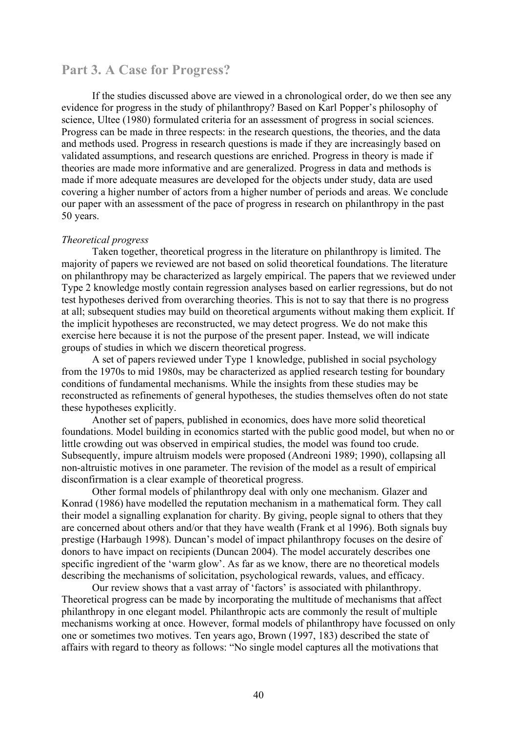# **Part 3. A Case for Progress?**

If the studies discussed above are viewed in a chronological order, do we then see any evidence for progress in the study of philanthropy? Based on Karl Popper's philosophy of science, Ultee (1980) formulated criteria for an assessment of progress in social sciences. Progress can be made in three respects: in the research questions, the theories, and the data and methods used. Progress in research questions is made if they are increasingly based on validated assumptions, and research questions are enriched. Progress in theory is made if theories are made more informative and are generalized. Progress in data and methods is made if more adequate measures are developed for the objects under study, data are used covering a higher number of actors from a higher number of periods and areas. We conclude our paper with an assessment of the pace of progress in research on philanthropy in the past 50 years.

#### *Theoretical progress*

Taken together, theoretical progress in the literature on philanthropy is limited. The majority of papers we reviewed are not based on solid theoretical foundations. The literature on philanthropy may be characterized as largely empirical. The papers that we reviewed under Type 2 knowledge mostly contain regression analyses based on earlier regressions, but do not test hypotheses derived from overarching theories. This is not to say that there is no progress at all; subsequent studies may build on theoretical arguments without making them explicit. If the implicit hypotheses are reconstructed, we may detect progress. We do not make this exercise here because it is not the purpose of the present paper. Instead, we will indicate groups of studies in which we discern theoretical progress.

A set of papers reviewed under Type 1 knowledge, published in social psychology from the 1970s to mid 1980s, may be characterized as applied research testing for boundary conditions of fundamental mechanisms. While the insights from these studies may be reconstructed as refinements of general hypotheses, the studies themselves often do not state these hypotheses explicitly.

Another set of papers, published in economics, does have more solid theoretical foundations. Model building in economics started with the public good model, but when no or little crowding out was observed in empirical studies, the model was found too crude. Subsequently, impure altruism models were proposed (Andreoni 1989; 1990), collapsing all non-altruistic motives in one parameter. The revision of the model as a result of empirical disconfirmation is a clear example of theoretical progress.

Other formal models of philanthropy deal with only one mechanism. Glazer and Konrad (1986) have modelled the reputation mechanism in a mathematical form. They call their model a signalling explanation for charity. By giving, people signal to others that they are concerned about others and/or that they have wealth (Frank et al 1996). Both signals buy prestige (Harbaugh 1998). Duncan's model of impact philanthropy focuses on the desire of donors to have impact on recipients (Duncan 2004). The model accurately describes one specific ingredient of the 'warm glow'. As far as we know, there are no theoretical models describing the mechanisms of solicitation, psychological rewards, values, and efficacy.

Our review shows that a vast array of 'factors' is associated with philanthropy. Theoretical progress can be made by incorporating the multitude of mechanisms that affect philanthropy in one elegant model. Philanthropic acts are commonly the result of multiple mechanisms working at once. However, formal models of philanthropy have focussed on only one or sometimes two motives. Ten years ago, Brown (1997, 183) described the state of affairs with regard to theory as follows: "No single model captures all the motivations that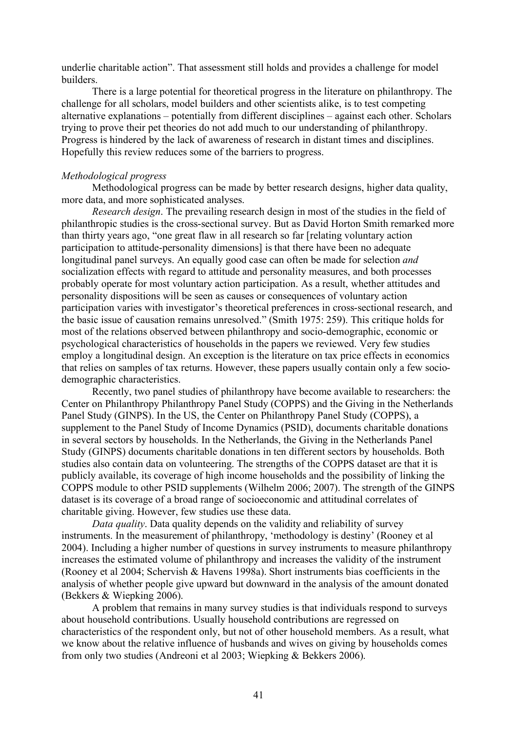underlie charitable action". That assessment still holds and provides a challenge for model builders.

There is a large potential for theoretical progress in the literature on philanthropy. The challenge for all scholars, model builders and other scientists alike, is to test competing alternative explanations – potentially from different disciplines – against each other. Scholars trying to prove their pet theories do not add much to our understanding of philanthropy. Progress is hindered by the lack of awareness of research in distant times and disciplines. Hopefully this review reduces some of the barriers to progress.

#### *Methodological progress*

Methodological progress can be made by better research designs, higher data quality, more data, and more sophisticated analyses.

*Research design*. The prevailing research design in most of the studies in the field of philanthropic studies is the cross-sectional survey. But as David Horton Smith remarked more than thirty years ago, "one great flaw in all research so far [relating voluntary action participation to attitude-personality dimensions] is that there have been no adequate longitudinal panel surveys. An equally good case can often be made for selection *and*  socialization effects with regard to attitude and personality measures, and both processes probably operate for most voluntary action participation. As a result, whether attitudes and personality dispositions will be seen as causes or consequences of voluntary action participation varies with investigator's theoretical preferences in cross-sectional research, and the basic issue of causation remains unresolved." (Smith 1975: 259). This critique holds for most of the relations observed between philanthropy and socio-demographic, economic or psychological characteristics of households in the papers we reviewed. Very few studies employ a longitudinal design. An exception is the literature on tax price effects in economics that relies on samples of tax returns. However, these papers usually contain only a few sociodemographic characteristics.

Recently, two panel studies of philanthropy have become available to researchers: the Center on Philanthropy Philanthropy Panel Study (COPPS) and the Giving in the Netherlands Panel Study (GINPS). In the US, the Center on Philanthropy Panel Study (COPPS), a supplement to the Panel Study of Income Dynamics (PSID), documents charitable donations in several sectors by households. In the Netherlands, the Giving in the Netherlands Panel Study (GINPS) documents charitable donations in ten different sectors by households. Both studies also contain data on volunteering. The strengths of the COPPS dataset are that it is publicly available, its coverage of high income households and the possibility of linking the COPPS module to other PSID supplements (Wilhelm 2006; 2007). The strength of the GINPS dataset is its coverage of a broad range of socioeconomic and attitudinal correlates of charitable giving. However, few studies use these data.

*Data quality*. Data quality depends on the validity and reliability of survey instruments. In the measurement of philanthropy, 'methodology is destiny' (Rooney et al 2004). Including a higher number of questions in survey instruments to measure philanthropy increases the estimated volume of philanthropy and increases the validity of the instrument (Rooney et al 2004; Schervish & Havens 1998a). Short instruments bias coefficients in the analysis of whether people give upward but downward in the analysis of the amount donated (Bekkers & Wiepking 2006).

A problem that remains in many survey studies is that individuals respond to surveys about household contributions. Usually household contributions are regressed on characteristics of the respondent only, but not of other household members. As a result, what we know about the relative influence of husbands and wives on giving by households comes from only two studies (Andreoni et al 2003; Wiepking & Bekkers 2006).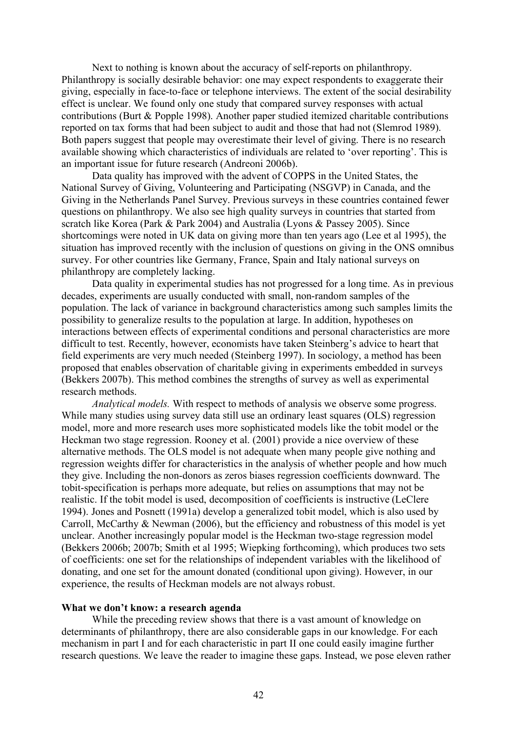Next to nothing is known about the accuracy of self-reports on philanthropy. Philanthropy is socially desirable behavior: one may expect respondents to exaggerate their giving, especially in face-to-face or telephone interviews. The extent of the social desirability effect is unclear. We found only one study that compared survey responses with actual contributions (Burt & Popple 1998). Another paper studied itemized charitable contributions reported on tax forms that had been subject to audit and those that had not (Slemrod 1989). Both papers suggest that people may overestimate their level of giving. There is no research available showing which characteristics of individuals are related to 'over reporting'. This is an important issue for future research (Andreoni 2006b).

Data quality has improved with the advent of COPPS in the United States, the National Survey of Giving, Volunteering and Participating (NSGVP) in Canada, and the Giving in the Netherlands Panel Survey. Previous surveys in these countries contained fewer questions on philanthropy. We also see high quality surveys in countries that started from scratch like Korea (Park & Park 2004) and Australia (Lyons & Passey 2005). Since shortcomings were noted in UK data on giving more than ten years ago (Lee et al 1995), the situation has improved recently with the inclusion of questions on giving in the ONS omnibus survey. For other countries like Germany, France, Spain and Italy national surveys on philanthropy are completely lacking.

Data quality in experimental studies has not progressed for a long time. As in previous decades, experiments are usually conducted with small, non-random samples of the population. The lack of variance in background characteristics among such samples limits the possibility to generalize results to the population at large. In addition, hypotheses on interactions between effects of experimental conditions and personal characteristics are more difficult to test. Recently, however, economists have taken Steinberg's advice to heart that field experiments are very much needed (Steinberg 1997). In sociology, a method has been proposed that enables observation of charitable giving in experiments embedded in surveys (Bekkers 2007b). This method combines the strengths of survey as well as experimental research methods.

*Analytical models.* With respect to methods of analysis we observe some progress. While many studies using survey data still use an ordinary least squares (OLS) regression model, more and more research uses more sophisticated models like the tobit model or the Heckman two stage regression. Rooney et al. (2001) provide a nice overview of these alternative methods. The OLS model is not adequate when many people give nothing and regression weights differ for characteristics in the analysis of whether people and how much they give. Including the non-donors as zeros biases regression coefficients downward. The tobit-specification is perhaps more adequate, but relies on assumptions that may not be realistic. If the tobit model is used, decomposition of coefficients is instructive (LeClere 1994). Jones and Posnett (1991a) develop a generalized tobit model, which is also used by Carroll, McCarthy & Newman (2006), but the efficiency and robustness of this model is yet unclear. Another increasingly popular model is the Heckman two-stage regression model (Bekkers 2006b; 2007b; Smith et al 1995; Wiepking forthcoming), which produces two sets of coefficients: one set for the relationships of independent variables with the likelihood of donating, and one set for the amount donated (conditional upon giving). However, in our experience, the results of Heckman models are not always robust.

#### **What we don't know: a research agenda**

While the preceding review shows that there is a vast amount of knowledge on determinants of philanthropy, there are also considerable gaps in our knowledge. For each mechanism in part I and for each characteristic in part II one could easily imagine further research questions. We leave the reader to imagine these gaps. Instead, we pose eleven rather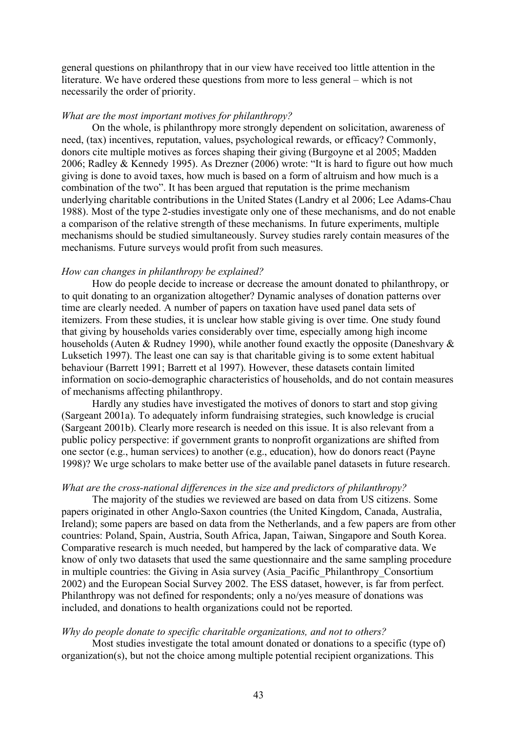general questions on philanthropy that in our view have received too little attention in the literature. We have ordered these questions from more to less general – which is not necessarily the order of priority.

#### *What are the most important motives for philanthropy?*

On the whole, is philanthropy more strongly dependent on solicitation, awareness of need, (tax) incentives, reputation, values, psychological rewards, or efficacy? Commonly, donors cite multiple motives as forces shaping their giving (Burgoyne et al 2005; Madden 2006; Radley & Kennedy 1995). As Drezner (2006) wrote: "It is hard to figure out how much giving is done to avoid taxes, how much is based on a form of altruism and how much is a combination of the two". It has been argued that reputation is the prime mechanism underlying charitable contributions in the United States (Landry et al 2006; Lee Adams-Chau 1988). Most of the type 2-studies investigate only one of these mechanisms, and do not enable a comparison of the relative strength of these mechanisms. In future experiments, multiple mechanisms should be studied simultaneously. Survey studies rarely contain measures of the mechanisms. Future surveys would profit from such measures.

# *How can changes in philanthropy be explained?*

How do people decide to increase or decrease the amount donated to philanthropy, or to quit donating to an organization altogether? Dynamic analyses of donation patterns over time are clearly needed. A number of papers on taxation have used panel data sets of itemizers. From these studies, it is unclear how stable giving is over time. One study found that giving by households varies considerably over time, especially among high income households (Auten & Rudney 1990), while another found exactly the opposite (Daneshvary & Luksetich 1997). The least one can say is that charitable giving is to some extent habitual behaviour (Barrett 1991; Barrett et al 1997). However, these datasets contain limited information on socio-demographic characteristics of households, and do not contain measures of mechanisms affecting philanthropy.

Hardly any studies have investigated the motives of donors to start and stop giving (Sargeant 2001a). To adequately inform fundraising strategies, such knowledge is crucial (Sargeant 2001b). Clearly more research is needed on this issue. It is also relevant from a public policy perspective: if government grants to nonprofit organizations are shifted from one sector (e.g., human services) to another (e.g., education), how do donors react (Payne 1998)? We urge scholars to make better use of the available panel datasets in future research.

#### *What are the cross-national differences in the size and predictors of philanthropy?*

The majority of the studies we reviewed are based on data from US citizens. Some papers originated in other Anglo-Saxon countries (the United Kingdom, Canada, Australia, Ireland); some papers are based on data from the Netherlands, and a few papers are from other countries: Poland, Spain, Austria, South Africa, Japan, Taiwan, Singapore and South Korea. Comparative research is much needed, but hampered by the lack of comparative data. We know of only two datasets that used the same questionnaire and the same sampling procedure in multiple countries: the Giving in Asia survey (Asia\_Pacific\_Philanthropy\_Consortium 2002) and the European Social Survey 2002. The ESS dataset, however, is far from perfect. Philanthropy was not defined for respondents; only a no/yes measure of donations was included, and donations to health organizations could not be reported.

#### *Why do people donate to specific charitable organizations, and not to others?*

Most studies investigate the total amount donated or donations to a specific (type of) organization(s), but not the choice among multiple potential recipient organizations. This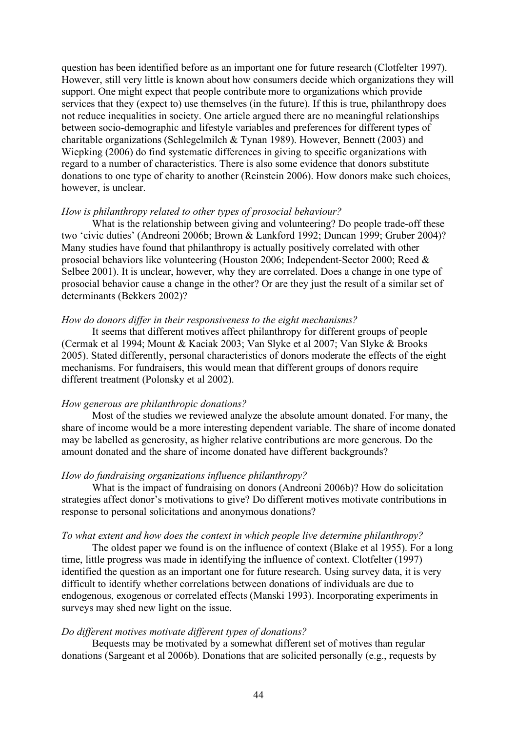question has been identified before as an important one for future research (Clotfelter 1997). However, still very little is known about how consumers decide which organizations they will support. One might expect that people contribute more to organizations which provide services that they (expect to) use themselves (in the future). If this is true, philanthropy does not reduce inequalities in society. One article argued there are no meaningful relationships between socio-demographic and lifestyle variables and preferences for different types of charitable organizations (Schlegelmilch & Tynan 1989). However, Bennett (2003) and Wiepking (2006) do find systematic differences in giving to specific organizations with regard to a number of characteristics. There is also some evidence that donors substitute donations to one type of charity to another (Reinstein 2006). How donors make such choices, however, is unclear.

#### *How is philanthropy related to other types of prosocial behaviour?*

What is the relationship between giving and volunteering? Do people trade-off these two 'civic duties' (Andreoni 2006b; Brown & Lankford 1992; Duncan 1999; Gruber 2004)? Many studies have found that philanthropy is actually positively correlated with other prosocial behaviors like volunteering (Houston 2006; Independent-Sector 2000; Reed & Selbee 2001). It is unclear, however, why they are correlated. Does a change in one type of prosocial behavior cause a change in the other? Or are they just the result of a similar set of determinants (Bekkers 2002)?

#### *How do donors differ in their responsiveness to the eight mechanisms?*

It seems that different motives affect philanthropy for different groups of people (Cermak et al 1994; Mount & Kaciak 2003; Van Slyke et al 2007; Van Slyke & Brooks 2005). Stated differently, personal characteristics of donors moderate the effects of the eight mechanisms. For fundraisers, this would mean that different groups of donors require different treatment (Polonsky et al 2002).

#### *How generous are philanthropic donations?*

Most of the studies we reviewed analyze the absolute amount donated. For many, the share of income would be a more interesting dependent variable. The share of income donated may be labelled as generosity, as higher relative contributions are more generous. Do the amount donated and the share of income donated have different backgrounds?

### *How do fundraising organizations influence philanthropy?*

What is the impact of fundraising on donors (Andreoni 2006b)? How do solicitation strategies affect donor's motivations to give? Do different motives motivate contributions in response to personal solicitations and anonymous donations?

### *To what extent and how does the context in which people live determine philanthropy?*

The oldest paper we found is on the influence of context (Blake et al 1955). For a long time, little progress was made in identifying the influence of context. Clotfelter (1997) identified the question as an important one for future research. Using survey data, it is very difficult to identify whether correlations between donations of individuals are due to endogenous, exogenous or correlated effects (Manski 1993). Incorporating experiments in surveys may shed new light on the issue.

#### *Do different motives motivate different types of donations?*

Bequests may be motivated by a somewhat different set of motives than regular donations (Sargeant et al 2006b). Donations that are solicited personally (e.g., requests by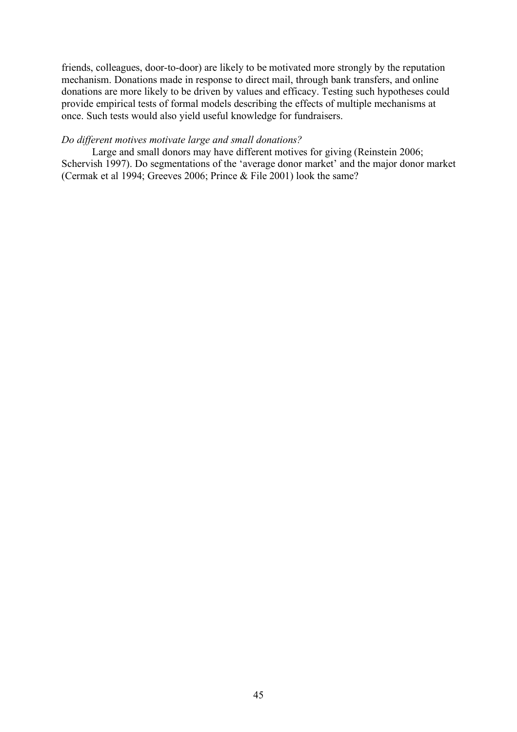friends, colleagues, door-to-door) are likely to be motivated more strongly by the reputation mechanism. Donations made in response to direct mail, through bank transfers, and online donations are more likely to be driven by values and efficacy. Testing such hypotheses could provide empirical tests of formal models describing the effects of multiple mechanisms at once. Such tests would also yield useful knowledge for fundraisers.

# *Do different motives motivate large and small donations?*

Large and small donors may have different motives for giving (Reinstein 2006; Schervish 1997). Do segmentations of the 'average donor market' and the major donor market (Cermak et al 1994; Greeves 2006; Prince & File 2001) look the same?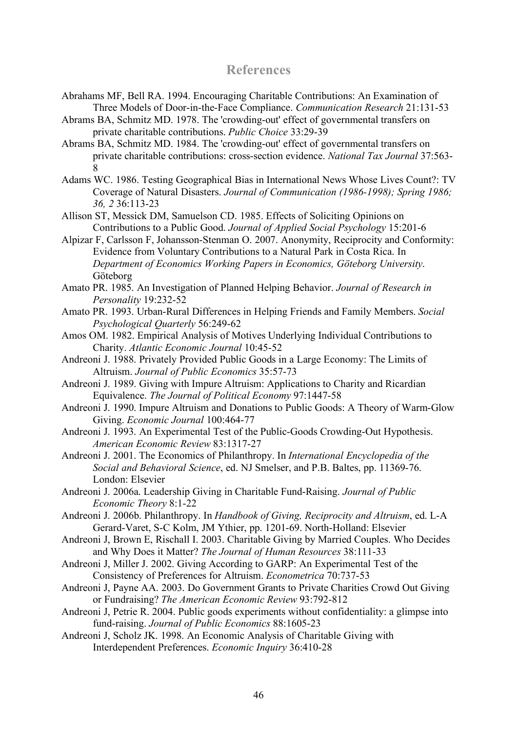# **References**

- Abrahams MF, Bell RA. 1994. Encouraging Charitable Contributions: An Examination of Three Models of Door-in-the-Face Compliance. *Communication Research* 21:131-53
- Abrams BA, Schmitz MD. 1978. The 'crowding-out' effect of governmental transfers on private charitable contributions. *Public Choice* 33:29-39
- Abrams BA, Schmitz MD. 1984. The 'crowding-out' effect of governmental transfers on private charitable contributions: cross-section evidence. *National Tax Journal* 37:563- 8
- Adams WC. 1986. Testing Geographical Bias in International News Whose Lives Count?: TV Coverage of Natural Disasters. *Journal of Communication (1986-1998); Spring 1986; 36, 2* 36:113-23
- Allison ST, Messick DM, Samuelson CD. 1985. Effects of Soliciting Opinions on Contributions to a Public Good. *Journal of Applied Social Psychology* 15:201-6
- Alpizar F, Carlsson F, Johansson-Stenman O. 2007. Anonymity, Reciprocity and Conformity: Evidence from Voluntary Contributions to a Natural Park in Costa Rica. In *Department of Economics Working Papers in Economics, Göteborg University*. Göteborg
- Amato PR. 1985. An Investigation of Planned Helping Behavior. *Journal of Research in Personality* 19:232-52
- Amato PR. 1993. Urban-Rural Differences in Helping Friends and Family Members. *Social Psychological Quarterly* 56:249-62
- Amos OM. 1982. Empirical Analysis of Motives Underlying Individual Contributions to Charity. *Atlantic Economic Journal* 10:45-52
- Andreoni J. 1988. Privately Provided Public Goods in a Large Economy: The Limits of Altruism. *Journal of Public Economics* 35:57-73
- Andreoni J. 1989. Giving with Impure Altruism: Applications to Charity and Ricardian Equivalence. *The Journal of Political Economy* 97:1447-58
- Andreoni J. 1990. Impure Altruism and Donations to Public Goods: A Theory of Warm-Glow Giving. *Economic Journal* 100:464-77
- Andreoni J. 1993. An Experimental Test of the Public-Goods Crowding-Out Hypothesis. *American Economic Review* 83:1317-27
- Andreoni J. 2001. The Economics of Philanthropy. In *International Encyclopedia of the Social and Behavioral Science*, ed. NJ Smelser, and P.B. Baltes, pp. 11369-76. London: Elsevier
- Andreoni J. 2006a. Leadership Giving in Charitable Fund-Raising. *Journal of Public Economic Theory* 8:1-22
- Andreoni J. 2006b. Philanthropy. In *Handbook of Giving, Reciprocity and Altruism*, ed. L-A Gerard-Varet, S-C Kolm, JM Ythier, pp. 1201-69. North-Holland: Elsevier
- Andreoni J, Brown E, Rischall I. 2003. Charitable Giving by Married Couples. Who Decides and Why Does it Matter? *The Journal of Human Resources* 38:111-33
- Andreoni J, Miller J. 2002. Giving According to GARP: An Experimental Test of the Consistency of Preferences for Altruism. *Econometrica* 70:737-53
- Andreoni J, Payne AA. 2003. Do Government Grants to Private Charities Crowd Out Giving or Fundraising? *The American Economic Review* 93:792-812
- Andreoni J, Petrie R. 2004. Public goods experiments without confidentiality: a glimpse into fund-raising. *Journal of Public Economics* 88:1605-23
- Andreoni J, Scholz JK. 1998. An Economic Analysis of Charitable Giving with Interdependent Preferences. *Economic Inquiry* 36:410-28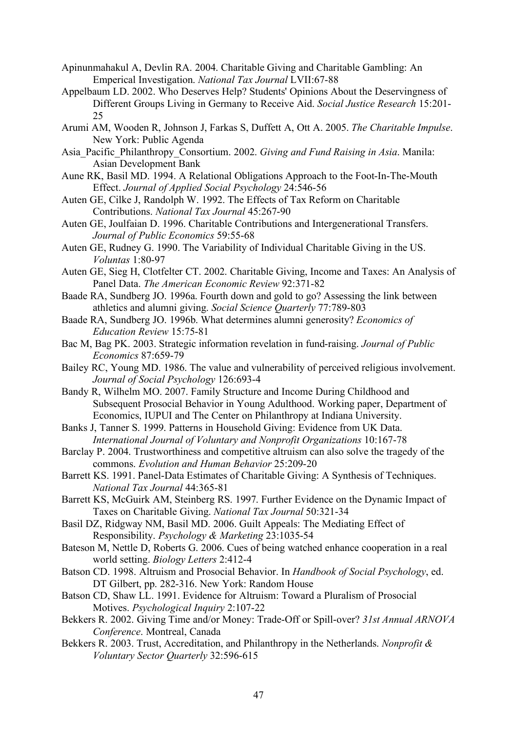- Apinunmahakul A, Devlin RA. 2004. Charitable Giving and Charitable Gambling: An Emperical Investigation. *National Tax Journal* LVII:67-88
- Appelbaum LD. 2002. Who Deserves Help? Students' Opinions About the Deservingness of Different Groups Living in Germany to Receive Aid. *Social Justice Research* 15:201- 25
- Arumi AM, Wooden R, Johnson J, Farkas S, Duffett A, Ott A. 2005. *The Charitable Impulse*. New York: Public Agenda
- Asia\_Pacific\_Philanthropy\_Consortium. 2002. *Giving and Fund Raising in Asia*. Manila: Asian Development Bank
- Aune RK, Basil MD. 1994. A Relational Obligations Approach to the Foot-In-The-Mouth Effect. *Journal of Applied Social Psychology* 24:546-56
- Auten GE, Cilke J, Randolph W. 1992. The Effects of Tax Reform on Charitable Contributions. *National Tax Journal* 45:267-90
- Auten GE, Joulfaian D. 1996. Charitable Contributions and Intergenerational Transfers. *Journal of Public Economics* 59:55-68
- Auten GE, Rudney G. 1990. The Variability of Individual Charitable Giving in the US. *Voluntas* 1:80-97
- Auten GE, Sieg H, Clotfelter CT. 2002. Charitable Giving, Income and Taxes: An Analysis of Panel Data. *The American Economic Review* 92:371-82
- Baade RA, Sundberg JO. 1996a. Fourth down and gold to go? Assessing the link between athletics and alumni giving. *Social Science Quarterly* 77:789-803
- Baade RA, Sundberg JO. 1996b. What determines alumni generosity? *Economics of Education Review* 15:75-81
- Bac M, Bag PK. 2003. Strategic information revelation in fund-raising. *Journal of Public Economics* 87:659-79

Bailey RC, Young MD. 1986. The value and vulnerability of perceived religious involvement. *Journal of Social Psychology* 126:693-4

- Bandy R, Wilhelm MO. 2007. Family Structure and Income During Childhood and Subsequent Prosocial Behavior in Young Adulthood. Working paper, Department of Economics, IUPUI and The Center on Philanthropy at Indiana University.
- Banks J, Tanner S. 1999. Patterns in Household Giving: Evidence from UK Data. *International Journal of Voluntary and Nonprofit Organizations* 10:167-78
- Barclay P. 2004. Trustworthiness and competitive altruism can also solve the tragedy of the commons. *Evolution and Human Behavior* 25:209-20
- Barrett KS. 1991. Panel-Data Estimates of Charitable Giving: A Synthesis of Techniques. *National Tax Journal* 44:365-81
- Barrett KS, McGuirk AM, Steinberg RS. 1997. Further Evidence on the Dynamic Impact of Taxes on Charitable Giving. *National Tax Journal* 50:321-34
- Basil DZ, Ridgway NM, Basil MD. 2006. Guilt Appeals: The Mediating Effect of Responsibility. *Psychology & Marketing* 23:1035-54
- Bateson M, Nettle D, Roberts G. 2006. Cues of being watched enhance cooperation in a real world setting. *Biology Letters* 2:412-4
- Batson CD. 1998. Altruism and Prosocial Behavior. In *Handbook of Social Psychology*, ed. DT Gilbert, pp. 282-316. New York: Random House
- Batson CD, Shaw LL. 1991. Evidence for Altruism: Toward a Pluralism of Prosocial Motives. *Psychological Inquiry* 2:107-22
- Bekkers R. 2002. Giving Time and/or Money: Trade-Off or Spill-over? *31st Annual ARNOVA Conference*. Montreal, Canada
- Bekkers R. 2003. Trust, Accreditation, and Philanthropy in the Netherlands. *Nonprofit & Voluntary Sector Quarterly* 32:596-615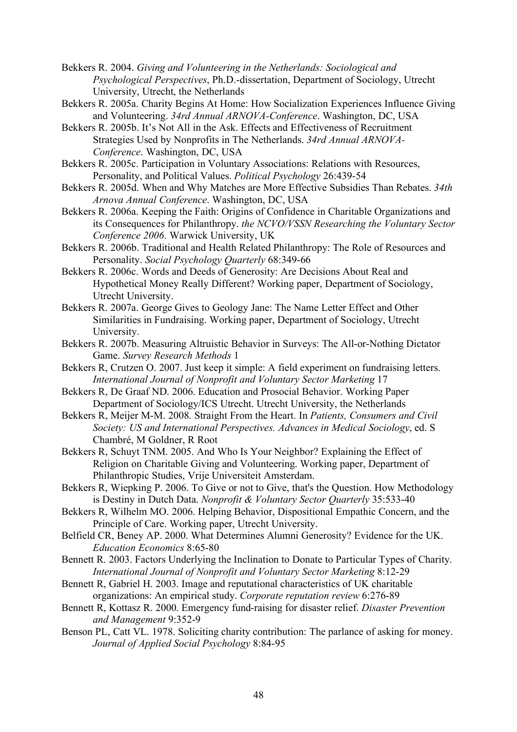Bekkers R. 2004. *Giving and Volunteering in the Netherlands: Sociological and Psychological Perspectives*, Ph.D.-dissertation, Department of Sociology, Utrecht University, Utrecht, the Netherlands

Bekkers R. 2005a. Charity Begins At Home: How Socialization Experiences Influence Giving and Volunteering. *34rd Annual ARNOVA-Conference*. Washington, DC, USA

Bekkers R. 2005b. It's Not All in the Ask. Effects and Effectiveness of Recruitment Strategies Used by Nonprofits in The Netherlands. *34rd Annual ARNOVA-Conference*. Washington, DC, USA

Bekkers R. 2005c. Participation in Voluntary Associations: Relations with Resources, Personality, and Political Values. *Political Psychology* 26:439-54

Bekkers R. 2005d. When and Why Matches are More Effective Subsidies Than Rebates. *34th Arnova Annual Conference*. Washington, DC, USA

Bekkers R. 2006a. Keeping the Faith: Origins of Confidence in Charitable Organizations and its Consequences for Philanthropy. *the NCVO/VSSN Researching the Voluntary Sector Conference 2006*. Warwick University, UK

Bekkers R. 2006b. Traditional and Health Related Philanthropy: The Role of Resources and Personality. *Social Psychology Quarterly* 68:349-66

- Bekkers R. 2006c. Words and Deeds of Generosity: Are Decisions About Real and Hypothetical Money Really Different? Working paper, Department of Sociology, Utrecht University.
- Bekkers R. 2007a. George Gives to Geology Jane: The Name Letter Effect and Other Similarities in Fundraising. Working paper, Department of Sociology, Utrecht University.
- Bekkers R. 2007b. Measuring Altruistic Behavior in Surveys: The All-or-Nothing Dictator Game. *Survey Research Methods* 1

Bekkers R, Crutzen O. 2007. Just keep it simple: A field experiment on fundraising letters. *International Journal of Nonprofit and Voluntary Sector Marketing* 17

Bekkers R, De Graaf ND. 2006. Education and Prosocial Behavior. Working Paper Department of Sociology/ICS Utrecht. Utrecht University, the Netherlands

Bekkers R, Meijer M-M. 2008. Straight From the Heart. In *Patients, Consumers and Civil Society: US and International Perspectives. Advances in Medical Sociology*, ed. S Chambré, M Goldner, R Root

Bekkers R, Schuyt TNM. 2005. And Who Is Your Neighbor? Explaining the Effect of Religion on Charitable Giving and Volunteering. Working paper, Department of Philanthropic Studies, Vrije Universiteit Amsterdam.

Bekkers R, Wiepking P. 2006. To Give or not to Give, that's the Question. How Methodology is Destiny in Dutch Data. *Nonprofit & Voluntary Sector Quarterly* 35:533-40

Bekkers R, Wilhelm MO. 2006. Helping Behavior, Dispositional Empathic Concern, and the Principle of Care. Working paper, Utrecht University.

Belfield CR, Beney AP. 2000. What Determines Alumni Generosity? Evidence for the UK. *Education Economics* 8:65-80

Bennett R. 2003. Factors Underlying the Inclination to Donate to Particular Types of Charity. *International Journal of Nonprofit and Voluntary Sector Marketing* 8:12-29

Bennett R, Gabriel H. 2003. Image and reputational characteristics of UK charitable organizations: An empirical study. *Corporate reputation review* 6:276-89

Bennett R, Kottasz R. 2000. Emergency fund-raising for disaster relief. *Disaster Prevention and Management* 9:352-9

Benson PL, Catt VL. 1978. Soliciting charity contribution: The parlance of asking for money. *Journal of Applied Social Psychology* 8:84-95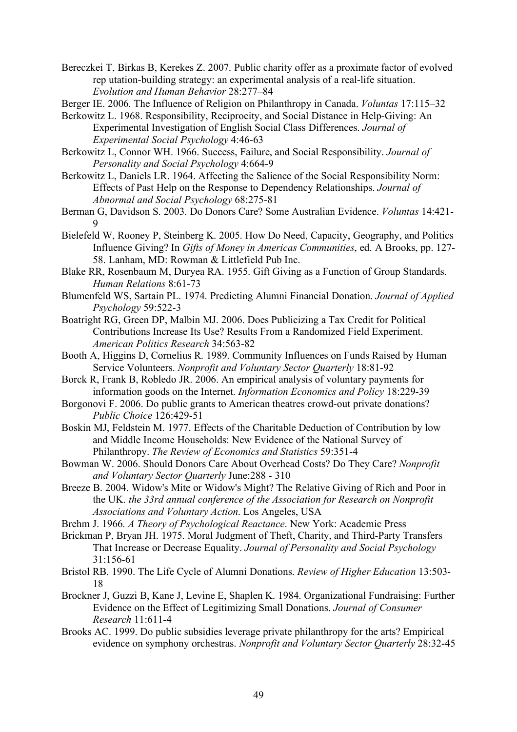Bereczkei T, Birkas B, Kerekes Z. 2007. Public charity offer as a proximate factor of evolved rep utation-building strategy: an experimental analysis of a real-life situation. *Evolution and Human Behavior* 28:277–84

Berger IE. 2006. The Influence of Religion on Philanthropy in Canada. *Voluntas* 17:115–32

Berkowitz L. 1968. Responsibility, Reciprocity, and Social Distance in Help-Giving: An Experimental Investigation of English Social Class Differences. *Journal of Experimental Social Psychology* 4:46-63

- Berkowitz L, Connor WH. 1966. Success, Failure, and Social Responsibility. *Journal of Personality and Social Psychology* 4:664-9
- Berkowitz L, Daniels LR. 1964. Affecting the Salience of the Social Responsibility Norm: Effects of Past Help on the Response to Dependency Relationships. *Journal of Abnormal and Social Psychology* 68:275-81
- Berman G, Davidson S. 2003. Do Donors Care? Some Australian Evidence. *Voluntas* 14:421- 9
- Bielefeld W, Rooney P, Steinberg K. 2005. How Do Need, Capacity, Geography, and Politics Influence Giving? In *Gifts of Money in Americas Communities*, ed. A Brooks, pp. 127- 58. Lanham, MD: Rowman & Littlefield Pub Inc.
- Blake RR, Rosenbaum M, Duryea RA. 1955. Gift Giving as a Function of Group Standards. *Human Relations* 8:61-73
- Blumenfeld WS, Sartain PL. 1974. Predicting Alumni Financial Donation. *Journal of Applied Psychology* 59:522-3
- Boatright RG, Green DP, Malbin MJ. 2006. Does Publicizing a Tax Credit for Political Contributions Increase Its Use? Results From a Randomized Field Experiment. *American Politics Research* 34:563-82
- Booth A, Higgins D, Cornelius R. 1989. Community Influences on Funds Raised by Human Service Volunteers. *Nonprofit and Voluntary Sector Quarterly* 18:81-92
- Borck R, Frank B, Robledo JR. 2006. An empirical analysis of voluntary payments for information goods on the Internet. *Information Economics and Policy* 18:229-39
- Borgonovi F. 2006. Do public grants to American theatres crowd-out private donations? *Public Choice* 126:429-51
- Boskin MJ, Feldstein M. 1977. Effects of the Charitable Deduction of Contribution by low and Middle Income Households: New Evidence of the National Survey of Philanthropy. *The Review of Economics and Statistics* 59:351-4
- Bowman W. 2006. Should Donors Care About Overhead Costs? Do They Care? *Nonprofit and Voluntary Sector Quarterly* June:288 - 310
- Breeze B. 2004. Widow's Mite or Widow's Might? The Relative Giving of Rich and Poor in the UK. *the 33rd annual conference of the Association for Research on Nonprofit Associations and Voluntary Action*. Los Angeles, USA
- Brehm J. 1966. *A Theory of Psychological Reactance*. New York: Academic Press
- Brickman P, Bryan JH. 1975. Moral Judgment of Theft, Charity, and Third-Party Transfers That Increase or Decrease Equality. *Journal of Personality and Social Psychology* 31:156-61
- Bristol RB. 1990. The Life Cycle of Alumni Donations. *Review of Higher Education* 13:503- 18
- Brockner J, Guzzi B, Kane J, Levine E, Shaplen K. 1984. Organizational Fundraising: Further Evidence on the Effect of Legitimizing Small Donations. *Journal of Consumer Research* 11:611-4
- Brooks AC. 1999. Do public subsidies leverage private philanthropy for the arts? Empirical evidence on symphony orchestras. *Nonprofit and Voluntary Sector Quarterly* 28:32-45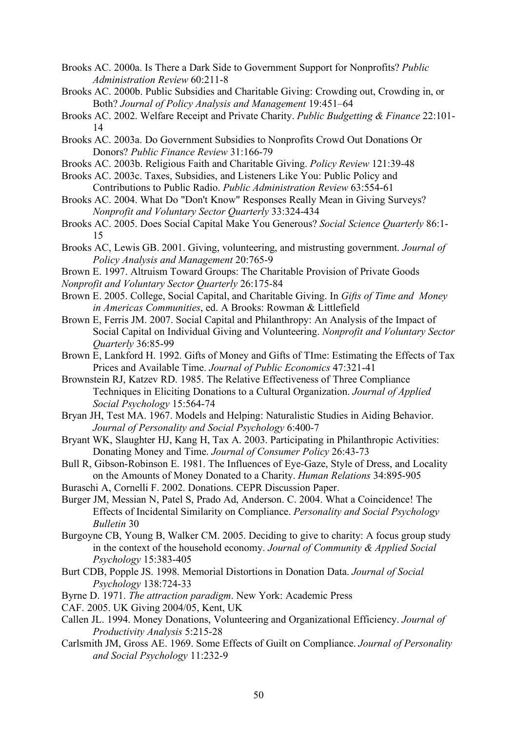- Brooks AC. 2000a. Is There a Dark Side to Government Support for Nonprofits? *Public Administration Review* 60:211-8
- Brooks AC. 2000b. Public Subsidies and Charitable Giving: Crowding out, Crowding in, or Both? *Journal of Policy Analysis and Management* 19:451–64
- Brooks AC. 2002. Welfare Receipt and Private Charity. *Public Budgetting & Finance* 22:101- 14
- Brooks AC. 2003a. Do Government Subsidies to Nonprofits Crowd Out Donations Or Donors? *Public Finance Review* 31:166-79
- Brooks AC. 2003b. Religious Faith and Charitable Giving. *Policy Review* 121:39-48
- Brooks AC. 2003c. Taxes, Subsidies, and Listeners Like You: Public Policy and Contributions to Public Radio. *Public Administration Review* 63:554-61
- Brooks AC. 2004. What Do "Don't Know" Responses Really Mean in Giving Surveys? *Nonprofit and Voluntary Sector Quarterly* 33:324-434
- Brooks AC. 2005. Does Social Capital Make You Generous? *Social Science Quarterly* 86:1- 15
- Brooks AC, Lewis GB. 2001. Giving, volunteering, and mistrusting government. *Journal of Policy Analysis and Management* 20:765-9
- Brown E. 1997. Altruism Toward Groups: The Charitable Provision of Private Goods *Nonprofit and Voluntary Sector Quarterly* 26:175-84
- 
- Brown E. 2005. College, Social Capital, and Charitable Giving. In *Gifts of Time and Money in Americas Communities*, ed. A Brooks: Rowman & Littlefield
- Brown E, Ferris JM. 2007. Social Capital and Philanthropy: An Analysis of the Impact of Social Capital on Individual Giving and Volunteering. *Nonprofit and Voluntary Sector Quarterly* 36:85-99
- Brown E, Lankford H. 1992. Gifts of Money and Gifts of TIme: Estimating the Effects of Tax Prices and Available Time. *Journal of Public Economics* 47:321-41
- Brownstein RJ, Katzev RD. 1985. The Relative Effectiveness of Three Compliance Techniques in Eliciting Donations to a Cultural Organization. *Journal of Applied Social Psychology* 15:564-74
- Bryan JH, Test MA. 1967. Models and Helping: Naturalistic Studies in Aiding Behavior. *Journal of Personality and Social Psychology* 6:400-7
- Bryant WK, Slaughter HJ, Kang H, Tax A. 2003. Participating in Philanthropic Activities: Donating Money and Time. *Journal of Consumer Policy* 26:43-73
- Bull R, Gibson-Robinson E. 1981. The Influences of Eye-Gaze, Style of Dress, and Locality on the Amounts of Money Donated to a Charity. *Human Relations* 34:895-905
- Buraschi A, Cornelli F. 2002. Donations. CEPR Discussion Paper.
- Burger JM, Messian N, Patel S, Prado Ad, Anderson. C. 2004. What a Coincidence! The Effects of Incidental Similarity on Compliance. *Personality and Social Psychology Bulletin* 30
- Burgoyne CB, Young B, Walker CM. 2005. Deciding to give to charity: A focus group study in the context of the household economy. *Journal of Community & Applied Social Psychology* 15:383-405
- Burt CDB, Popple JS. 1998. Memorial Distortions in Donation Data. *Journal of Social Psychology* 138:724-33
- Byrne D. 1971. *The attraction paradigm*. New York: Academic Press
- CAF. 2005. UK Giving 2004/05, Kent, UK
- Callen JL. 1994. Money Donations, Volunteering and Organizational Efficiency. *Journal of Productivity Analysis* 5:215-28
- Carlsmith JM, Gross AE. 1969. Some Effects of Guilt on Compliance. *Journal of Personality and Social Psychology* 11:232-9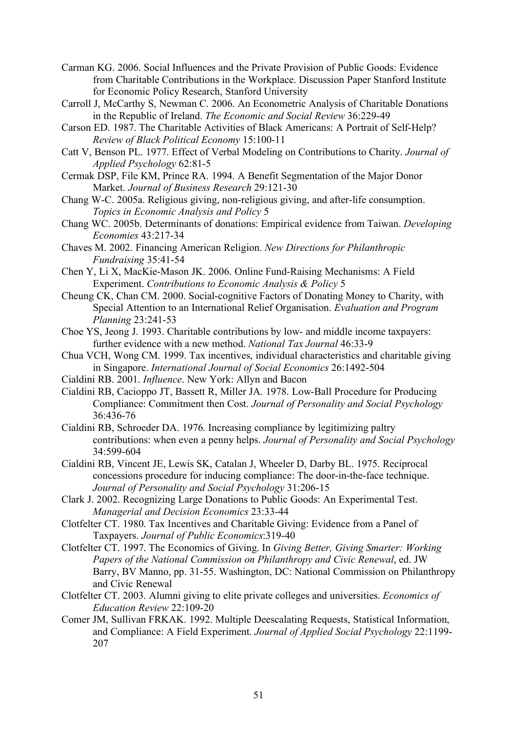- Carman KG. 2006. Social Influences and the Private Provision of Public Goods: Evidence from Charitable Contributions in the Workplace. Discussion Paper Stanford Institute for Economic Policy Research, Stanford University
- Carroll J, McCarthy S, Newman C. 2006. An Econometric Analysis of Charitable Donations in the Republic of Ireland. *The Economic and Social Review* 36:229-49
- Carson ED. 1987. The Charitable Activities of Black Americans: A Portrait of Self-Help? *Review of Black Political Economy* 15:100-11
- Catt V, Benson PL. 1977. Effect of Verbal Modeling on Contributions to Charity. *Journal of Applied Psychology* 62:81-5
- Cermak DSP, File KM, Prince RA. 1994. A Benefit Segmentation of the Major Donor Market. *Journal of Business Research* 29:121-30
- Chang W-C. 2005a. Religious giving, non-religious giving, and after-life consumption. *Topics in Economic Analysis and Policy* 5
- Chang WC. 2005b. Determinants of donations: Empirical evidence from Taiwan. *Developing Economies* 43:217-34
- Chaves M. 2002. Financing American Religion. *New Directions for Philanthropic Fundraising* 35:41-54
- Chen Y, Li X, MacKie-Mason JK. 2006. Online Fund-Raising Mechanisms: A Field Experiment. *Contributions to Economic Analysis & Policy* 5
- Cheung CK, Chan CM. 2000. Social-cognitive Factors of Donating Money to Charity, with Special Attention to an International Relief Organisation. *Evaluation and Program Planning* 23:241-53
- Choe YS, Jeong J. 1993. Charitable contributions by low- and middle income taxpayers: further evidence with a new method. *National Tax Journal* 46:33-9
- Chua VCH, Wong CM. 1999. Tax incentives, individual characteristics and charitable giving in Singapore. *International Journal of Social Economics* 26:1492-504
- Cialdini RB. 2001. *Influence*. New York: Allyn and Bacon
- Cialdini RB, Cacioppo JT, Bassett R, Miller JA. 1978. Low-Ball Procedure for Producing Compliance: Commitment then Cost. *Journal of Personality and Social Psychology* 36:436-76
- Cialdini RB, Schroeder DA. 1976. Increasing compliance by legitimizing paltry contributions: when even a penny helps. *Journal of Personality and Social Psychology* 34:599-604
- Cialdini RB, Vincent JE, Lewis SK, Catalan J, Wheeler D, Darby BL. 1975. Reciprocal concessions procedure for inducing compliance: The door-in-the-face technique. *Journal of Personality and Social Psychology* 31:206-15
- Clark J. 2002. Recognizing Large Donations to Public Goods: An Experimental Test. *Managerial and Decision Economics* 23:33-44
- Clotfelter CT. 1980. Tax Incentives and Charitable Giving: Evidence from a Panel of Taxpayers. *Journal of Public Economics*:319-40
- Clotfelter CT. 1997. The Economics of Giving. In *Giving Better, Giving Smarter: Working Papers of the National Commission on Philanthropy and Civic Renewal*, ed. JW Barry, BV Manno, pp. 31-55. Washington, DC: National Commission on Philanthropy and Civic Renewal
- Clotfelter CT. 2003. Alumni giving to elite private colleges and universities. *Economics of Education Review* 22:109-20
- Comer JM, Sullivan FRKAK. 1992. Multiple Deescalating Requests, Statistical Information, and Compliance: A Field Experiment. *Journal of Applied Social Psychology* 22:1199- 207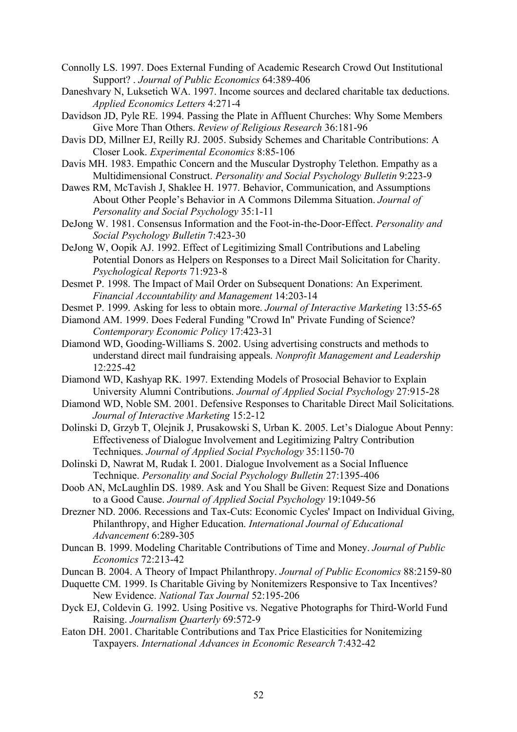- Connolly LS. 1997. Does External Funding of Academic Research Crowd Out Institutional Support? . *Journal of Public Economics* 64:389-406
- Daneshvary N, Luksetich WA. 1997. Income sources and declared charitable tax deductions. *Applied Economics Letters* 4:271-4
- Davidson JD, Pyle RE. 1994. Passing the Plate in Affluent Churches: Why Some Members Give More Than Others. *Review of Religious Research* 36:181-96
- Davis DD, Millner EJ, Reilly RJ. 2005. Subsidy Schemes and Charitable Contributions: A Closer Look. *Experimental Economics* 8:85-106
- Davis MH. 1983. Empathic Concern and the Muscular Dystrophy Telethon. Empathy as a Multidimensional Construct. *Personality and Social Psychology Bulletin* 9:223-9
- Dawes RM, McTavish J, Shaklee H. 1977. Behavior, Communication, and Assumptions About Other People's Behavior in A Commons Dilemma Situation. *Journal of Personality and Social Psychology* 35:1-11
- DeJong W. 1981. Consensus Information and the Foot-in-the-Door-Effect. *Personality and Social Psychology Bulletin* 7:423-30
- DeJong W, Oopik AJ. 1992. Effect of Legitimizing Small Contributions and Labeling Potential Donors as Helpers on Responses to a Direct Mail Solicitation for Charity. *Psychological Reports* 71:923-8
- Desmet P. 1998. The Impact of Mail Order on Subsequent Donations: An Experiment. *Financial Accountability and Management* 14:203-14
- Desmet P. 1999. Asking for less to obtain more. *Journal of Interactive Marketing* 13:55-65
- Diamond AM. 1999. Does Federal Funding "Crowd In" Private Funding of Science? *Contemporary Economic Policy* 17:423-31
- Diamond WD, Gooding-Williams S. 2002. Using advertising constructs and methods to understand direct mail fundraising appeals. *Nonprofit Management and Leadership* 12:225-42
- Diamond WD, Kashyap RK. 1997. Extending Models of Prosocial Behavior to Explain University Alumni Contributions. *Journal of Applied Social Psychology* 27:915-28
- Diamond WD, Noble SM. 2001. Defensive Responses to Charitable Direct Mail Solicitations. *Journal of Interactive Marketing* 15:2-12
- Dolinski D, Grzyb T, Olejnik J, Prusakowski S, Urban K. 2005. Let's Dialogue About Penny: Effectiveness of Dialogue Involvement and Legitimizing Paltry Contribution Techniques. *Journal of Applied Social Psychology* 35:1150-70
- Dolinski D, Nawrat M, Rudak I. 2001. Dialogue Involvement as a Social Influence Technique. *Personality and Social Psychology Bulletin* 27:1395-406
- Doob AN, McLaughlin DS. 1989. Ask and You Shall be Given: Request Size and Donations to a Good Cause. *Journal of Applied Social Psychology* 19:1049-56
- Drezner ND. 2006. Recessions and Tax-Cuts: Economic Cycles' Impact on Individual Giving, Philanthropy, and Higher Education. *International Journal of Educational Advancement* 6:289-305
- Duncan B. 1999. Modeling Charitable Contributions of Time and Money. *Journal of Public Economics* 72:213-42
- Duncan B. 2004. A Theory of Impact Philanthropy. *Journal of Public Economics* 88:2159-80
- Duquette CM. 1999. Is Charitable Giving by Nonitemizers Responsive to Tax Incentives? New Evidence. *National Tax Journal* 52:195-206
- Dyck EJ, Coldevin G. 1992. Using Positive vs. Negative Photographs for Third-World Fund Raising. *Journalism Quarterly* 69:572-9
- Eaton DH. 2001. Charitable Contributions and Tax Price Elasticities for Nonitemizing Taxpayers. *International Advances in Economic Research* 7:432-42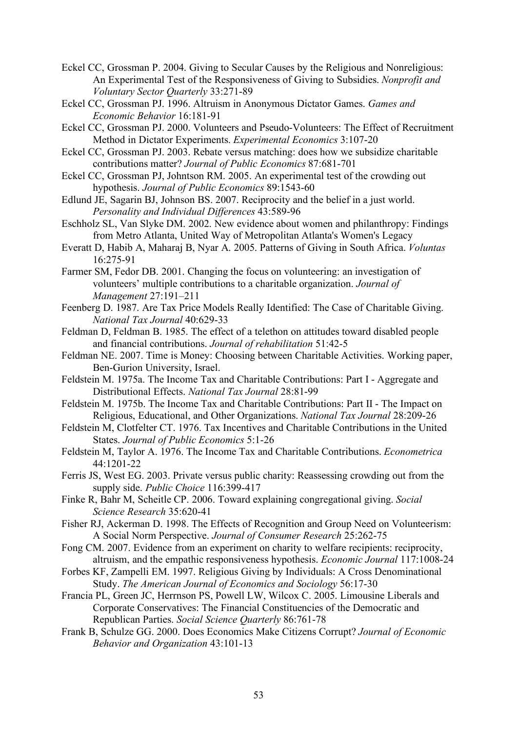- Eckel CC, Grossman P. 2004. Giving to Secular Causes by the Religious and Nonreligious: An Experimental Test of the Responsiveness of Giving to Subsidies. *Nonprofit and Voluntary Sector Quarterly* 33:271-89
- Eckel CC, Grossman PJ. 1996. Altruism in Anonymous Dictator Games. *Games and Economic Behavior* 16:181-91
- Eckel CC, Grossman PJ. 2000. Volunteers and Pseudo-Volunteers: The Effect of Recruitment Method in Dictator Experiments. *Experimental Economics* 3:107-20
- Eckel CC, Grossman PJ. 2003. Rebate versus matching: does how we subsidize charitable contributions matter? *Journal of Public Economics* 87:681-701
- Eckel CC, Grossman PJ, Johntson RM. 2005. An experimental test of the crowding out hypothesis. *Journal of Public Economics* 89:1543-60
- Edlund JE, Sagarin BJ, Johnson BS. 2007. Reciprocity and the belief in a just world. *Personality and Individual Differences* 43:589-96
- Eschholz SL, Van Slyke DM. 2002. New evidence about women and philanthropy: Findings from Metro Atlanta, United Way of Metropolitan Atlanta's Women's Legacy
- Everatt D, Habib A, Maharaj B, Nyar A. 2005. Patterns of Giving in South Africa. *Voluntas* 16:275-91
- Farmer SM, Fedor DB. 2001. Changing the focus on volunteering: an investigation of volunteers' multiple contributions to a charitable organization. *Journal of Management* 27:191–211
- Feenberg D. 1987. Are Tax Price Models Really Identified: The Case of Charitable Giving. *National Tax Journal* 40:629-33
- Feldman D, Feldman B. 1985. The effect of a telethon on attitudes toward disabled people and financial contributions. *Journal of rehabilitation* 51:42-5
- Feldman NE. 2007. Time is Money: Choosing between Charitable Activities. Working paper, Ben-Gurion University, Israel.
- Feldstein M. 1975a. The Income Tax and Charitable Contributions: Part I Aggregate and Distributional Effects. *National Tax Journal* 28:81-99
- Feldstein M. 1975b. The Income Tax and Charitable Contributions: Part II The Impact on Religious, Educational, and Other Organizations. *National Tax Journal* 28:209-26
- Feldstein M, Clotfelter CT. 1976. Tax Incentives and Charitable Contributions in the United States. *Journal of Public Economics* 5:1-26
- Feldstein M, Taylor A. 1976. The Income Tax and Charitable Contributions. *Econometrica* 44:1201-22
- Ferris JS, West EG. 2003. Private versus public charity: Reassessing crowding out from the supply side. *Public Choice* 116:399-417
- Finke R, Bahr M, Scheitle CP. 2006. Toward explaining congregational giving. *Social Science Research* 35:620-41
- Fisher RJ, Ackerman D. 1998. The Effects of Recognition and Group Need on Volunteerism: A Social Norm Perspective. *Journal of Consumer Research* 25:262-75
- Fong CM. 2007. Evidence from an experiment on charity to welfare recipients: reciprocity, altruism, and the empathic responsiveness hypothesis. *Economic Journal* 117:1008-24
- Forbes KF, Zampelli EM. 1997. Religious Giving by Individuals: A Cross Denominational Study. *The American Journal of Economics and Sociology* 56:17-30
- Francia PL, Green JC, Herrnson PS, Powell LW, Wilcox C. 2005. Limousine Liberals and Corporate Conservatives: The Financial Constituencies of the Democratic and Republican Parties. *Social Science Quarterly* 86:761-78
- Frank B, Schulze GG. 2000. Does Economics Make Citizens Corrupt? *Journal of Economic Behavior and Organization* 43:101-13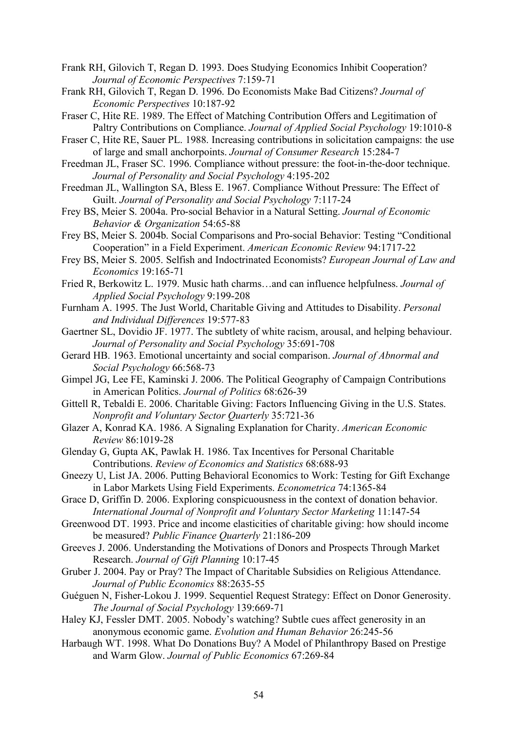- Frank RH, Gilovich T, Regan D. 1993. Does Studying Economics Inhibit Cooperation? *Journal of Economic Perspectives* 7:159-71
- Frank RH, Gilovich T, Regan D. 1996. Do Economists Make Bad Citizens? *Journal of Economic Perspectives* 10:187-92
- Fraser C, Hite RE. 1989. The Effect of Matching Contribution Offers and Legitimation of Paltry Contributions on Compliance. *Journal of Applied Social Psychology* 19:1010-8

Fraser C, Hite RE, Sauer PL. 1988. Increasing contributions in solicitation campaigns: the use of large and small anchorpoints. *Journal of Consumer Research* 15:284-7

- Freedman JL, Fraser SC. 1996. Compliance without pressure: the foot-in-the-door technique. *Journal of Personality and Social Psychology* 4:195-202
- Freedman JL, Wallington SA, Bless E. 1967. Compliance Without Pressure: The Effect of Guilt. *Journal of Personality and Social Psychology* 7:117-24
- Frey BS, Meier S. 2004a. Pro-social Behavior in a Natural Setting. *Journal of Economic Behavior & Organization* 54:65-88
- Frey BS, Meier S. 2004b. Social Comparisons and Pro-social Behavior: Testing "Conditional Cooperation" in a Field Experiment. *American Economic Review* 94:1717-22
- Frey BS, Meier S. 2005. Selfish and Indoctrinated Economists? *European Journal of Law and Economics* 19:165-71
- Fried R, Berkowitz L. 1979. Music hath charms…and can influence helpfulness. *Journal of Applied Social Psychology* 9:199-208
- Furnham A. 1995. The Just World, Charitable Giving and Attitudes to Disability. *Personal and Individual Differences* 19:577-83

Gaertner SL, Dovidio JF. 1977. The subtlety of white racism, arousal, and helping behaviour. *Journal of Personality and Social Psychology* 35:691-708

- Gerard HB. 1963. Emotional uncertainty and social comparison. *Journal of Abnormal and Social Psychology* 66:568-73
- Gimpel JG, Lee FE, Kaminski J. 2006. The Political Geography of Campaign Contributions in American Politics. *Journal of Politics* 68:626-39
- Gittell R, Tebaldi E. 2006. Charitable Giving: Factors Influencing Giving in the U.S. States. *Nonprofit and Voluntary Sector Quarterly* 35:721-36
- Glazer A, Konrad KA. 1986. A Signaling Explanation for Charity. *American Economic Review* 86:1019-28
- Glenday G, Gupta AK, Pawlak H. 1986. Tax Incentives for Personal Charitable Contributions. *Review of Economics and Statistics* 68:688-93
- Gneezy U, List JA. 2006. Putting Behavioral Economics to Work: Testing for Gift Exchange in Labor Markets Using Field Experiments. *Econometrica* 74:1365-84
- Grace D, Griffin D. 2006. Exploring conspicuousness in the context of donation behavior. *International Journal of Nonprofit and Voluntary Sector Marketing* 11:147-54
- Greenwood DT. 1993. Price and income elasticities of charitable giving: how should income be measured? *Public Finance Quarterly* 21:186-209
- Greeves J. 2006. Understanding the Motivations of Donors and Prospects Through Market Research. *Journal of Gift Planning* 10:17-45
- Gruber J. 2004. Pay or Pray? The Impact of Charitable Subsidies on Religious Attendance. *Journal of Public Economics* 88:2635-55
- Guéguen N, Fisher-Lokou J. 1999. Sequentiel Request Strategy: Effect on Donor Generosity. *The Journal of Social Psychology* 139:669-71
- Haley KJ, Fessler DMT. 2005. Nobody's watching? Subtle cues affect generosity in an anonymous economic game. *Evolution and Human Behavior* 26:245-56
- Harbaugh WT. 1998. What Do Donations Buy? A Model of Philanthropy Based on Prestige and Warm Glow. *Journal of Public Economics* 67:269-84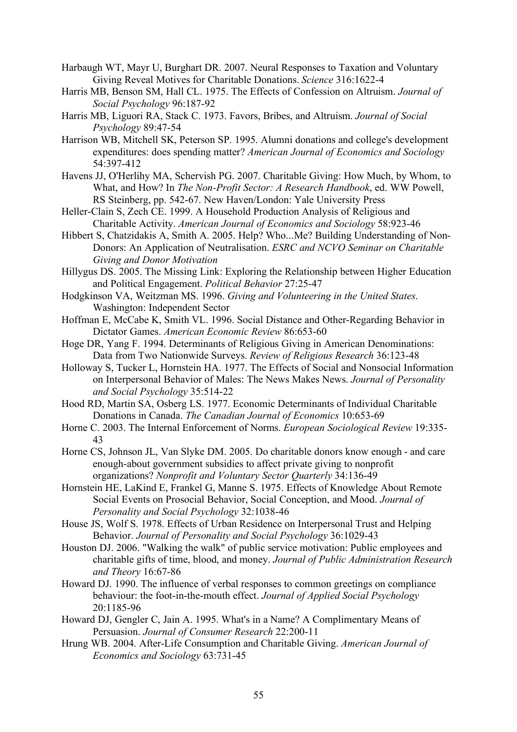- Harbaugh WT, Mayr U, Burghart DR. 2007. Neural Responses to Taxation and Voluntary Giving Reveal Motives for Charitable Donations. *Science* 316:1622-4
- Harris MB, Benson SM, Hall CL. 1975. The Effects of Confession on Altruism. *Journal of Social Psychology* 96:187-92
- Harris MB, Liguori RA, Stack C. 1973. Favors, Bribes, and Altruism. *Journal of Social Psychology* 89:47-54
- Harrison WB, Mitchell SK, Peterson SP. 1995. Alumni donations and college's development expenditures: does spending matter? *American Journal of Economics and Sociology* 54:397-412
- Havens JJ, O'Herlihy MA, Schervish PG. 2007. Charitable Giving: How Much, by Whom, to What, and How? In *The Non-Profit Sector: A Research Handbook*, ed. WW Powell, RS Steinberg, pp. 542-67. New Haven/London: Yale University Press
- Heller-Clain S, Zech CE. 1999. A Household Production Analysis of Religious and Charitable Activity. *American Journal of Economics and Sociology* 58:923-46
- Hibbert S, Chatzidakis A, Smith A. 2005. Help? Who...Me? Building Understanding of Non-Donors: An Application of Neutralisation. *ESRC and NCVO Seminar on Charitable Giving and Donor Motivation*
- Hillygus DS. 2005. The Missing Link: Exploring the Relationship between Higher Education and Political Engagement. *Political Behavior* 27:25-47
- Hodgkinson VA, Weitzman MS. 1996. *Giving and Volunteering in the United States*. Washington: Independent Sector
- Hoffman E, McCabe K, Smith VL. 1996. Social Distance and Other-Regarding Behavior in Dictator Games. *American Economic Review* 86:653-60
- Hoge DR, Yang F. 1994. Determinants of Religious Giving in American Denominations: Data from Two Nationwide Surveys. *Review of Religious Research* 36:123-48
- Holloway S, Tucker L, Hornstein HA. 1977. The Effects of Social and Nonsocial Information on Interpersonal Behavior of Males: The News Makes News. *Journal of Personality and Social Psychology* 35:514-22
- Hood RD, Martin SA, Osberg LS. 1977. Economic Determinants of Individual Charitable Donations in Canada. *The Canadian Journal of Economics* 10:653-69
- Horne C. 2003. The Internal Enforcement of Norms. *European Sociological Review* 19:335- 43
- Horne CS, Johnson JL, Van Slyke DM. 2005. Do charitable donors know enough and care enough-about government subsidies to affect private giving to nonprofit organizations? *Nonprofit and Voluntary Sector Quarterly* 34:136-49
- Hornstein HE, LaKind E, Frankel G, Manne S. 1975. Effects of Knowledge About Remote Social Events on Prosocial Behavior, Social Conception, and Mood. *Journal of Personality and Social Psychology* 32:1038-46
- House JS, Wolf S. 1978. Effects of Urban Residence on Interpersonal Trust and Helping Behavior. *Journal of Personality and Social Psychology* 36:1029-43
- Houston DJ. 2006. "Walking the walk" of public service motivation: Public employees and charitable gifts of time, blood, and money. *Journal of Public Administration Research and Theory* 16:67-86
- Howard DJ. 1990. The influence of verbal responses to common greetings on compliance behaviour: the foot-in-the-mouth effect. *Journal of Applied Social Psychology* 20:1185-96
- Howard DJ, Gengler C, Jain A. 1995. What's in a Name? A Complimentary Means of Persuasion. *Journal of Consumer Research* 22:200-11
- Hrung WB. 2004. After-Life Consumption and Charitable Giving. *American Journal of Economics and Sociology* 63:731-45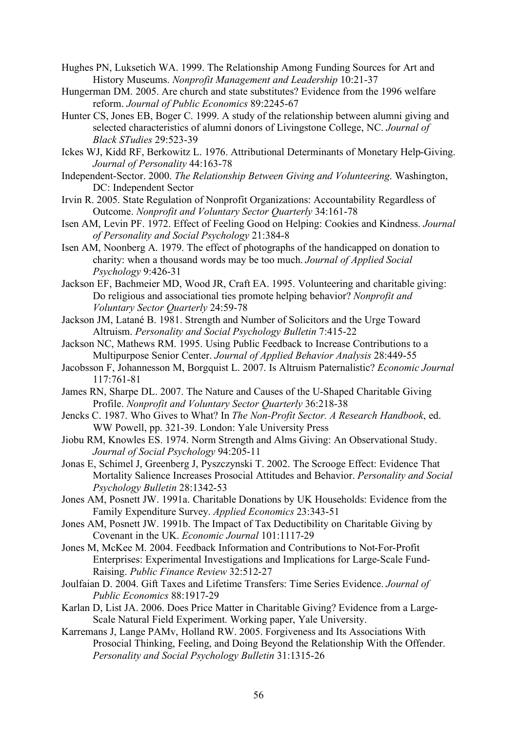Hughes PN, Luksetich WA. 1999. The Relationship Among Funding Sources for Art and History Museums. *Nonprofit Management and Leadership* 10:21-37

Hungerman DM. 2005. Are church and state substitutes? Evidence from the 1996 welfare reform. *Journal of Public Economics* 89:2245-67

- Hunter CS, Jones EB, Boger C. 1999. A study of the relationship between alumni giving and selected characteristics of alumni donors of Livingstone College, NC. *Journal of Black STudies* 29:523-39
- Ickes WJ, Kidd RF, Berkowitz L. 1976. Attributional Determinants of Monetary Help-Giving. *Journal of Personality* 44:163-78
- Independent-Sector. 2000. *The Relationship Between Giving and Volunteering*. Washington, DC: Independent Sector
- Irvin R. 2005. State Regulation of Nonprofit Organizations: Accountability Regardless of Outcome. *Nonprofit and Voluntary Sector Quarterly* 34:161-78
- Isen AM, Levin PF. 1972. Effect of Feeling Good on Helping: Cookies and Kindness. *Journal of Personality and Social Psychology* 21:384-8
- Isen AM, Noonberg A. 1979. The effect of photographs of the handicapped on donation to charity: when a thousand words may be too much. *Journal of Applied Social Psychology* 9:426-31

Jackson EF, Bachmeier MD, Wood JR, Craft EA. 1995. Volunteering and charitable giving: Do religious and associational ties promote helping behavior? *Nonprofit and Voluntary Sector Quarterly* 24:59-78

Jackson JM, Latané B. 1981. Strength and Number of Solicitors and the Urge Toward Altruism. *Personality and Social Psychology Bulletin* 7:415-22

Jackson NC, Mathews RM. 1995. Using Public Feedback to Increase Contributions to a Multipurpose Senior Center. *Journal of Applied Behavior Analysis* 28:449-55

Jacobsson F, Johannesson M, Borgquist L. 2007. Is Altruism Paternalistic? *Economic Journal* 117:761-81

James RN, Sharpe DL. 2007. The Nature and Causes of the U-Shaped Charitable Giving Profile. *Nonprofit and Voluntary Sector Quarterly* 36:218-38

- Jencks C. 1987. Who Gives to What? In *The Non-Profit Sector. A Research Handbook*, ed. WW Powell, pp. 321-39. London: Yale University Press
- Jiobu RM, Knowles ES. 1974. Norm Strength and Alms Giving: An Observational Study. *Journal of Social Psychology* 94:205-11
- Jonas E, Schimel J, Greenberg J, Pyszczynski T. 2002. The Scrooge Effect: Evidence That Mortality Salience Increases Prosocial Attitudes and Behavior. *Personality and Social Psychology Bulletin* 28:1342-53

Jones AM, Posnett JW. 1991a. Charitable Donations by UK Households: Evidence from the Family Expenditure Survey. *Applied Economics* 23:343-51

Jones AM, Posnett JW. 1991b. The Impact of Tax Deductibility on Charitable Giving by Covenant in the UK. *Economic Journal* 101:1117-29

Jones M, McKee M. 2004. Feedback Information and Contributions to Not-For-Profit Enterprises: Experimental Investigations and Implications for Large-Scale Fund-Raising. *Public Finance Review* 32:512-27

Joulfaian D. 2004. Gift Taxes and Lifetime Transfers: Time Series Evidence. *Journal of Public Economics* 88:1917-29

- Karlan D, List JA. 2006. Does Price Matter in Charitable Giving? Evidence from a Large-Scale Natural Field Experiment. Working paper, Yale University.
- Karremans J, Lange PAMv, Holland RW. 2005. Forgiveness and Its Associations With Prosocial Thinking, Feeling, and Doing Beyond the Relationship With the Offender. *Personality and Social Psychology Bulletin* 31:1315-26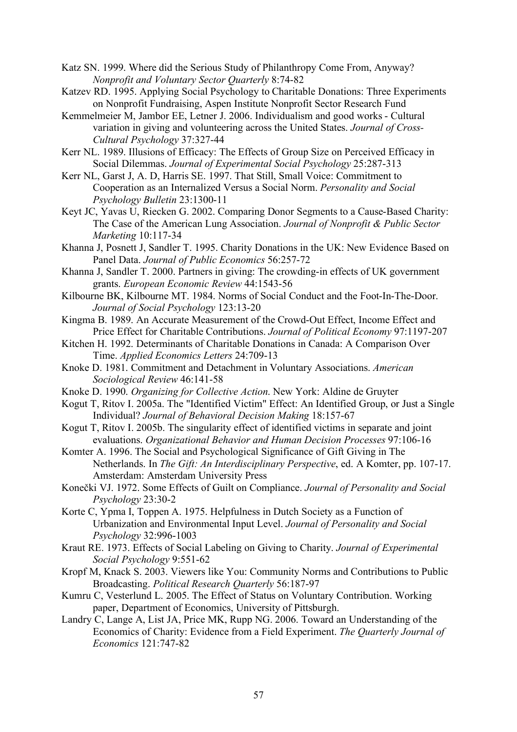Katz SN. 1999. Where did the Serious Study of Philanthropy Come From, Anyway? *Nonprofit and Voluntary Sector Quarterly* 8:74-82

- Katzev RD. 1995. Applying Social Psychology to Charitable Donations: Three Experiments on Nonprofit Fundraising, Aspen Institute Nonprofit Sector Research Fund
- Kemmelmeier M, Jambor EE, Letner J. 2006. Individualism and good works Cultural variation in giving and volunteering across the United States. *Journal of Cross-Cultural Psychology* 37:327-44
- Kerr NL. 1989. Illusions of Efficacy: The Effects of Group Size on Perceived Efficacy in Social Dilemmas. *Journal of Experimental Social Psychology* 25:287-313
- Kerr NL, Garst J, A. D, Harris SE. 1997. That Still, Small Voice: Commitment to Cooperation as an Internalized Versus a Social Norm. *Personality and Social Psychology Bulletin* 23:1300-11
- Keyt JC, Yavas U, Riecken G. 2002. Comparing Donor Segments to a Cause-Based Charity: The Case of the American Lung Association. *Journal of Nonprofit & Public Sector Marketing* 10:117-34
- Khanna J, Posnett J, Sandler T. 1995. Charity Donations in the UK: New Evidence Based on Panel Data. *Journal of Public Economics* 56:257-72
- Khanna J, Sandler T. 2000. Partners in giving: The crowding-in effects of UK government grants. *European Economic Review* 44:1543-56
- Kilbourne BK, Kilbourne MT. 1984. Norms of Social Conduct and the Foot-In-The-Door. *Journal of Social Psychology* 123:13-20
- Kingma B. 1989. An Accurate Measurement of the Crowd-Out Effect, Income Effect and Price Effect for Charitable Contributions. *Journal of Political Economy* 97:1197-207
- Kitchen H. 1992. Determinants of Charitable Donations in Canada: A Comparison Over Time. *Applied Economics Letters* 24:709-13
- Knoke D. 1981. Commitment and Detachment in Voluntary Associations. *American Sociological Review* 46:141-58
- Knoke D. 1990. *Organizing for Collective Action*. New York: Aldine de Gruyter
- Kogut T, Ritov I. 2005a. The "Identified Victim" Effect: An Identified Group, or Just a Single Individual? *Journal of Behavioral Decision Making* 18:157-67
- Kogut T, Ritov I. 2005b. The singularity effect of identified victims in separate and joint evaluations. *Organizational Behavior and Human Decision Processes* 97:106-16
- Komter A. 1996. The Social and Psychological Significance of Gift Giving in The Netherlands. In *The Gift: An Interdisciplinary Perspective*, ed. A Komter, pp. 107-17. Amsterdam: Amsterdam University Press
- Konečki VJ. 1972. Some Effects of Guilt on Compliance. *Journal of Personality and Social Psychology* 23:30-2
- Korte C, Ypma I, Toppen A. 1975. Helpfulness in Dutch Society as a Function of Urbanization and Environmental Input Level. *Journal of Personality and Social Psychology* 32:996-1003
- Kraut RE. 1973. Effects of Social Labeling on Giving to Charity. *Journal of Experimental Social Psychology* 9:551-62
- Kropf M, Knack S. 2003. Viewers like You: Community Norms and Contributions to Public Broadcasting. *Political Research Quarterly* 56:187-97
- Kumru C, Vesterlund L. 2005. The Effect of Status on Voluntary Contribution. Working paper, Department of Economics, University of Pittsburgh.
- Landry C, Lange A, List JA, Price MK, Rupp NG. 2006. Toward an Understanding of the Economics of Charity: Evidence from a Field Experiment. *The Quarterly Journal of Economics* 121:747-82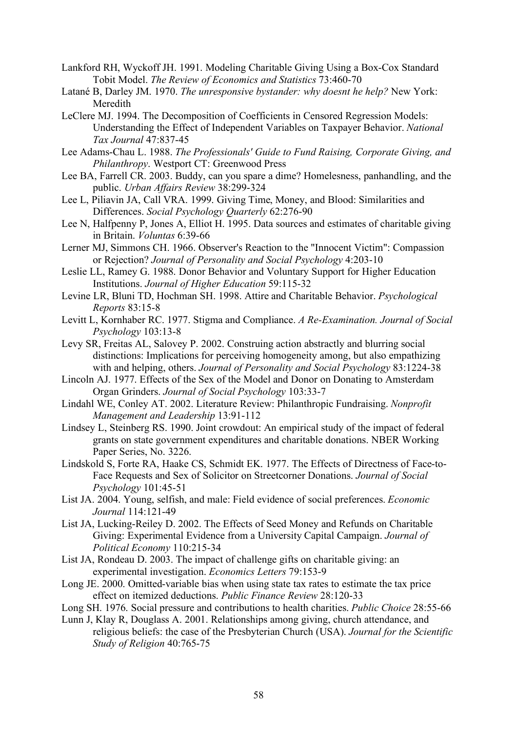- Lankford RH, Wyckoff JH. 1991. Modeling Charitable Giving Using a Box-Cox Standard Tobit Model. *The Review of Economics and Statistics* 73:460-70
- Latané B, Darley JM. 1970. *The unresponsive bystander: why doesnt he help?* New York: Meredith
- LeClere MJ. 1994. The Decomposition of Coefficients in Censored Regression Models: Understanding the Effect of Independent Variables on Taxpayer Behavior. *National Tax Journal* 47:837-45
- Lee Adams-Chau L. 1988. *The Professionals' Guide to Fund Raising, Corporate Giving, and Philanthropy*. Westport CT: Greenwood Press
- Lee BA, Farrell CR. 2003. Buddy, can you spare a dime? Homelesness, panhandling, and the public. *Urban Affairs Review* 38:299-324
- Lee L, Piliavin JA, Call VRA. 1999. Giving Time, Money, and Blood: Similarities and Differences. *Social Psychology Quarterly* 62:276-90
- Lee N, Halfpenny P, Jones A, Elliot H. 1995. Data sources and estimates of charitable giving in Britain. *Voluntas* 6:39-66
- Lerner MJ, Simmons CH. 1966. Observer's Reaction to the "Innocent Victim": Compassion or Rejection? *Journal of Personality and Social Psychology* 4:203-10
- Leslie LL, Ramey G. 1988. Donor Behavior and Voluntary Support for Higher Education Institutions. *Journal of Higher Education* 59:115-32
- Levine LR, Bluni TD, Hochman SH. 1998. Attire and Charitable Behavior. *Psychological Reports* 83:15-8
- Levitt L, Kornhaber RC. 1977. Stigma and Compliance. *A Re-Examination. Journal of Social Psychology* 103:13-8
- Levy SR, Freitas AL, Salovey P. 2002. Construing action abstractly and blurring social distinctions: Implications for perceiving homogeneity among, but also empathizing with and helping, others. *Journal of Personality and Social Psychology* 83:1224-38
- Lincoln AJ. 1977. Effects of the Sex of the Model and Donor on Donating to Amsterdam Organ Grinders. *Journal of Social Psychology* 103:33-7
- Lindahl WE, Conley AT. 2002. Literature Review: Philanthropic Fundraising. *Nonprofit Management and Leadership* 13:91-112
- Lindsey L, Steinberg RS. 1990. Joint crowdout: An empirical study of the impact of federal grants on state government expenditures and charitable donations. NBER Working Paper Series, No. 3226.
- Lindskold S, Forte RA, Haake CS, Schmidt EK. 1977. The Effects of Directness of Face-to-Face Requests and Sex of Solicitor on Streetcorner Donations. *Journal of Social Psychology* 101:45-51
- List JA. 2004. Young, selfish, and male: Field evidence of social preferences. *Economic Journal* 114:121-49
- List JA, Lucking-Reiley D. 2002. The Effects of Seed Money and Refunds on Charitable Giving: Experimental Evidence from a University Capital Campaign. *Journal of Political Economy* 110:215-34
- List JA, Rondeau D. 2003. The impact of challenge gifts on charitable giving: an experimental investigation. *Economics Letters* 79:153-9
- Long JE. 2000. Omitted-variable bias when using state tax rates to estimate the tax price effect on itemized deductions. *Public Finance Review* 28:120-33
- Long SH. 1976. Social pressure and contributions to health charities. *Public Choice* 28:55-66
- Lunn J, Klay R, Douglass A. 2001. Relationships among giving, church attendance, and religious beliefs: the case of the Presbyterian Church (USA). *Journal for the Scientific Study of Religion* 40:765-75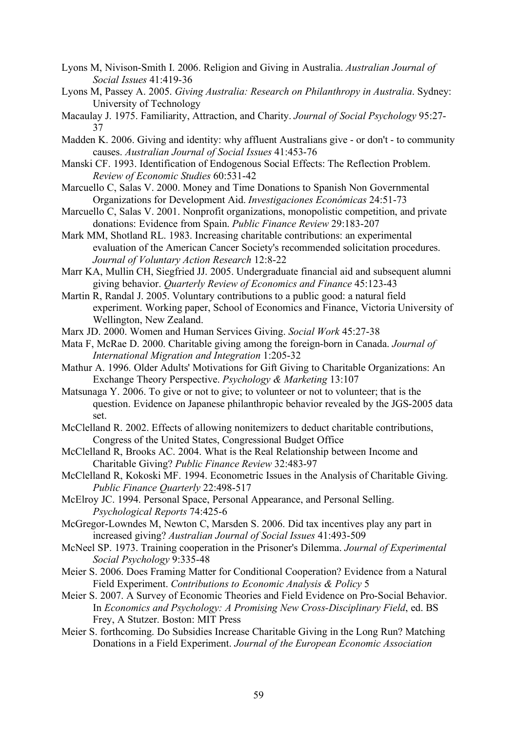- Lyons M, Nivison-Smith I. 2006. Religion and Giving in Australia. *Australian Journal of Social Issues* 41:419-36
- Lyons M, Passey A. 2005. *Giving Australia: Research on Philanthropy in Australia*. Sydney: University of Technology
- Macaulay J. 1975. Familiarity, Attraction, and Charity. *Journal of Social Psychology* 95:27- 37
- Madden K. 2006. Giving and identity: why affluent Australians give or don't to community causes. *Australian Journal of Social Issues* 41:453-76
- Manski CF. 1993. Identification of Endogenous Social Effects: The Reflection Problem. *Review of Economic Studies* 60:531-42
- Marcuello C, Salas V. 2000. Money and Time Donations to Spanish Non Governmental Organizations for Development Aid. *Investigaciones Económicas* 24:51-73
- Marcuello C, Salas V. 2001. Nonprofit organizations, monopolistic competition, and private donations: Evidence from Spain. *Public Finance Review* 29:183-207
- Mark MM, Shotland RL. 1983. Increasing charitable contributions: an experimental evaluation of the American Cancer Society's recommended solicitation procedures. *Journal of Voluntary Action Research* 12:8-22
- Marr KA, Mullin CH, Siegfried JJ. 2005. Undergraduate financial aid and subsequent alumni giving behavior. *Quarterly Review of Economics and Finance* 45:123-43
- Martin R, Randal J. 2005. Voluntary contributions to a public good: a natural field experiment. Working paper, School of Economics and Finance, Victoria University of Wellington, New Zealand.
- Marx JD. 2000. Women and Human Services Giving. *Social Work* 45:27-38
- Mata F, McRae D. 2000. Charitable giving among the foreign-born in Canada. *Journal of International Migration and Integration* 1:205-32
- Mathur A. 1996. Older Adults' Motivations for Gift Giving to Charitable Organizations: An Exchange Theory Perspective. *Psychology & Marketing* 13:107
- Matsunaga Y. 2006. To give or not to give; to volunteer or not to volunteer; that is the question. Evidence on Japanese philanthropic behavior revealed by the JGS-2005 data set.
- McClelland R. 2002. Effects of allowing nonitemizers to deduct charitable contributions, Congress of the United States, Congressional Budget Office
- McClelland R, Brooks AC. 2004. What is the Real Relationship between Income and Charitable Giving? *Public Finance Review* 32:483-97
- McClelland R, Kokoski MF. 1994. Econometric Issues in the Analysis of Charitable Giving. *Public Finance Quarterly* 22:498-517
- McElroy JC. 1994. Personal Space, Personal Appearance, and Personal Selling. *Psychological Reports* 74:425-6
- McGregor-Lowndes M, Newton C, Marsden S. 2006. Did tax incentives play any part in increased giving? *Australian Journal of Social Issues* 41:493-509
- McNeel SP. 1973. Training cooperation in the Prisoner's Dilemma. *Journal of Experimental Social Psychology* 9:335-48
- Meier S. 2006. Does Framing Matter for Conditional Cooperation? Evidence from a Natural Field Experiment. *Contributions to Economic Analysis & Policy* 5
- Meier S. 2007. A Survey of Economic Theories and Field Evidence on Pro-Social Behavior. In *Economics and Psychology: A Promising New Cross-Disciplinary Field*, ed. BS Frey, A Stutzer. Boston: MIT Press
- Meier S. forthcoming. Do Subsidies Increase Charitable Giving in the Long Run? Matching Donations in a Field Experiment. *Journal of the European Economic Association*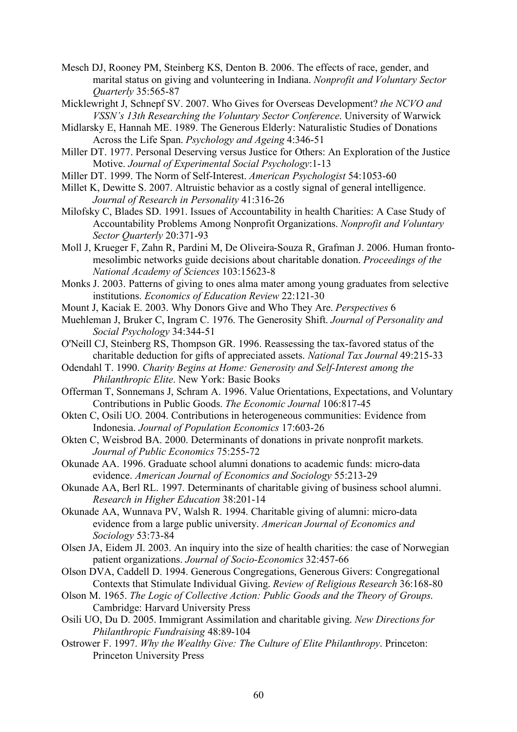- Mesch DJ, Rooney PM, Steinberg KS, Denton B. 2006. The effects of race, gender, and marital status on giving and volunteering in Indiana. *Nonprofit and Voluntary Sector Quarterly* 35:565-87
- Micklewright J, Schnepf SV. 2007. Who Gives for Overseas Development? *the NCVO and VSSN's 13th Researching the Voluntary Sector Conference*. University of Warwick
- Midlarsky E, Hannah ME. 1989. The Generous Elderly: Naturalistic Studies of Donations Across the Life Span. *Psychology and Ageing* 4:346-51
- Miller DT. 1977. Personal Deserving versus Justice for Others: An Exploration of the Justice Motive. *Journal of Experimental Social Psychology*:1-13
- Miller DT. 1999. The Norm of Self-Interest. *American Psychologist* 54:1053-60
- Millet K, Dewitte S. 2007. Altruistic behavior as a costly signal of general intelligence. *Journal of Research in Personality* 41:316-26
- Milofsky C, Blades SD. 1991. Issues of Accountability in health Charities: A Case Study of Accountability Problems Among Nonprofit Organizations. *Nonprofit and Voluntary Sector Quarterly* 20:371-93
- Moll J, Krueger F, Zahn R, Pardini M, De Oliveira-Souza R, Grafman J. 2006. Human frontomesolimbic networks guide decisions about charitable donation. *Proceedings of the National Academy of Sciences* 103:15623-8
- Monks J. 2003. Patterns of giving to ones alma mater among young graduates from selective institutions. *Economics of Education Review* 22:121-30
- Mount J, Kaciak E. 2003. Why Donors Give and Who They Are. *Perspectives* 6
- Muehleman J, Bruker C, Ingram C. 1976. The Generosity Shift. *Journal of Personality and Social Psychology* 34:344-51
- O'Neill CJ, Steinberg RS, Thompson GR. 1996. Reassessing the tax-favored status of the charitable deduction for gifts of appreciated assets. *National Tax Journal* 49:215-33
- Odendahl T. 1990. *Charity Begins at Home: Generosity and Self-Interest among the Philanthropic Elite*. New York: Basic Books
- Offerman T, Sonnemans J, Schram A. 1996. Value Orientations, Expectations, and Voluntary Contributions in Public Goods. *The Economic Journal* 106:817-45
- Okten C, Osili UO. 2004. Contributions in heterogeneous communities: Evidence from Indonesia. *Journal of Population Economics* 17:603-26
- Okten C, Weisbrod BA. 2000. Determinants of donations in private nonprofit markets. *Journal of Public Economics* 75:255-72
- Okunade AA. 1996. Graduate school alumni donations to academic funds: micro-data evidence. *American Journal of Economics and Sociology* 55:213-29
- Okunade AA, Berl RL. 1997. Determinants of charitable giving of business school alumni. *Research in Higher Education* 38:201-14
- Okunade AA, Wunnava PV, Walsh R. 1994. Charitable giving of alumni: micro-data evidence from a large public university. *American Journal of Economics and Sociology* 53:73-84
- Olsen JA, Eidem JI. 2003. An inquiry into the size of health charities: the case of Norwegian patient organizations. *Journal of Socio-Economics* 32:457-66
- Olson DVA, Caddell D. 1994. Generous Congregations, Generous Givers: Congregational Contexts that Stimulate Individual Giving. *Review of Religious Research* 36:168-80
- Olson M. 1965. *The Logic of Collective Action: Public Goods and the Theory of Groups*. Cambridge: Harvard University Press
- Osili UO, Du D. 2005. Immigrant Assimilation and charitable giving. *New Directions for Philanthropic Fundraising* 48:89-104
- Ostrower F. 1997. *Why the Wealthy Give: The Culture of Elite Philanthropy*. Princeton: Princeton University Press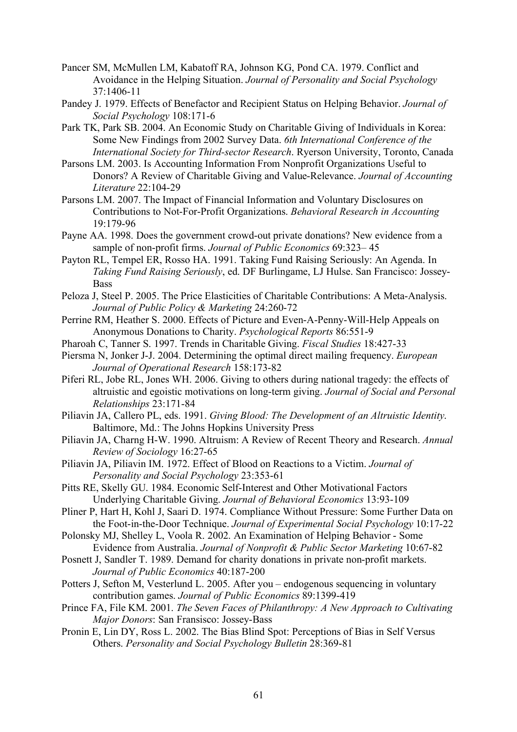- Pancer SM, McMullen LM, Kabatoff RA, Johnson KG, Pond CA. 1979. Conflict and Avoidance in the Helping Situation. *Journal of Personality and Social Psychology* 37:1406-11
- Pandey J. 1979. Effects of Benefactor and Recipient Status on Helping Behavior. *Journal of Social Psychology* 108:171-6
- Park TK, Park SB. 2004. An Economic Study on Charitable Giving of Individuals in Korea: Some New Findings from 2002 Survey Data. *6th International Conference of the International Society for Third-sector Research*. Ryerson University, Toronto, Canada
- Parsons LM. 2003. Is Accounting Information From Nonprofit Organizations Useful to Donors? A Review of Charitable Giving and Value-Relevance. *Journal of Accounting Literature* 22:104-29
- Parsons LM. 2007. The Impact of Financial Information and Voluntary Disclosures on Contributions to Not-For-Profit Organizations. *Behavioral Research in Accounting* 19:179-96
- Payne AA. 1998. Does the government crowd-out private donations? New evidence from a sample of non-profit firms. *Journal of Public Economics* 69:323– 45
- Payton RL, Tempel ER, Rosso HA. 1991. Taking Fund Raising Seriously: An Agenda. In *Taking Fund Raising Seriously*, ed. DF Burlingame, LJ Hulse. San Francisco: Jossey-**Bass**
- Peloza J, Steel P. 2005. The Price Elasticities of Charitable Contributions: A Meta-Analysis. *Journal of Public Policy & Marketing* 24:260-72
- Perrine RM, Heather S. 2000. Effects of Picture and Even-A-Penny-Will-Help Appeals on Anonymous Donations to Charity. *Psychological Reports* 86:551-9
- Pharoah C, Tanner S. 1997. Trends in Charitable Giving. *Fiscal Studies* 18:427-33
- Piersma N, Jonker J-J. 2004. Determining the optimal direct mailing frequency. *European Journal of Operational Research* 158:173-82
- Piferi RL, Jobe RL, Jones WH. 2006. Giving to others during national tragedy: the effects of altruistic and egoistic motivations on long-term giving. *Journal of Social and Personal Relationships* 23:171-84
- Piliavin JA, Callero PL, eds. 1991. *Giving Blood: The Development of an Altruistic Identity*. Baltimore, Md.: The Johns Hopkins University Press
- Piliavin JA, Charng H-W. 1990. Altruism: A Review of Recent Theory and Research. *Annual Review of Sociology* 16:27-65
- Piliavin JA, Piliavin IM. 1972. Effect of Blood on Reactions to a Victim. *Journal of Personality and Social Psychology* 23:353-61
- Pitts RE, Skelly GU. 1984. Economic Self-Interest and Other Motivational Factors Underlying Charitable Giving. *Journal of Behavioral Economics* 13:93-109
- Pliner P, Hart H, Kohl J, Saari D. 1974. Compliance Without Pressure: Some Further Data on the Foot-in-the-Door Technique. *Journal of Experimental Social Psychology* 10:17-22
- Polonsky MJ, Shelley L, Voola R. 2002. An Examination of Helping Behavior Some Evidence from Australia. *Journal of Nonprofit & Public Sector Marketing* 10:67-82
- Posnett J, Sandler T. 1989. Demand for charity donations in private non-profit markets. *Journal of Public Economics* 40:187-200
- Potters J, Sefton M, Vesterlund L. 2005. After you endogenous sequencing in voluntary contribution games. *Journal of Public Economics* 89:1399-419
- Prince FA, File KM. 2001. *The Seven Faces of Philanthropy: A New Approach to Cultivating Major Donors*: San Fransisco: Jossey-Bass
- Pronin E, Lin DY, Ross L. 2002. The Bias Blind Spot: Perceptions of Bias in Self Versus Others. *Personality and Social Psychology Bulletin* 28:369-81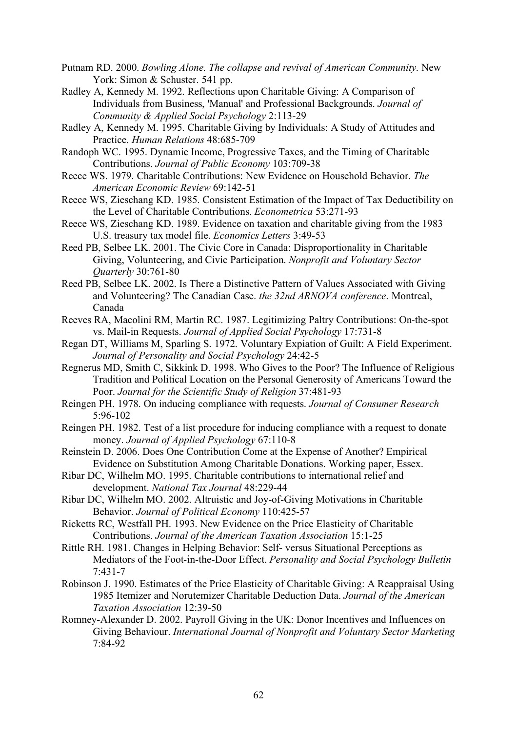Putnam RD. 2000. *Bowling Alone. The collapse and revival of American Community*. New York: Simon & Schuster. 541 pp.

Radley A, Kennedy M. 1992. Reflections upon Charitable Giving: A Comparison of Individuals from Business, 'Manual' and Professional Backgrounds. *Journal of Community & Applied Social Psychology* 2:113-29

Radley A, Kennedy M. 1995. Charitable Giving by Individuals: A Study of Attitudes and Practice. *Human Relations* 48:685-709

Randoph WC. 1995. Dynamic Income, Progressive Taxes, and the Timing of Charitable Contributions. *Journal of Public Economy* 103:709-38

Reece WS. 1979. Charitable Contributions: New Evidence on Household Behavior. *The American Economic Review* 69:142-51

Reece WS, Zieschang KD. 1985. Consistent Estimation of the Impact of Tax Deductibility on the Level of Charitable Contributions. *Econometrica* 53:271-93

Reece WS, Zieschang KD. 1989. Evidence on taxation and charitable giving from the 1983 U.S. treasury tax model file. *Economics Letters* 3:49-53

Reed PB, Selbee LK. 2001. The Civic Core in Canada: Disproportionality in Charitable Giving, Volunteering, and Civic Participation. *Nonprofit and Voluntary Sector Quarterly* 30:761-80

Reed PB, Selbee LK. 2002. Is There a Distinctive Pattern of Values Associated with Giving and Volunteering? The Canadian Case. *the 32nd ARNOVA conference*. Montreal, Canada

Reeves RA, Macolini RM, Martin RC. 1987. Legitimizing Paltry Contributions: On-the-spot vs. Mail-in Requests. *Journal of Applied Social Psychology* 17:731-8

Regan DT, Williams M, Sparling S. 1972. Voluntary Expiation of Guilt: A Field Experiment. *Journal of Personality and Social Psychology* 24:42-5

Regnerus MD, Smith C, Sikkink D. 1998. Who Gives to the Poor? The Influence of Religious Tradition and Political Location on the Personal Generosity of Americans Toward the Poor. *Journal for the Scientific Study of Religion* 37:481-93

Reingen PH. 1978. On inducing compliance with requests. *Journal of Consumer Research* 5:96-102

Reingen PH. 1982. Test of a list procedure for inducing compliance with a request to donate money. *Journal of Applied Psychology* 67:110-8

Reinstein D. 2006. Does One Contribution Come at the Expense of Another? Empirical Evidence on Substitution Among Charitable Donations. Working paper, Essex.

Ribar DC, Wilhelm MO. 1995. Charitable contributions to international relief and development. *National Tax Journal* 48:229-44

Ribar DC, Wilhelm MO. 2002. Altruistic and Joy-of-Giving Motivations in Charitable Behavior. *Journal of Political Economy* 110:425-57

Ricketts RC, Westfall PH. 1993. New Evidence on the Price Elasticity of Charitable Contributions. *Journal of the American Taxation Association* 15:1-25

Rittle RH. 1981. Changes in Helping Behavior: Self- versus Situational Perceptions as Mediators of the Foot-in-the-Door Effect. *Personality and Social Psychology Bulletin* 7:431-7

Robinson J. 1990. Estimates of the Price Elasticity of Charitable Giving: A Reappraisal Using 1985 Itemizer and Norutemizer Charitable Deduction Data. *Journal of the American Taxation Association* 12:39-50

Romney-Alexander D. 2002. Payroll Giving in the UK: Donor Incentives and Influences on Giving Behaviour. *International Journal of Nonprofit and Voluntary Sector Marketing* 7:84-92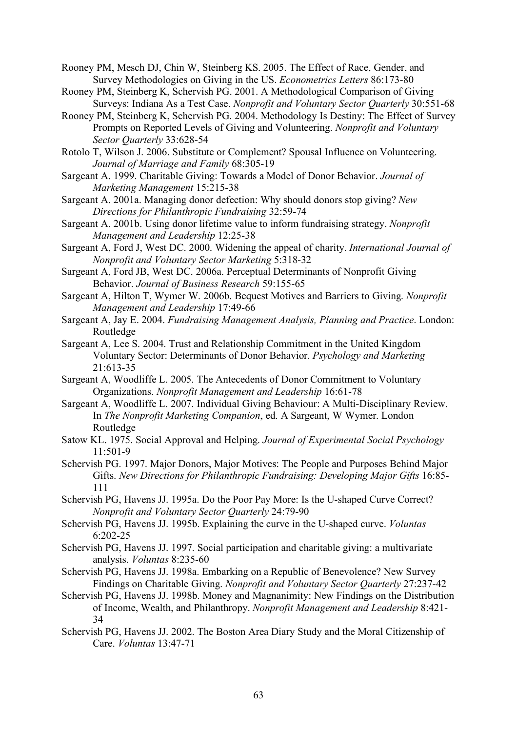Rooney PM, Mesch DJ, Chin W, Steinberg KS. 2005. The Effect of Race, Gender, and Survey Methodologies on Giving in the US. *Econometrics Letters* 86:173-80

- Rooney PM, Steinberg K, Schervish PG. 2001. A Methodological Comparison of Giving Surveys: Indiana As a Test Case. *Nonprofit and Voluntary Sector Quarterly* 30:551-68
- Rooney PM, Steinberg K, Schervish PG. 2004. Methodology Is Destiny: The Effect of Survey Prompts on Reported Levels of Giving and Volunteering. *Nonprofit and Voluntary Sector Quarterly* 33:628-54

Rotolo T, Wilson J. 2006. Substitute or Complement? Spousal Influence on Volunteering. *Journal of Marriage and Family* 68:305-19

- Sargeant A. 1999. Charitable Giving: Towards a Model of Donor Behavior. *Journal of Marketing Management* 15:215-38
- Sargeant A. 2001a. Managing donor defection: Why should donors stop giving? *New Directions for Philanthropic Fundraising* 32:59-74
- Sargeant A. 2001b. Using donor lifetime value to inform fundraising strategy. *Nonprofit Management and Leadership* 12:25-38
- Sargeant A, Ford J, West DC. 2000. Widening the appeal of charity. *International Journal of Nonprofit and Voluntary Sector Marketing* 5:318-32
- Sargeant A, Ford JB, West DC. 2006a. Perceptual Determinants of Nonprofit Giving Behavior. *Journal of Business Research* 59:155-65
- Sargeant A, Hilton T, Wymer W. 2006b. Bequest Motives and Barriers to Giving. *Nonprofit Management and Leadership* 17:49-66
- Sargeant A, Jay E. 2004. *Fundraising Management Analysis, Planning and Practice*. London: Routledge
- Sargeant A, Lee S. 2004. Trust and Relationship Commitment in the United Kingdom Voluntary Sector: Determinants of Donor Behavior. *Psychology and Marketing*  $21.613 - 35$
- Sargeant A, Woodliffe L. 2005. The Antecedents of Donor Commitment to Voluntary Organizations. *Nonprofit Management and Leadership* 16:61-78
- Sargeant A, Woodliffe L. 2007. Individual Giving Behaviour: A Multi-Disciplinary Review. In *The Nonprofit Marketing Companion*, ed. A Sargeant, W Wymer. London Routledge
- Satow KL. 1975. Social Approval and Helping. *Journal of Experimental Social Psychology* 11:501-9
- Schervish PG. 1997. Major Donors, Major Motives: The People and Purposes Behind Major Gifts. *New Directions for Philanthropic Fundraising: Developing Major Gifts* 16:85- 111

Schervish PG, Havens JJ. 1995a. Do the Poor Pay More: Is the U-shaped Curve Correct? *Nonprofit and Voluntary Sector Quarterly* 24:79-90

- Schervish PG, Havens JJ. 1995b. Explaining the curve in the U-shaped curve. *Voluntas* 6:202-25
- Schervish PG, Havens JJ. 1997. Social participation and charitable giving: a multivariate analysis. *Voluntas* 8:235-60
- Schervish PG, Havens JJ. 1998a. Embarking on a Republic of Benevolence? New Survey Findings on Charitable Giving. *Nonprofit and Voluntary Sector Quarterly* 27:237-42
- Schervish PG, Havens JJ. 1998b. Money and Magnanimity: New Findings on the Distribution of Income, Wealth, and Philanthropy. *Nonprofit Management and Leadership* 8:421- 34
- Schervish PG, Havens JJ. 2002. The Boston Area Diary Study and the Moral Citizenship of Care. *Voluntas* 13:47-71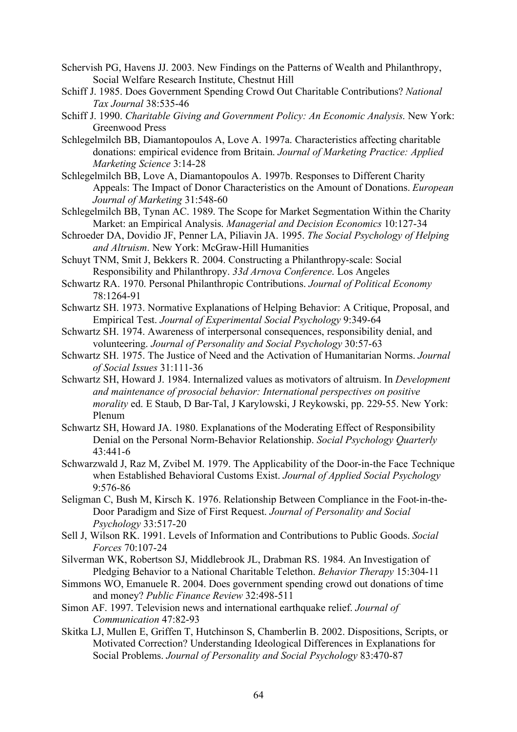- Schervish PG, Havens JJ. 2003. New Findings on the Patterns of Wealth and Philanthropy, Social Welfare Research Institute, Chestnut Hill
- Schiff J. 1985. Does Government Spending Crowd Out Charitable Contributions? *National Tax Journal* 38:535-46
- Schiff J. 1990. *Charitable Giving and Government Policy: An Economic Analysis*. New York: Greenwood Press
- Schlegelmilch BB, Diamantopoulos A, Love A. 1997a. Characteristics affecting charitable donations: empirical evidence from Britain. *Journal of Marketing Practice: Applied Marketing Science* 3:14-28
- Schlegelmilch BB, Love A, Diamantopoulos A. 1997b. Responses to Different Charity Appeals: The Impact of Donor Characteristics on the Amount of Donations. *European Journal of Marketing* 31:548-60
- Schlegelmilch BB, Tynan AC. 1989. The Scope for Market Segmentation Within the Charity Market: an Empirical Analysis. *Managerial and Decision Economics* 10:127-34
- Schroeder DA, Dovidio JF, Penner LA, Piliavin JA. 1995. *The Social Psychology of Helping and Altruism*. New York: McGraw-Hill Humanities
- Schuyt TNM, Smit J, Bekkers R. 2004. Constructing a Philanthropy-scale: Social Responsibility and Philanthropy. *33d Arnova Conference*. Los Angeles
- Schwartz RA. 1970. Personal Philanthropic Contributions. *Journal of Political Economy* 78:1264-91
- Schwartz SH. 1973. Normative Explanations of Helping Behavior: A Critique, Proposal, and Empirical Test. *Journal of Experimental Social Psychology* 9:349-64
- Schwartz SH. 1974. Awareness of interpersonal consequences, responsibility denial, and volunteering. *Journal of Personality and Social Psychology* 30:57-63
- Schwartz SH. 1975. The Justice of Need and the Activation of Humanitarian Norms. *Journal of Social Issues* 31:111-36
- Schwartz SH, Howard J. 1984. Internalized values as motivators of altruism. In *Development and maintenance of prosocial behavior: International perspectives on positive morality* ed. E Staub, D Bar-Tal, J Karylowski, J Reykowski, pp. 229-55. New York: Plenum
- Schwartz SH, Howard JA. 1980. Explanations of the Moderating Effect of Responsibility Denial on the Personal Norm-Behavior Relationship. *Social Psychology Quarterly* 43:441-6
- Schwarzwald J, Raz M, Zvibel M. 1979. The Applicability of the Door-in-the Face Technique when Established Behavioral Customs Exist. *Journal of Applied Social Psychology* 9:576-86
- Seligman C, Bush M, Kirsch K. 1976. Relationship Between Compliance in the Foot-in-the-Door Paradigm and Size of First Request. *Journal of Personality and Social Psychology* 33:517-20
- Sell J, Wilson RK. 1991. Levels of Information and Contributions to Public Goods. *Social Forces* 70:107-24
- Silverman WK, Robertson SJ, Middlebrook JL, Drabman RS. 1984. An Investigation of Pledging Behavior to a National Charitable Telethon. *Behavior Therapy* 15:304-11
- Simmons WO, Emanuele R. 2004. Does government spending crowd out donations of time and money? *Public Finance Review* 32:498-511
- Simon AF. 1997. Television news and international earthquake relief. *Journal of Communication* 47:82-93
- Skitka LJ, Mullen E, Griffen T, Hutchinson S, Chamberlin B. 2002. Dispositions, Scripts, or Motivated Correction? Understanding Ideological Differences in Explanations for Social Problems. *Journal of Personality and Social Psychology* 83:470-87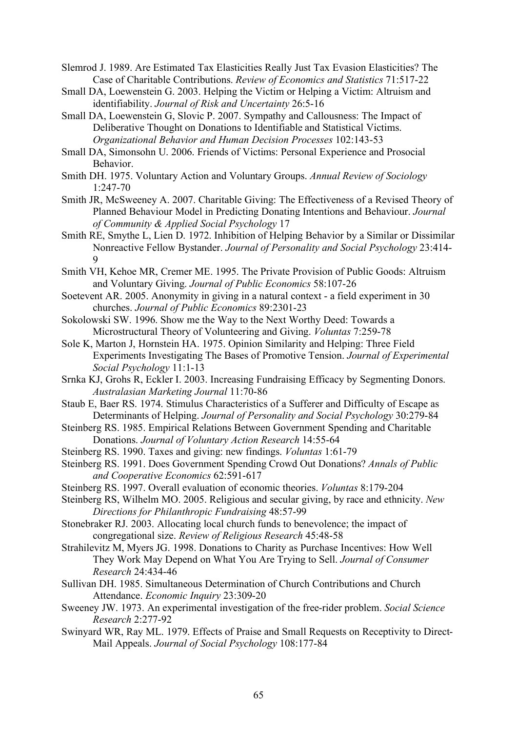Slemrod J. 1989. Are Estimated Tax Elasticities Really Just Tax Evasion Elasticities? The Case of Charitable Contributions. *Review of Economics and Statistics* 71:517-22

- Small DA, Loewenstein G. 2003. Helping the Victim or Helping a Victim: Altruism and identifiability. *Journal of Risk and Uncertainty* 26:5-16
- Small DA, Loewenstein G, Slovic P. 2007. Sympathy and Callousness: The Impact of Deliberative Thought on Donations to Identifiable and Statistical Victims. *Organizational Behavior and Human Decision Processes* 102:143-53
- Small DA, Simonsohn U. 2006. Friends of Victims: Personal Experience and Prosocial Behavior.
- Smith DH. 1975. Voluntary Action and Voluntary Groups. *Annual Review of Sociology* 1:247-70
- Smith JR, McSweeney A. 2007. Charitable Giving: The Effectiveness of a Revised Theory of Planned Behaviour Model in Predicting Donating Intentions and Behaviour. *Journal of Community & Applied Social Psychology* 17
- Smith RE, Smythe L, Lien D. 1972. Inhibition of Helping Behavior by a Similar or Dissimilar Nonreactive Fellow Bystander. *Journal of Personality and Social Psychology* 23:414- 9
- Smith VH, Kehoe MR, Cremer ME. 1995. The Private Provision of Public Goods: Altruism and Voluntary Giving. *Journal of Public Economics* 58:107-26
- Soetevent AR. 2005. Anonymity in giving in a natural context a field experiment in 30 churches. *Journal of Public Economics* 89:2301-23
- Sokolowski SW. 1996. Show me the Way to the Next Worthy Deed: Towards a Microstructural Theory of Volunteering and Giving. *Voluntas* 7:259-78
- Sole K, Marton J, Hornstein HA. 1975. Opinion Similarity and Helping: Three Field Experiments Investigating The Bases of Promotive Tension. *Journal of Experimental Social Psychology* 11:1-13
- Srnka KJ, Grohs R, Eckler I. 2003. Increasing Fundraising Efficacy by Segmenting Donors. *Australasian Marketing Journal* 11:70-86
- Staub E, Baer RS. 1974. Stimulus Characteristics of a Sufferer and Difficulty of Escape as Determinants of Helping. *Journal of Personality and Social Psychology* 30:279-84
- Steinberg RS. 1985. Empirical Relations Between Government Spending and Charitable Donations. *Journal of Voluntary Action Research* 14:55-64
- Steinberg RS. 1990. Taxes and giving: new findings. *Voluntas* 1:61-79
- Steinberg RS. 1991. Does Government Spending Crowd Out Donations? *Annals of Public and Cooperative Economics* 62:591-617
- Steinberg RS. 1997. Overall evaluation of economic theories. *Voluntas* 8:179-204
- Steinberg RS, Wilhelm MO. 2005. Religious and secular giving, by race and ethnicity. *New Directions for Philanthropic Fundraising* 48:57-99
- Stonebraker RJ. 2003. Allocating local church funds to benevolence; the impact of congregational size. *Review of Religious Research* 45:48-58
- Strahilevitz M, Myers JG. 1998. Donations to Charity as Purchase Incentives: How Well They Work May Depend on What You Are Trying to Sell. *Journal of Consumer Research* 24:434-46
- Sullivan DH. 1985. Simultaneous Determination of Church Contributions and Church Attendance. *Economic Inquiry* 23:309-20
- Sweeney JW. 1973. An experimental investigation of the free-rider problem. *Social Science Research* 2:277-92
- Swinyard WR, Ray ML. 1979. Effects of Praise and Small Requests on Receptivity to Direct-Mail Appeals. *Journal of Social Psychology* 108:177-84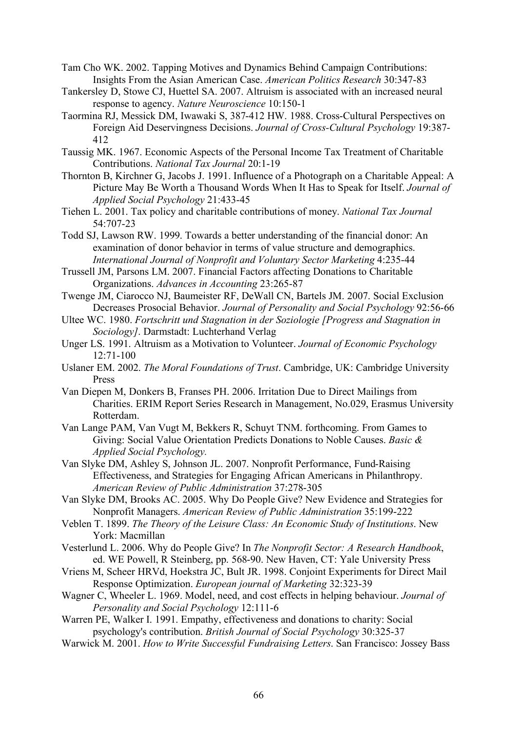- Tam Cho WK. 2002. Tapping Motives and Dynamics Behind Campaign Contributions: Insights From the Asian American Case. *American Politics Research* 30:347-83
- Tankersley D, Stowe CJ, Huettel SA. 2007. Altruism is associated with an increased neural response to agency. *Nature Neuroscience* 10:150-1
- Taormina RJ, Messick DM, Iwawaki S, 387-412 HW. 1988. Cross-Cultural Perspectives on Foreign Aid Deservingness Decisions. *Journal of Cross-Cultural Psychology* 19:387- 412
- Taussig MK. 1967. Economic Aspects of the Personal Income Tax Treatment of Charitable Contributions. *National Tax Journal* 20:1-19
- Thornton B, Kirchner G, Jacobs J. 1991. Influence of a Photograph on a Charitable Appeal: A Picture May Be Worth a Thousand Words When It Has to Speak for Itself. *Journal of Applied Social Psychology* 21:433-45
- Tiehen L. 2001. Tax policy and charitable contributions of money. *National Tax Journal* 54:707-23
- Todd SJ, Lawson RW. 1999. Towards a better understanding of the financial donor: An examination of donor behavior in terms of value structure and demographics. *International Journal of Nonprofit and Voluntary Sector Marketing* 4:235-44
- Trussell JM, Parsons LM. 2007. Financial Factors affecting Donations to Charitable Organizations. *Advances in Accounting* 23:265-87
- Twenge JM, Ciarocco NJ, Baumeister RF, DeWall CN, Bartels JM. 2007. Social Exclusion Decreases Prosocial Behavior. *Journal of Personality and Social Psychology* 92:56-66
- Ultee WC. 1980. *Fortschritt und Stagnation in der Soziologie [Progress and Stagnation in Sociology]*. Darmstadt: Luchterhand Verlag
- Unger LS. 1991. Altruism as a Motivation to Volunteer. *Journal of Economic Psychology* 12:71-100
- Uslaner EM. 2002. *The Moral Foundations of Trust*. Cambridge, UK: Cambridge University Press
- Van Diepen M, Donkers B, Franses PH. 2006. Irritation Due to Direct Mailings from Charities. ERIM Report Series Research in Management, No.029, Erasmus University Rotterdam.
- Van Lange PAM, Van Vugt M, Bekkers R, Schuyt TNM. forthcoming. From Games to Giving: Social Value Orientation Predicts Donations to Noble Causes. *Basic & Applied Social Psychology.*
- Van Slyke DM, Ashley S, Johnson JL. 2007. Nonprofit Performance, Fund-Raising Effectiveness, and Strategies for Engaging African Americans in Philanthropy. *American Review of Public Administration* 37:278-305
- Van Slyke DM, Brooks AC. 2005. Why Do People Give? New Evidence and Strategies for Nonprofit Managers. *American Review of Public Administration* 35:199-222
- Veblen T. 1899. *The Theory of the Leisure Class: An Economic Study of Institutions*. New York: Macmillan
- Vesterlund L. 2006. Why do People Give? In *The Nonprofit Sector: A Research Handbook*, ed. WE Powell, R Steinberg, pp. 568-90. New Haven, CT: Yale University Press
- Vriens M, Scheer HRVd, Hoekstra JC, Bult JR. 1998. Conjoint Experiments for Direct Mail Response Optimization. *European journal of Marketing* 32:323-39
- Wagner C, Wheeler L. 1969. Model, need, and cost effects in helping behaviour. *Journal of Personality and Social Psychology* 12:111-6
- Warren PE, Walker I. 1991. Empathy, effectiveness and donations to charity: Social psychology's contribution. *British Journal of Social Psychology* 30:325-37
- Warwick M. 2001. *How to Write Successful Fundraising Letters*. San Francisco: Jossey Bass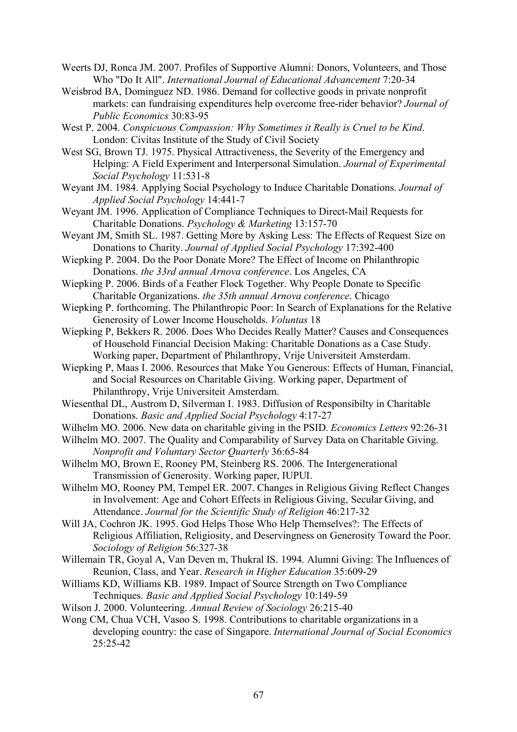- Weerts DJ, Ronca JM. 2007. Profiles of Supportive Alumni: Donors, Volunteers, and Those Who "Do It All". *International Journal of Educational Advancement* 7:20-34
- Weisbrod BA, Dominguez ND. 1986. Demand for collective goods in private nonprofit markets: can fundraising expenditures help overcome free-rider behavior? *Journal of Public Economics* 30:83-95
- West P. 2004. *Conspicuous Compassion: Why Sometimes it Really is Cruel to be Kind*. London: Civitas Institute of the Study of Civil Society
- West SG, Brown TJ. 1975. Physical Attractiveness, the Severity of the Emergency and Helping: A Field Experiment and Interpersonal Simulation. *Journal of Experimental Social Psychology* 11:531-8
- Weyant JM. 1984. Applying Social Psychology to Induce Charitable Donations. *Journal of Applied Social Psychology* 14:441-7
- Weyant JM. 1996. Application of Compliance Techniques to Direct-Mail Requests for Charitable Donations. *Psychology & Marketing* 13:157-70
- Weyant JM, Smith SL. 1987. Getting More by Asking Less: The Effects of Request Size on Donations to Charity. *Journal of Applied Social Psychology* 17:392-400
- Wiepking P. 2004. Do the Poor Donate More? The Effect of Income on Philanthropic Donations. *the 33rd annual Arnova conference*. Los Angeles, CA
- Wiepking P. 2006. Birds of a Feather Flock Together. Why People Donate to Specific Charitable Organizations. *the 35th annual Arnova conference*. Chicago
- Wiepking P. forthcoming. The Philanthropic Poor: In Search of Explanations for the Relative Generosity of Lower Income Households. *Voluntas* 18
- Wiepking P, Bekkers R. 2006. Does Who Decides Really Matter? Causes and Consequences of Household Financial Decision Making: Charitable Donations as a Case Study. Working paper, Department of Philanthropy, Vrije Universiteit Amsterdam.
- Wiepking P, Maas I. 2006. Resources that Make You Generous: Effects of Human, Financial, and Social Resources on Charitable Giving. Working paper, Department of Philanthropy, Vrije Universiteit Amsterdam.
- Wiesenthal DL, Austrom D, Silverman I. 1983. Diffusion of Responsibilty in Charitable Donations. *Basic and Applied Social Psychology* 4:17-27
- Wilhelm MO. 2006. New data on charitable giving in the PSID. *Economics Letters* 92:26-31
- Wilhelm MO. 2007. The Quality and Comparability of Survey Data on Charitable Giving. *Nonprofit and Voluntary Sector Quarterly* 36:65-84
- Wilhelm MO, Brown E, Rooney PM, Steinberg RS. 2006. The Intergenerational Transmission of Generosity. Working paper, IUPUI.
- Wilhelm MO, Rooney PM, Tempel ER. 2007. Changes in Religious Giving Reflect Changes in Involvement: Age and Cohort Effects in Religious Giving, Secular Giving, and Attendance. *Journal for the Scientific Study of Religion* 46:217-32
- Will JA, Cochron JK. 1995. God Helps Those Who Help Themselves?: The Effects of Religious Affiliation, Religiosity, and Deservingness on Generosity Toward the Poor. *Sociology of Religion* 56:327-38
- Willemain TR, Goyal A, Van Deven m, Thukral IS. 1994. Alumni Giving: The Influences of Reunion, Class, and Year. *Research in Higher Education* 35:609-29
- Williams KD, Williams KB. 1989. Impact of Source Strength on Two Compliance Techniques. *Basic and Applied Social Psychology* 10:149-59
- Wilson J. 2000. Volunteering. *Annual Review of Sociology* 26:215-40
- Wong CM, Chua VCH, Vasoo S. 1998. Contributions to charitable organizations in a developing country: the case of Singapore. *International Journal of Social Economics* 25:25-42